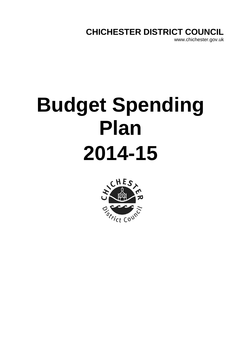# **CHICHESTER DISTRICT COUNCIL**

www.chichester.gov.uk

# **Budget Spending Plan 2014-15**

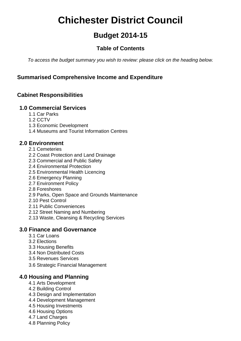# **Chichester District Council**

# **Budget 2014-15**

# **Table of Contents**

*To access the budget summary you wish to review: please click on the heading below.* 

# **[Summarised Comprehensive Income and Expenditure](#page-3-0)**

# **Cabinet Responsibilities**

# **[1.0 Commercial Services](#page-6-0)**

- [1.1 Car Parks](#page-8-0)
- [1.2 CCTV](#page-18-0)
- [1.3 Economic Development](#page-21-0)
- [1.4 Museums and Tourist Information Centres](#page-25-0)

# **[2.0 Environment](#page-28-0)**

- [2.1 Cemeteries](#page-30-0)
- [2.2 Coast Protection and Land Drainage](#page-31-0)
- [2.3 Commercial and Public Safety](#page-34-0)
- [2.4 Environmental Protection](#page-39-0)
- [2.5 Environmental Health Licencing](#page-43-0)
- [2.6 Emergency Planning](#page-44-0)
- [2.7 Environment Policy](#page-45-0)
- [2.8 Foreshores](#page-49-0)
- [2.9 Parks, Open Space and Grounds Maintenance](#page-50-0)
- [2.10 Pest Control](#page-51-0)
- [2.11 Public Conveniences](#page-52-0)
- [2.12 Street Naming and Numbering](#page-53-0)
- [2.13 Waste, Cleansing & Recycling Services](#page-54-0)

# **[3.0 Finance and Governance](#page-57-0)**

- [3.1 Car Loans](#page-59-0)
- [3.2 Elections](#page-60-0)
- [3.3 Housing Benefits](#page-63-0)
- [3.4 Non Distributed Costs](#page-64-0)
- [3.5 Revenues Services](#page-65-0)
- [3.6 Strategic Financial Management](#page-69-0)

# **[4.0 Housing and Planning](#page-70-0)**

- [4.1 Arts Development](#page-72-0)
- [4.2 Building Control](#page-73-0)
- [4.3 Design and Implementation](#page-74-0)
- [4.4 Development Management](#page-75-0)
- [4.5 Housing Investments](#page-78-0)
- [4.6 Housing Options](#page-82-0)
- [4.7 Land Charges](#page-85-0)
- [4.8 Planning Policy](#page-86-0)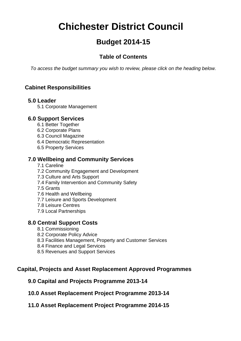# **Chichester District Council**

# **Budget 2014-15**

# **Table of Contents**

*To access the budget summary you wish to review, please click on the heading below.* 

# **Cabinet Responsibilities**

# **[5.0 Leader](#page-87-0)**

[5.1 Corporate Management](#page-89-0) 

# **[6.0 Support Services](#page-90-0)**

- [6.1 Better Together](#page-92-0)
- [6.2 Corporate Plans](#page-93-0)
- [6.3 Council Magazine](#page-94-0)
- [6.4 Democratic Representation](#page-95-0)
- [6.5 Property Services](#page-96-0)

# **[7.0 Wellbeing and Community Services](#page-100-0)**

- [7.1 Careline](#page-102-0)
- [7.2 Community Engagement and Development](#page-103-0)
- [7.3 Culture and Arts Support](#page-107-0)
- [7.4 Family Intervention and Community Safety](#page-110-0)
- [7.5 Grants](#page-111-0)
- [7.6 Health and Wellbeing](#page-112-0)
- [7.7 Leisure and Sports Development](#page-113-0)
- [7.8 Leisure Centres](#page-116-0)
- [7.9 Local Partnerships](#page-120-0)

# **[8.0 Central Support Costs](#page-121-0)**

- [8.1 Commissioning](#page-123-0)
- [8.2 Corporate Policy Advice](#page-124-0)
- [8.3 Facilities Management, Property and Customer Services](#page-125-0)
- [8.4 Finance and Legal Services](#page-131-0)
- [8.5 Revenues and Support Services](#page-137-0)

# **Capital, Projects and Asset Replacement Approved Programmes**

# **[9.0 Capital and Projects Programme 2013-14](#page-142-0)**

**[10.0 Asset Replacement Project Programme 2013-14](#page-146-0)** 

# **[11.0 Asset Replacement Project Programme 2014-15](#page-149-0)**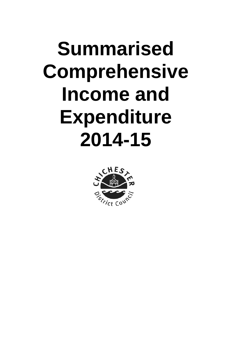# <span id="page-3-0"></span>**Summarised Comprehensive Income and Expenditure 2014-15**

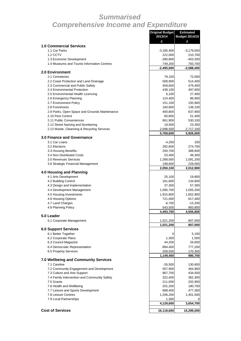# *Summarised Comprehensive Income and Expenditure*

|                                                       | <b>Original Budget</b><br>2013/14 | Estimated<br><b>Budget 2014/15</b> |
|-------------------------------------------------------|-----------------------------------|------------------------------------|
|                                                       | £                                 | £                                  |
| <b>1.0 Commercial Services</b>                        |                                   |                                    |
| 1.1 Car Parks                                         | $-3,185,400$                      | $-3,179,500$                       |
| 1.2 CCTV<br>1.3 Economic Development                  | 222,000<br>$-280,800$             | 210,700<br>$-403,300$              |
| 1.4 Museums and Tourist Information Centres           | 749,200                           | 783,700                            |
|                                                       | $-2,495,000$                      | $-2,588,400$                       |
| <b>2.0 Environment</b>                                |                                   |                                    |
| 2.1 Cemeteries                                        | 79,100                            | 72,000                             |
| 2.2 Coast Protection and Land Drainage                | 508,900                           | 514,400                            |
| 2.3 Commercial and Public Safety                      | 459,600                           | 479,400                            |
| 2.4 Environmental Protection                          | 438,100                           | 497,600                            |
| 2.5 Environmental Health Licencing                    | 6,100                             | 27,400                             |
| 2.6 Emergency Planning                                | 124,400                           | 86,900                             |
| 2.7 Environment Policy                                | 151,100                           | 150,900                            |
| 2.8 Foreshores                                        | 160,800                           | 138,100                            |
| 2.9 Parks, Open Space and Grounds Maintenance         | 400,800                           | 637,900                            |
| 2.10 Pest Control<br>2.11 Public Conveniences         | 60,800                            | 51,400                             |
| 2.12 Street Naming and Numbering                      | 661,900<br>19,500                 | 530,100<br>23,300                  |
| 2.13 Waste, Cleansing & Recycling Services            | 2,698,500                         | 2,717,100                          |
|                                                       | 5,769,600                         | 5,926,500                          |
| <b>3.0 Finance and Governance</b>                     |                                   |                                    |
| 3.1 Car Loans                                         | $-4,200$                          | 100                                |
| 3.2 Elections                                         | 282,600                           | 274,700                            |
| 3.3 Housing Benefits                                  | 250,700                           | 368,600                            |
| 3.4 Non Distributed Costs                             | 53,400                            | 49,300                             |
| 3.5 Revenues Services                                 | 1,268,000                         | 1,091,200                          |
| 3.6 Strategic Financial Management                    | 199,600                           | 229,000                            |
|                                                       | 2,050,100                         | 2,012,900                          |
| <b>4.0 Housing and Planning</b>                       |                                   |                                    |
| 4.1 Arts Development                                  | 25,100                            | 19,800                             |
| 4.2 Building Control<br>4.3 Design and Implementation | 161,600<br>37,300                 | 134,600<br>57,300                  |
| 4.4 Development Management                            | 1,095,700                         | 1,055,200                          |
| 4.5 Housing Investments                               | 1,915,800                         | 1,652,900                          |
| 4.6 Housing Options                                   | 721,400                           | 617,400                            |
| 4.7 Land Charges                                      | $-6,700$                          | $-15,200$                          |
| 4.8 Planning Policy                                   | 543,500                           | 983,800                            |
|                                                       | 4,493,700                         | 4,505,800                          |
| 5.0 Leader                                            |                                   |                                    |
| 5.1 Corporate Management                              | 1,021,200                         | 807,000                            |
|                                                       | 1,021,200                         | 807,000                            |
| <b>6.0 Support Services</b>                           |                                   |                                    |
| 6.1 Better Together                                   | 0                                 | 5,100                              |
| 6.2 Corporate Plans                                   | 1,300                             | 1,500                              |
| 6.3 Council Magazine                                  | 44,200                            | 26,600                             |
| 6.4 Democratic Representation                         | 894,400                           | 777,200                            |
| 6.5 Property Services                                 | 209,500                           | 170,300                            |
| <b>7.0 Wellbeing and Community Services</b>           | 1,149,400                         | 980,700                            |
| 7.1 Careline                                          | $-26,500$                         | 130,600                            |
| 7.2 Community Engagement and Development              | 557,900                           | 464,900                            |
| 7.3 Culture and Arts Support                          | 967,700                           | 434,500                            |
| 7.4 Family Intervention and Community Safety          | 322,400                           | 362,300                            |
| 7.5 Grants                                            | 211,000                           | 202,900                            |
| 7.6 Health and Wellbeing                              | 201,200                           | 180,700                            |
| 7.7 Leisure and Sports Development                    | 688,400                           | 477,300                            |
| 7.8 Leisure Centres                                   | 1,206,200                         | 1,401,500                          |
| 7.9 Local Partnerships                                | 1,300                             | 0                                  |
|                                                       | 4,129,600                         | 3,654,700                          |
| <b>Cost of Services</b>                               |                                   |                                    |
|                                                       | 16,118,600                        | 15,299,200                         |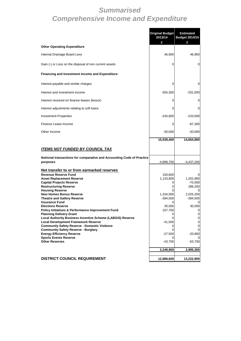# *Summarised Comprehensive Income and Expenditure*

|                                                                                                                                                                                                                                                                                                                                                                                                                                                                                                                                                                                                                                                                                                                                                                       | <b>Original Budget</b><br>2013/14<br>£                                                                      | <b>Estimated</b><br><b>Budget 2014/15</b>                                                        |
|-----------------------------------------------------------------------------------------------------------------------------------------------------------------------------------------------------------------------------------------------------------------------------------------------------------------------------------------------------------------------------------------------------------------------------------------------------------------------------------------------------------------------------------------------------------------------------------------------------------------------------------------------------------------------------------------------------------------------------------------------------------------------|-------------------------------------------------------------------------------------------------------------|--------------------------------------------------------------------------------------------------|
| <b>Other Operating Expenditure</b>                                                                                                                                                                                                                                                                                                                                                                                                                                                                                                                                                                                                                                                                                                                                    |                                                                                                             |                                                                                                  |
| Internal Drainage Board Levy                                                                                                                                                                                                                                                                                                                                                                                                                                                                                                                                                                                                                                                                                                                                          | 46,900                                                                                                      | 46,900                                                                                           |
| Gain (-) or Loss on the disposal of non current assets                                                                                                                                                                                                                                                                                                                                                                                                                                                                                                                                                                                                                                                                                                                | 0                                                                                                           | 0                                                                                                |
| <b>Financing and Investment Income and Expenditure</b>                                                                                                                                                                                                                                                                                                                                                                                                                                                                                                                                                                                                                                                                                                                |                                                                                                             |                                                                                                  |
| Interest payable and similar charges                                                                                                                                                                                                                                                                                                                                                                                                                                                                                                                                                                                                                                                                                                                                  | 0                                                                                                           | 0                                                                                                |
| Interest and investment income                                                                                                                                                                                                                                                                                                                                                                                                                                                                                                                                                                                                                                                                                                                                        | $-355,300$                                                                                                  | $-331,000$                                                                                       |
| Interest received on finance leases (lessor)                                                                                                                                                                                                                                                                                                                                                                                                                                                                                                                                                                                                                                                                                                                          | 0                                                                                                           | 0                                                                                                |
| Interest adjustments relating to soft loans                                                                                                                                                                                                                                                                                                                                                                                                                                                                                                                                                                                                                                                                                                                           | 0                                                                                                           | 0                                                                                                |
| <b>Investment Properties</b>                                                                                                                                                                                                                                                                                                                                                                                                                                                                                                                                                                                                                                                                                                                                          | $-240,800$                                                                                                  | $-233,000$                                                                                       |
| Finance Lease Income                                                                                                                                                                                                                                                                                                                                                                                                                                                                                                                                                                                                                                                                                                                                                  | 0                                                                                                           | $-87,300$                                                                                        |
| Other Income                                                                                                                                                                                                                                                                                                                                                                                                                                                                                                                                                                                                                                                                                                                                                          | $-30,000$                                                                                                   | $-30,000$                                                                                        |
|                                                                                                                                                                                                                                                                                                                                                                                                                                                                                                                                                                                                                                                                                                                                                                       | 15,539,400                                                                                                  | 14,664,800                                                                                       |
| <u>ITEMS NOT FUNDED BY COUNCIL TAX</u>                                                                                                                                                                                                                                                                                                                                                                                                                                                                                                                                                                                                                                                                                                                                |                                                                                                             |                                                                                                  |
| Notional transactions for comparative and Accounting Code of Practice<br>purposes                                                                                                                                                                                                                                                                                                                                                                                                                                                                                                                                                                                                                                                                                     | $-4,899,700$                                                                                                | $-4,437,200$                                                                                     |
| <u>Net transfer to or from earmarked reserves</u><br><b>Revenue Reserve Fund</b><br><b>Asset Replacement Reserve</b><br><b>Capital Projects Reserve</b><br><b>Restructuring Reserve</b><br><b>Housing Reserve</b><br><b>New Homes Bonus Reserve</b><br><b>Theatre and Gallery Reserve</b><br><b>Insurance Fund</b><br><b>Elections Reserve</b><br><b>Policy Initiatives &amp; Performance Improvement Fund</b><br><b>Planning Delivery Grant</b><br><b>Local Authority Business Incentive Scheme (LABGIS) Reserve</b><br><b>Local Development Framework Reserve</b><br><b>Community Safety Reserve - Domestic Violence</b><br><b>Community Safety Reserve - Burglary</b><br><b>Energy Efficiency Reserve</b><br><b>Sports Events Reserve</b><br><b>Other Reserves</b> | 150,600<br>1,133,800<br>1,334,000<br>$-394,500$<br>30,000<br>107,700<br>$-41,500$<br>$-27,500$<br>$-43,700$ | 1,202,900<br>$-70,000$<br>286,200<br>2,025,200<br>$-394,500$<br>30,000<br>$-20,800$<br>$-63,700$ |
|                                                                                                                                                                                                                                                                                                                                                                                                                                                                                                                                                                                                                                                                                                                                                                       | 2,248,900                                                                                                   | 2,995,300                                                                                        |
| <b>DISTRICT COUNCIL REQUIREMENT</b>                                                                                                                                                                                                                                                                                                                                                                                                                                                                                                                                                                                                                                                                                                                                   | 12,888,600                                                                                                  | 13,222,900                                                                                       |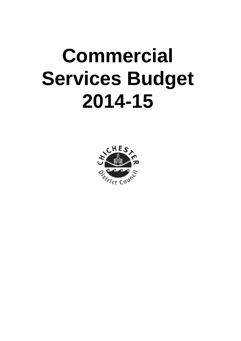# <span id="page-6-0"></span>**Commercial Services Budget 2014-15**

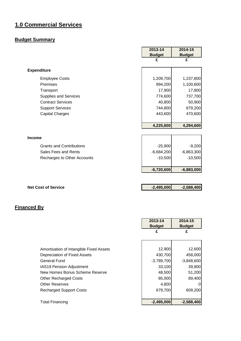# **1.0 Commercial Services**

# **Budget Summary**

|                                 | 2013-14       | 2014-15       |
|---------------------------------|---------------|---------------|
|                                 | <b>Budget</b> | <b>Budget</b> |
|                                 | £             | £             |
| <b>Expenditure</b>              |               |               |
| <b>Employee Costs</b>           | 1,209,700     | 1,237,800     |
| Premises                        | 994,200       | 1,100,600     |
| Transport                       | 17,900        | 17,800        |
| <b>Supplies and Services</b>    | 774,600       | 737,700       |
| <b>Contract Services</b>        | 40,800        | 50,900        |
| <b>Support Services</b>         | 744,800       | 679,200       |
| <b>Capital Charges</b>          | 443,600       | 470,600       |
|                                 |               |               |
|                                 | 4,225,600     | 4,294,600     |
|                                 |               |               |
| <b>Income</b>                   |               |               |
| <b>Grants and Contributions</b> | $-25,900$     | $-9,200$      |
| Sales Fees and Rents            | $-6,684,200$  | $-6,863,300$  |
| Recharges to Other Accounts     | $-10,500$     | $-10,500$     |
|                                 |               |               |
|                                 | $-6,720,600$  | $-6,883,000$  |
|                                 |               |               |
| <b>Net Cost of Service</b>      | $-2,495,000$  | $-2,588,400$  |

|                                         | 2013-14       | 2014-15       |
|-----------------------------------------|---------------|---------------|
|                                         | <b>Budget</b> | <b>Budget</b> |
|                                         | £             | £             |
|                                         |               |               |
| Amortisation of Intangible Fixed Assets | 12,900        | 12,600        |
| Depreciation of Fixed Assets            | 430,700       | 458,000       |
| General Fund                            | $-3,789,700$  | $-3,848,600$  |
| IAS19 Pension Adjustment                | 33,100        | 39,800        |
| New Homes Bonus Scheme Reserve          | 48,500        | 51,200        |
| <b>Other Recharged Costs</b>            | 85,000        | 89,400        |
| <b>Other Reserves</b>                   | 4,800         | $\Omega$      |
| <b>Recharged Support Costs</b>          | 679,700       | 609,200       |
| <b>Total Financing</b>                  | $-2,495,000$  | $-2,588,400$  |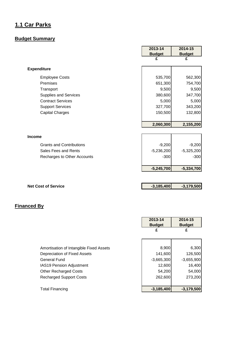# <span id="page-8-0"></span>**1.1 Car Parks**

# **Budget Summary**

|                                 | 2013-14       | 2014-15       |
|---------------------------------|---------------|---------------|
|                                 | <b>Budget</b> | <b>Budget</b> |
|                                 | £             | £             |
| <b>Expenditure</b>              |               |               |
| <b>Employee Costs</b>           | 535,700       | 562,300       |
| Premises                        | 651,300       | 754,700       |
| Transport                       | 9,500         | 9,500         |
| <b>Supplies and Services</b>    | 380,600       | 347,700       |
| <b>Contract Services</b>        | 5,000         | 5,000         |
| <b>Support Services</b>         | 327,700       | 343,200       |
| <b>Capital Charges</b>          | 150,500       | 132,800       |
|                                 |               |               |
|                                 | 2,060,300     | 2,155,200     |
|                                 |               |               |
| <b>Income</b>                   |               |               |
| <b>Grants and Contributions</b> | $-9,200$      | $-9,200$      |
| Sales Fees and Rents            | $-5,236,200$  | $-5,325,200$  |
| Recharges to Other Accounts     | $-300$        | $-300$        |
|                                 |               |               |
|                                 | $-5,245,700$  | $-5,334,700$  |
|                                 |               |               |
| <b>Net Cost of Service</b>      | $-3,185,400$  | $-3,179,500$  |

|                                         | 2013-14<br><b>Budget</b> | 2014-15<br><b>Budget</b> |
|-----------------------------------------|--------------------------|--------------------------|
|                                         | £                        | £                        |
|                                         |                          |                          |
| Amortisation of Intangible Fixed Assets | 8,900                    | 6,300                    |
| Depreciation of Fixed Assets            | 141,600                  | 126,500                  |
| <b>General Fund</b>                     | $-3,665,300$             | $-3,655,900$             |
| <b>IAS19 Pension Adjustment</b>         | 12,600                   | 16,400                   |
| <b>Other Recharged Costs</b>            | 54,200                   | 54,000                   |
| <b>Recharged Support Costs</b>          | 262,600                  | 273,200                  |
| <b>Total Financing</b>                  | $-3,185,400$             | $-3,179,500$             |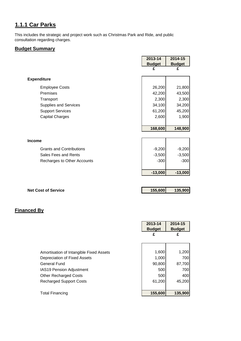# **1.1.1 Car Parks**

This includes the strategic and project work such as Christmas Park and Ride, and public consultation regarding charges.

# **Budget Summary**

|                                 | 2013-14       | 2014-15       |
|---------------------------------|---------------|---------------|
|                                 | <b>Budget</b> | <b>Budget</b> |
|                                 | £             | £             |
| <b>Expenditure</b>              |               |               |
| <b>Employee Costs</b>           | 26,200        | 21,800        |
| Premises                        | 42,200        | 43,500        |
| Transport                       | 2,300         | 2,300         |
| Supplies and Services           | 34,100        | 34,200        |
| <b>Support Services</b>         | 61,200        | 45,200        |
| <b>Capital Charges</b>          | 2,600         | 1,900         |
|                                 |               |               |
|                                 | 168,600       | 148,900       |
|                                 |               |               |
| <b>Income</b>                   |               |               |
| <b>Grants and Contributions</b> | $-9,200$      | $-9,200$      |
| Sales Fees and Rents            | $-3,500$      | $-3,500$      |
| Recharges to Other Accounts     | $-300$        | $-300$        |
|                                 |               |               |
|                                 | $-13,000$     | $-13,000$     |
|                                 |               |               |
| <b>Net Cost of Service</b>      | 155,600       | 135,900       |

|                                         | 2013-14       | 2014-15       |
|-----------------------------------------|---------------|---------------|
|                                         | <b>Budget</b> | <b>Budget</b> |
|                                         | £             | £             |
|                                         |               |               |
|                                         |               |               |
| Amortisation of Intangible Fixed Assets | 1,600         | 1,200         |
| Depreciation of Fixed Assets            | 1,000         | 700           |
| <b>General Fund</b>                     | 90,800        | 87,700        |
| IAS19 Pension Adjustment                | 500           | 700           |
| <b>Other Recharged Costs</b>            | 500           | 400           |
| <b>Recharged Support Costs</b>          | 61,200        | 45,200        |
|                                         |               |               |
| <b>Total Financing</b>                  | 155,600       | 135,900       |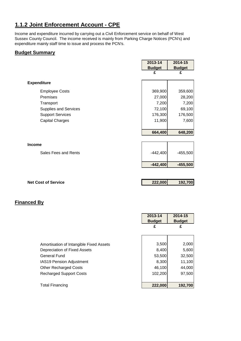# **1.1.2 Joint Enforcement Account - CPE**

Income and expenditure incurred by carrying out a Civil Enforcement service on behalf of West Sussex County Council. The income received is mainly from Parking Charge Notices (PCN's) and expenditure mainly staff time to issue and process the PCN's.

### **Budget Summary**

|                              | 2013-14       | 2014-15       |
|------------------------------|---------------|---------------|
|                              | <b>Budget</b> | <b>Budget</b> |
|                              | £             | £             |
|                              |               |               |
| <b>Expenditure</b>           |               |               |
| <b>Employee Costs</b>        | 369,900       | 359,600       |
| Premises                     | 27,000        | 28,200        |
| Transport                    | 7,200         | 7,200         |
| <b>Supplies and Services</b> | 72,100        | 69,100        |
| <b>Support Services</b>      | 176,300       | 176,500       |
| <b>Capital Charges</b>       | 11,900        | 7,600         |
|                              |               |               |
|                              | 664,400       | 648,200       |
|                              |               |               |
| <b>Income</b>                |               |               |
| Sales Fees and Rents         | $-442,400$    | $-455,500$    |
|                              | $-442,400$    | $-455,500$    |
|                              |               |               |

**Net Cost of Service 222,000 <b>192,700** 

|                                         | 2013-14<br><b>Budget</b> | 2014-15<br><b>Budget</b> |
|-----------------------------------------|--------------------------|--------------------------|
|                                         | £                        | £                        |
|                                         |                          |                          |
| Amortisation of Intangible Fixed Assets | 3,500                    | 2,000                    |
| Depreciation of Fixed Assets            | 8,400                    | 5,600                    |
| <b>General Fund</b>                     | 53,500                   | 32,500                   |
| <b>IAS19 Pension Adjustment</b>         | 8,300                    | 11,100                   |
| <b>Other Recharged Costs</b>            | 46,100                   | 44,000                   |
| <b>Recharged Support Costs</b>          | 102,200                  | 97,500                   |
|                                         |                          |                          |
| Total Financing                         | 222,000                  | 192,700                  |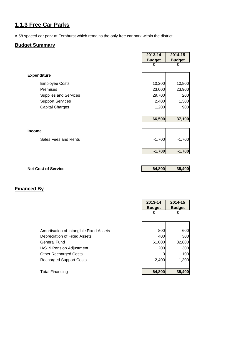# **1.1.3 Free Car Parks**

A 58 spaced car park at Fernhurst which remains the only free car park within the district.

# **Budget Summary**

|                              | 2013-14<br><b>Budget</b> | 2014-15<br><b>Budget</b> |
|------------------------------|--------------------------|--------------------------|
|                              | £                        | £                        |
| <b>Expenditure</b>           |                          |                          |
| <b>Employee Costs</b>        | 10,200                   | 10,800                   |
| Premises                     | 23,000                   | 23,900                   |
| <b>Supplies and Services</b> | 29,700                   | 200                      |
| <b>Support Services</b>      | 2,400                    | 1,300                    |
| <b>Capital Charges</b>       | 1,200                    | 900                      |
|                              |                          |                          |
|                              | 66,500                   | 37,100                   |
|                              |                          |                          |
| <b>Income</b>                |                          |                          |
| Sales Fees and Rents         | $-1,700$                 | $-1,700$                 |
|                              |                          |                          |
|                              | $-1,700$                 | $-1,700$                 |
|                              |                          |                          |
| <b>Net Cost of Service</b>   | 64,800                   | 35,400                   |
|                              |                          |                          |
|                              |                          |                          |
| <b>Financed By</b>           |                          |                          |

 $\mathbf{r}$ 

|                                         | 2013-14<br><b>Budget</b> | 2014-15<br><b>Budget</b> |
|-----------------------------------------|--------------------------|--------------------------|
|                                         | £                        | £                        |
|                                         |                          |                          |
| Amortisation of Intangible Fixed Assets | 800                      | 600                      |
| Depreciation of Fixed Assets            | 400                      | 300                      |
| General Fund                            | 61,000                   | 32,800                   |
| IAS19 Pension Adjustment                | 200                      | 300                      |
| <b>Other Recharged Costs</b>            |                          | 100                      |
| <b>Recharged Support Costs</b>          | 2,400                    | 1,300                    |
|                                         |                          |                          |
| <b>Total Financing</b>                  | 64,800                   | 35,400                   |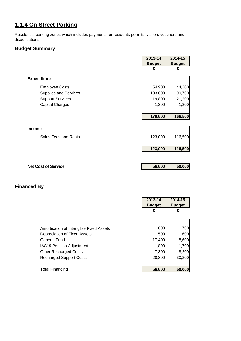# **1.1.4 On Street Parking**

Residential parking zones which includes payments for residents permits, visitors vouchers and dispensations.

# **Budget Summary**

|                              | 2013-14       | 2014-15       |
|------------------------------|---------------|---------------|
|                              | <b>Budget</b> | <b>Budget</b> |
|                              | £             | £             |
| <b>Expenditure</b>           |               |               |
| <b>Employee Costs</b>        | 54,900        | 44,300        |
| <b>Supplies and Services</b> | 103,600       | 99,700        |
| <b>Support Services</b>      | 19,800        | 21,200        |
| <b>Capital Charges</b>       | 1,300         | 1,300         |
|                              |               |               |
|                              | 179,600       | 166,500       |
|                              |               |               |
| <b>Income</b>                |               |               |
| Sales Fees and Rents         | $-123,000$    | $-116,500$    |
|                              |               |               |
|                              | $-123,000$    | $-116,500$    |
|                              |               |               |
| <b>Net Cost of Service</b>   | 56,600        | 50,000        |

|                                         | 2013-14<br><b>Budget</b> | 2014-15<br><b>Budget</b> |
|-----------------------------------------|--------------------------|--------------------------|
|                                         | £                        | £                        |
|                                         |                          |                          |
| Amortisation of Intangible Fixed Assets | 800                      | 700                      |
| Depreciation of Fixed Assets            | 500                      | 600                      |
| <b>General Fund</b>                     | 17,400                   | 8,600                    |
| <b>IAS19 Pension Adjustment</b>         | 1,800                    | 1,700                    |
| <b>Other Recharged Costs</b>            | 7,300                    | 8,200                    |
| <b>Recharged Support Costs</b>          | 28,800                   | 30,200                   |
|                                         |                          |                          |
| <b>Total Financing</b>                  | 56,600                   | 50,000                   |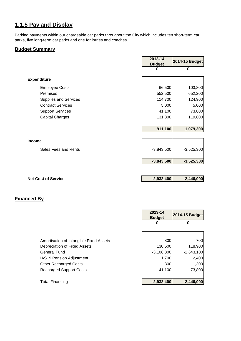# **1.1.5 Pay and Display**

Parking payments within our chargeable car parks throughout the City which includes ten short-term car parks, five long-term car parks and one for lorries and coaches.

#### **Budget Summary**

|                                       | 2013-14<br><b>Budget</b> | 2014-15 Budget |
|---------------------------------------|--------------------------|----------------|
|                                       | £                        | £              |
| <b>Expenditure</b>                    |                          |                |
| <b>Employee Costs</b>                 | 66,500                   | 103,800        |
| Premises                              | 552,500                  | 652,200        |
| <b>Supplies and Services</b>          | 114,700                  | 124,900        |
| <b>Contract Services</b>              | 5,000                    | 5,000          |
| <b>Support Services</b>               | 41,100                   | 73,800         |
| <b>Capital Charges</b>                | 131,300                  | 119,600        |
|                                       | 911,100                  | 1,079,300      |
|                                       |                          |                |
| <b>Income</b><br>Sales Fees and Rents | $-3,843,500$             | $-3,525,300$   |
|                                       | $-3,843,500$             | $-3,525,300$   |
|                                       |                          |                |
| <b>Net Cost of Service</b>            | $-2,932,400$             | $-2,446,000$   |

# **Financed By**

|                                         | 2013-14<br><b>Budget</b> | 2014-15 Budget |
|-----------------------------------------|--------------------------|----------------|
|                                         | £                        | £              |
|                                         |                          |                |
| Amortisation of Intangible Fixed Assets | 800                      | 700            |
| Depreciation of Fixed Assets            | 130,500                  | 118,900        |
| <b>General Fund</b>                     | $-3,106,800$             | $-2,643,100$   |
| IAS19 Pension Adjustment                | 1,700                    | 2,400          |
| <b>Other Recharged Costs</b>            | 300                      | 1,300          |
| <b>Recharged Support Costs</b>          | 41,100                   | 73,800         |
|                                         |                          |                |
| <b>Total Financing</b>                  | $-2,932,400$             | $-2,446,000$   |

r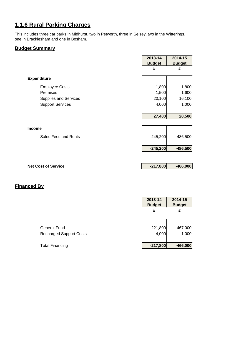# **1.1.6 Rural Parking Charges**

This includes three car parks in Midhurst, two in Petworth, three in Selsey, two in the Witterings, one in Bracklesham and one in Bosham.

# **Budget Summary**

|                         | 2013-14<br><b>Budget</b> | 2014-15<br><b>Budget</b> |
|-------------------------|--------------------------|--------------------------|
|                         | £                        | £                        |
| <b>Expenditure</b>      |                          |                          |
| <b>Employee Costs</b>   | 1,800                    | 1,800                    |
| Premises                | 1,500                    | 1,600                    |
| Supplies and Services   | 20,100                   | 16,100                   |
| <b>Support Services</b> | 4,000                    | 1,000                    |
|                         |                          |                          |
|                         | 27,400                   | 20,500                   |
|                         |                          |                          |
| <b>Income</b>           |                          |                          |
| Sales Fees and Rents    | $-245,200$               | $-486,500$               |
|                         | $-245,200$               | $-486,500$               |
|                         |                          |                          |
|                         |                          |                          |

# **Net Cost of Service Cost of Service COST 10 -217,800 -466,000**

|                                | 2013-14<br><b>Budget</b> | 2014-15<br><b>Budget</b> |
|--------------------------------|--------------------------|--------------------------|
|                                | £                        | £                        |
| General Fund                   | $-221,800$               | $-467,000$               |
| <b>Recharged Support Costs</b> | 4,000                    | 1,000                    |
| <b>Total Financing</b>         | $-217,800$               | $-466,000$               |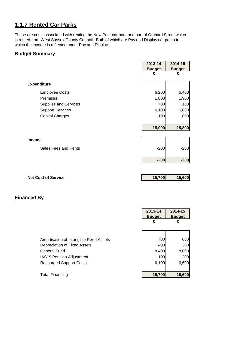# **1.1.7 Rented Car Parks**

These are costs associated with renting the New Park car park and part of Orchard Street which is rented from West Sussex County Council. Both of which are Pay and Display car parks to which the income is reflected under Pay and Display.

#### **Budget Summary**

|                            | 2013-14       | 2014-15       |
|----------------------------|---------------|---------------|
|                            | <b>Budget</b> | <b>Budget</b> |
|                            | £             | £             |
| <b>Expenditure</b>         |               |               |
| <b>Employee Costs</b>      | 6,200         | 6,400         |
| Premises                   | 1,800         | 1,900         |
| Supplies and Services      | 700           | 100           |
| <b>Support Services</b>    | 6,100         | 6,600         |
| <b>Capital Charges</b>     | 1,100         | 800           |
|                            |               |               |
|                            | 15,900        | 15,800        |
|                            |               |               |
| Income                     |               |               |
| Sales Fees and Rents       | $-200$        | $-200$        |
|                            |               |               |
|                            | $-200$        | $-200$        |
|                            |               |               |
|                            |               |               |
| <b>Net Cost of Service</b> | 15,700        | 15,600        |

|                                         | 2013-14<br><b>Budget</b> | 2014-15<br><b>Budget</b> |
|-----------------------------------------|--------------------------|--------------------------|
|                                         | £                        | £                        |
|                                         |                          |                          |
| Amortisation of Intangible Fixed Assets | 700                      | 600                      |
| Depreciation of Fixed Assets            | 400                      | 200                      |
| <b>General Fund</b>                     | 8,400                    | 8,000                    |
| IAS19 Pension Adjustment                | 100                      | 200                      |
| <b>Recharged Support Costs</b>          | 6,100                    | 6,600                    |
|                                         |                          |                          |
| <b>Total Financing</b>                  | 15,700                   | 15,600                   |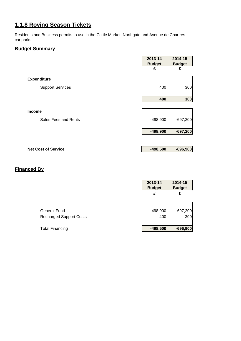# **1.1.8 Roving Season Tickets**

Residents and Business permits to use in the Cattle Market, Northgate and Avenue de Chartres car parks.

# **Budget Summary**

|                            | 2013-14<br><b>Budget</b> | 2014-15<br><b>Budget</b> |
|----------------------------|--------------------------|--------------------------|
|                            | £                        | £                        |
| <b>Expenditure</b>         |                          |                          |
| <b>Support Services</b>    | 400                      | 300                      |
|                            | 400                      | 300                      |
|                            |                          |                          |
| <b>Income</b>              |                          |                          |
| Sales Fees and Rents       | $-498,900$               | $-697,200$               |
|                            | $-498,900$               | $-697,200$               |
|                            |                          |                          |
| <b>Net Cost of Service</b> | $-498,500$               | $-696,900$               |

|                                | 2013-14<br><b>Budget</b> | 2014-15<br><b>Budget</b> |
|--------------------------------|--------------------------|--------------------------|
|                                | £                        | £                        |
| General Fund                   | $-498,900$               | $-697,200$               |
| <b>Recharged Support Costs</b> | 400                      | 300                      |
| <b>Total Financing</b>         | $-498,500$               | $-696,900$               |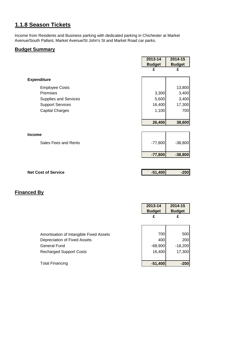# **1.1.8 Season Tickets**

Income from Residents and Business parking with dedicated parking in Chichester at Market Avenue/South Pallant, Market Avenue/St John's St and Market Road car parks.

# **Budget Summary**

|                            | 2013-14       | 2014-15       |
|----------------------------|---------------|---------------|
|                            | <b>Budget</b> | <b>Budget</b> |
|                            | £             | £             |
| <b>Expenditure</b>         |               |               |
| <b>Employee Costs</b>      |               | 13,800        |
| Premises                   | 3,300         | 3,400         |
| Supplies and Services      | 5,600         | 3,400         |
| <b>Support Services</b>    | 16,400        | 17,300        |
| <b>Capital Charges</b>     | 1,100         | 700           |
|                            |               |               |
|                            | 26,400        | 38,600        |
|                            |               |               |
| <b>Income</b>              |               |               |
| Sales Fees and Rents       | $-77,800$     | $-38,800$     |
|                            |               |               |
|                            | $-77,800$     | $-38,800$     |
|                            |               |               |
| <b>Net Cost of Service</b> | $-51,400$     | $-200$        |
|                            |               |               |
|                            |               |               |
|                            |               |               |

|                                         | 2013-14<br><b>Budget</b> | 2014-15<br><b>Budget</b> |
|-----------------------------------------|--------------------------|--------------------------|
|                                         | £                        | £                        |
|                                         |                          |                          |
| Amortisation of Intangible Fixed Assets | 700                      | 500                      |
| Depreciation of Fixed Assets            | 400                      | 200                      |
| General Fund                            | $-68,900$                | $-18,200$                |
| <b>Recharged Support Costs</b>          | 16,400                   | 17,300                   |
|                                         |                          |                          |
| Total Financing                         | $-51,400$                | $-200$                   |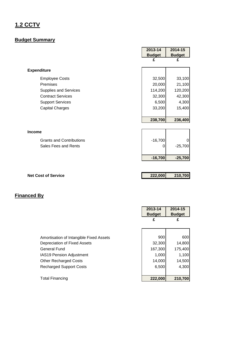# <span id="page-18-0"></span>**1.2 CCTV**

# **Budget Summary**

|                                 | 2013-14       | 2014-15       |
|---------------------------------|---------------|---------------|
|                                 | <b>Budget</b> | <b>Budget</b> |
|                                 | £             | £             |
| <b>Expenditure</b>              |               |               |
| <b>Employee Costs</b>           | 32,500        | 33,100        |
| Premises                        | 20,000        | 21,100        |
| <b>Supplies and Services</b>    | 114,200       | 120,200       |
| <b>Contract Services</b>        | 32,300        | 42,300        |
| <b>Support Services</b>         | 6,500         | 4,300         |
| <b>Capital Charges</b>          | 33,200        | 15,400        |
|                                 |               |               |
|                                 | 238,700       | 236,400       |
|                                 |               |               |
| <b>Income</b>                   |               |               |
| <b>Grants and Contributions</b> | $-16,700$     |               |
| Sales Fees and Rents            | 0             | $-25,700$     |
|                                 |               |               |
|                                 | $-16,700$     | $-25,700$     |
|                                 |               |               |
|                                 |               |               |
| <b>Net Cost of Service</b>      | 222,000       | 210,700       |

ŕ

|                                         | 2013-14<br><b>Budget</b><br>£ | 2014-15<br><b>Budget</b><br>£ |
|-----------------------------------------|-------------------------------|-------------------------------|
| Amortisation of Intangible Fixed Assets | 900                           | 600                           |
| Depreciation of Fixed Assets            | 32,300                        | 14,800                        |
| General Fund                            | 167,300                       | 175,400                       |
| <b>IAS19 Pension Adjustment</b>         | 1,000                         | 1,100                         |
| <b>Other Recharged Costs</b>            | 14,000                        | 14,500                        |
| <b>Recharged Support Costs</b>          | 6,500                         | 4,300                         |
| Total Financing                         | 222,000                       | 210,700                       |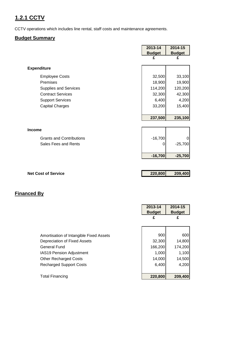# **1.2.1 CCTV**

CCTV operations which includes line rental, staff costs and maintenance agreements.

# **Budget Summary**

|                                 | 2013-14       | 2014-15       |
|---------------------------------|---------------|---------------|
|                                 | <b>Budget</b> | <b>Budget</b> |
|                                 | £             | £             |
| <b>Expenditure</b>              |               |               |
| <b>Employee Costs</b>           | 32,500        | 33,100        |
| Premises                        | 18,900        | 19,900        |
| Supplies and Services           | 114,200       | 120,200       |
| <b>Contract Services</b>        | 32,300        | 42,300        |
| <b>Support Services</b>         | 6,400         | 4,200         |
| <b>Capital Charges</b>          | 33,200        | 15,400        |
|                                 |               |               |
|                                 | 237,500       | 235,100       |
|                                 |               |               |
| <b>Income</b>                   |               |               |
| <b>Grants and Contributions</b> | $-16,700$     |               |
| Sales Fees and Rents            | 0             | $-25,700$     |
|                                 |               |               |
|                                 | $-16,700$     | $-25,700$     |
|                                 |               |               |
| <b>Net Cost of Service</b>      | 220,800       | 209,400       |
|                                 |               |               |
|                                 |               |               |
|                                 |               |               |

|                                         | 2013-14<br><b>Budget</b> | 2014-15<br><b>Budget</b> |
|-----------------------------------------|--------------------------|--------------------------|
|                                         | £                        | £                        |
|                                         |                          |                          |
| Amortisation of Intangible Fixed Assets | 900                      | 600                      |
| Depreciation of Fixed Assets            | 32,300                   | 14,800                   |
| General Fund                            | 166,200                  | 174,200                  |
| <b>IAS19 Pension Adjustment</b>         | 1,000                    | 1,100                    |
| <b>Other Recharged Costs</b>            | 14,000                   | 14,500                   |
| <b>Recharged Support Costs</b>          | 6,400                    | 4,200                    |
|                                         |                          |                          |
| <b>Total Financing</b>                  | 220,800                  | 209,400                  |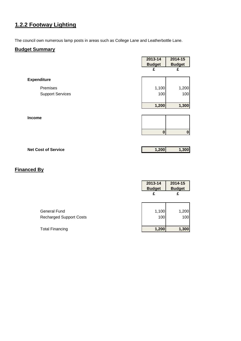# **1.2.2 Footway Lighting**

The council own numerous lamp posts in areas such as College Lane and Leatherbottle Lane.

# **Budget Summary**

|                         | 2013-14       | 2014-15       |
|-------------------------|---------------|---------------|
|                         | <b>Budget</b> | <b>Budget</b> |
|                         | £             | £             |
| <b>Expenditure</b>      |               |               |
| Premises                | 1,100         | 1,200         |
| <b>Support Services</b> | 100           | 100           |
|                         |               |               |
|                         | 1,200         | 1,300         |
| Income                  |               |               |
|                         |               |               |
|                         |               |               |
|                         | 0             | $\bf{0}$      |
|                         |               |               |

| <b>Net Cost of Service</b> | 1.2001 | 1,300 |
|----------------------------|--------|-------|
|                            |        |       |

|                                | 2013-14<br><b>Budget</b> | 2014-15<br><b>Budget</b> |
|--------------------------------|--------------------------|--------------------------|
|                                | £                        | £                        |
| <b>General Fund</b>            | 1,100                    | 1,200                    |
| <b>Recharged Support Costs</b> | 100                      | 100                      |
| <b>Total Financing</b>         | 1,200                    | 1,300                    |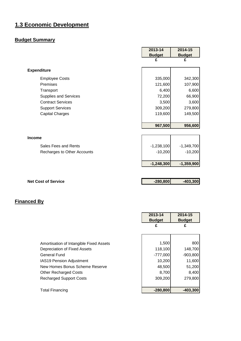# <span id="page-21-0"></span>**1.3 Economic Development**

# **Budget Summary**

|                             | 2013-14       | 2014-15       |
|-----------------------------|---------------|---------------|
|                             | <b>Budget</b> | <b>Budget</b> |
|                             | £             | £             |
| <b>Expenditure</b>          |               |               |
| <b>Employee Costs</b>       | 335,000       | 342,300       |
| Premises                    | 121,600       | 107,900       |
| Transport                   | 6,400         | 6,600         |
| Supplies and Services       | 72,200        | 66,900        |
| <b>Contract Services</b>    | 3,500         | 3,600         |
| <b>Support Services</b>     | 309,200       | 279,800       |
| <b>Capital Charges</b>      | 119,600       | 149,500       |
|                             |               |               |
|                             | 967,500       | 956,600       |
|                             |               |               |
| <b>Income</b>               |               |               |
| Sales Fees and Rents        | $-1,238,100$  | $-1,349,700$  |
| Recharges to Other Accounts | $-10,200$     | $-10,200$     |
|                             | $-1,248,300$  | $-1,359,900$  |
|                             |               |               |
| <b>Net Cost of Service</b>  | $-280,800$    | $-403,300$    |
|                             |               |               |
|                             |               |               |

 $\mathbf{r}$ 

 $\overline{\mathbf{r}}$ 

|                                         | 2013-14<br><b>Budget</b> | 2014-15<br><b>Budget</b> |
|-----------------------------------------|--------------------------|--------------------------|
|                                         | £                        | £                        |
|                                         |                          |                          |
| Amortisation of Intangible Fixed Assets | 1,500                    | 800                      |
| Depreciation of Fixed Assets            | 118,100                  | 148,700                  |
| <b>General Fund</b>                     | $-777,000$               | $-903,800$               |
| IAS19 Pension Adjustment                | 10,200                   | 11,600                   |
| New Homes Bonus Scheme Reserve          | 48,500                   | 51,200                   |
| <b>Other Recharged Costs</b>            | 8,700                    | 8,400                    |
| <b>Recharged Support Costs</b>          | 309,200                  | 279,800                  |
| <b>Total Financing</b>                  | $-280,800$               | $-403,300$               |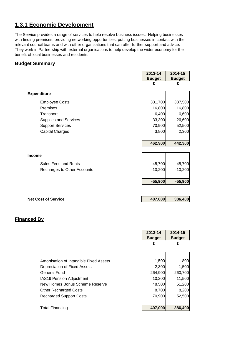# **1.3.1 Economic Development**

The Service provides a range of services to help resolve business issues. Helping businesses with finding premises, providing networking opportunities, putting businesses in contact with the relevant council teams and with other organisations that can offer further support and advice. They work in Partnership with external organisations to help develop the wider economy for the benefit of local businesses and residents.

### **Budget Summary**

|                              | 2013-14       | 2014-15       |
|------------------------------|---------------|---------------|
|                              | <b>Budget</b> | <b>Budget</b> |
|                              | £             | £             |
| <b>Expenditure</b>           |               |               |
| <b>Employee Costs</b>        | 331,700       | 337,500       |
| Premises                     | 16,800        | 16,800        |
| Transport                    | 6,400         | 6,600         |
| <b>Supplies and Services</b> | 33,300        | 26,600        |
| <b>Support Services</b>      | 70,900        | 52,500        |
| <b>Capital Charges</b>       | 3,800         | 2,300         |
|                              |               |               |
|                              | 462,900       | 442,300       |
|                              |               |               |
| <b>Income</b>                |               |               |
| Sales Fees and Rents         | $-45,700$     | $-45,700$     |
| Recharges to Other Accounts  | $-10,200$     | $-10,200$     |
|                              |               |               |
|                              | $-55,900$     | $-55,900$     |
|                              |               |               |
| <b>Net Cost of Service</b>   | 407,000       | 386,400       |
|                              |               |               |
|                              |               |               |
| <b>Financed By</b>           |               |               |
|                              |               |               |
|                              | $2013 - 14$   | $2014 - 15$   |
|                              | <b>Budget</b> | <b>Budget</b> |
|                              | £             | £             |
|                              |               |               |

| <b>Total Financing</b>                  | 407,000 |         | 386,400 |
|-----------------------------------------|---------|---------|---------|
| <b>Recharged Support Costs</b>          |         | 70,900  | 52,500  |
|                                         |         |         |         |
| <b>Other Recharged Costs</b>            |         | 8,700   | 8,200   |
| New Homes Bonus Scheme Reserve          |         | 48,500  | 51,200  |
| <b>IAS19 Pension Adjustment</b>         |         | 10,200  | 11,500  |
| <b>General Fund</b>                     |         | 264,900 | 260,700 |
| Depreciation of Fixed Assets            |         | 2,300   | 1,500   |
| Amortisation of Intangible Fixed Assets |         | 1,500   | 800     |
|                                         |         |         |         |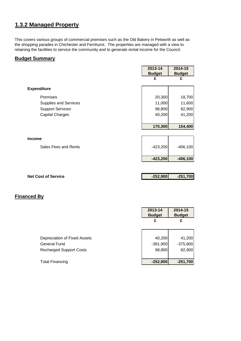# **1.3.2 Managed Property**

This covers various groups of commercial premises such as the Old Bakery in Petworth as well as the shopping parades in Chichester and Fernhurst. The properties are managed with a view to retaining the facilities to service the community and to generate rental income for the Council.

### **Budget Summary**

|                              | 2013-14       | 2014-15       |
|------------------------------|---------------|---------------|
|                              | <b>Budget</b> | <b>Budget</b> |
|                              | £             | £             |
|                              |               |               |
| <b>Expenditure</b>           |               |               |
| Premises                     | 20,300        | 18,700        |
| <b>Supplies and Services</b> | 11,000        | 11,600        |
| <b>Support Services</b>      | 98,800        | 82,900        |
| <b>Capital Charges</b>       | 40,200        | 41,200        |
|                              |               |               |
|                              | 170,300       | 154,400       |
|                              |               |               |
| Income                       |               |               |
| Sales Fees and Rents         | $-423,200$    | $-406,100$    |
|                              | $-423,200$    | $-406,100$    |
|                              |               |               |
|                              |               |               |
| <b>Net Cost of Service</b>   | $-252,900$    | $-251,700$    |

|                                | 2013-14<br><b>Budget</b> | 2014-15<br><b>Budget</b> |
|--------------------------------|--------------------------|--------------------------|
|                                | £                        | £                        |
|                                |                          |                          |
| Depreciation of Fixed Assets   | 40,200                   | 41,200                   |
| General Fund                   | $-391,900$               | $-375,800$               |
| <b>Recharged Support Costs</b> | 98,800                   | 82,900                   |
|                                |                          |                          |
| <b>Total Financing</b>         | $-252,900$               | $-251,700$               |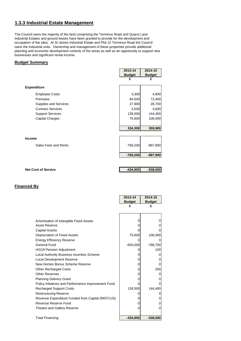# **1.3.3 Industrial Estate Management**

The Council owns the majority of the land comprising the Terminus Road and Quarry Lane industrial Estates and ground leases have been granted to provide for the development and occupation of the sites. At St James Industrial Estate and Plot 12 Terminus Road the Council owns the Industrial units. Ownership and management of these properties provide additional planning and economic development controls of the areas as well as an opportunity to support new businesses and significant rental income.

## **Budget Summary**

|                            | 2013-14       | 2014-15       |
|----------------------------|---------------|---------------|
|                            | <b>Budget</b> | <b>Budget</b> |
|                            | £             | £             |
| <b>Expenditure</b>         |               |               |
| <b>Employee Costs</b>      | 3,300         | 4,800         |
| Premises                   | 84,500        | 72,400        |
| Supplies and Services      | 27,900        | 28,700        |
| <b>Contract Services</b>   | 3,500         | 3,600         |
| <b>Support Services</b>    | 139,500       | 144,400       |
| <b>Capital Charges</b>     | 75,600        | 106,000       |
|                            | 334,300       | 359,900       |
| <b>Income</b>              |               |               |
| Sales Fees and Rents       | $-769,200$    | $-897,900$    |
|                            | $-769,200$    | $-897,900$    |
|                            |               |               |
| <b>Net Cost of Service</b> | $-434,900$    | $-538,000$    |

|                                                     | 2013-14       | 2014-15       |
|-----------------------------------------------------|---------------|---------------|
|                                                     | <b>Budget</b> | <b>Budget</b> |
|                                                     | £             | £             |
|                                                     |               |               |
|                                                     |               |               |
| Amortisation of Intangible Fixed Assets             | 0             | 0             |
| <b>Asset Reserve</b>                                | 0             |               |
| <b>Capital Grants</b>                               | 0             |               |
| Depreciation of Fixed Assets                        | 75,600        | 106,000       |
| <b>Energy Efficiency Reserve</b>                    | 0             |               |
| General Fund                                        | $-650,000$    | $-788,700$    |
| IAS19 Pension Adjustment                            |               | 100           |
| Local Authority Business Incentive Scheme           | 0             | 0             |
| <b>Local Development Reserve</b>                    | 0             |               |
| New Homes Bonus Scheme Reserve                      | 0             | $\mathbf{0}$  |
| <b>Other Recharged Costs</b>                        | 0             | 200           |
| <b>Other Reserves</b>                               | 0             |               |
| <b>Planning Delivery Grant</b>                      | 0             |               |
| Policy Initiatives and Performance Improvement Fund | 0             |               |
| <b>Recharged Support Costs</b>                      | 139,500       | 144,400       |
| <b>Restructuring Reserve</b>                        |               |               |
| Revenue Expenditure Funded from Capital (REFCUS)    | 0             | 0             |
| Revenue Reserve Fund                                | 0             | O             |
| Theatre and Gallery Reserve                         | 0             | 0             |
|                                                     |               |               |
| <b>Total Financing</b>                              | $-434,900$    | $-538,000$    |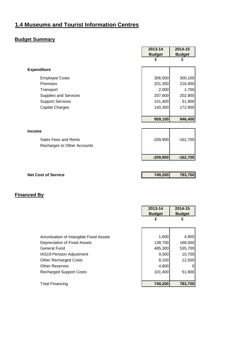# <span id="page-25-0"></span>**1.4 Museums and Tourist Information Centres**

# **Budget Summary**

|                                                                                   | 2013-14               | 2014-15               |
|-----------------------------------------------------------------------------------|-----------------------|-----------------------|
|                                                                                   | <b>Budget</b>         | <b>Budget</b>         |
|                                                                                   | £                     | £                     |
|                                                                                   |                       |                       |
| <b>Expenditure</b>                                                                |                       |                       |
| <b>Employee Costs</b>                                                             | 306,500               | 300,100               |
| Premises                                                                          | 201,300               | 216,900               |
| Transport                                                                         | 2,000                 | 1,700                 |
| Supplies and Services                                                             | 207,600               | 202,900               |
| <b>Support Services</b>                                                           | 101,400               | 51,900                |
| <b>Capital Charges</b>                                                            | 140,300               | 172,900               |
|                                                                                   |                       |                       |
|                                                                                   | 959,100               | 946,400               |
|                                                                                   |                       |                       |
| <b>Income</b>                                                                     |                       |                       |
|                                                                                   |                       |                       |
|                                                                                   |                       |                       |
|                                                                                   |                       |                       |
|                                                                                   | $-209,900$            | $-162,700$            |
|                                                                                   |                       |                       |
|                                                                                   |                       |                       |
|                                                                                   |                       |                       |
|                                                                                   |                       |                       |
|                                                                                   |                       |                       |
| Sales Fees and Rents<br>Recharges to Other Accounts<br><b>Net Cost of Service</b> | $-209,900$<br>749,200 | $-162,700$<br>783,700 |

|                                         | 2013-14       | 2014-15       |
|-----------------------------------------|---------------|---------------|
|                                         | <b>Budget</b> | <b>Budget</b> |
|                                         | £             | £             |
|                                         |               |               |
|                                         |               |               |
| Amortisation of Intangible Fixed Assets | 1,600         | 4,900         |
| Depreciation of Fixed Assets            | 138,700       | 168,000       |
| <b>General Fund</b>                     | 485,300       | 535,700       |
| <b>IAS19 Pension Adjustment</b>         | 9,300         | 10,700        |
| <b>Other Recharged Costs</b>            | 8,100         | 12,500        |
| <b>Other Reserves</b>                   | 4,800         | 0             |
| <b>Recharged Support Costs</b>          | 101,400       | 51,900        |
|                                         |               |               |
| <b>Total Financing</b>                  | 749,200       | 783,700       |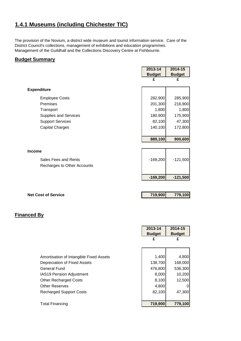# **1.4.1 Museums (including Chichester TIC)**

The provision of the Novium, a district wide museum and tourist information service. Care of the District Council's collections, management of exhibitions and education programmes. Management of the Guildhall and the Collections Discovery Centre at Fishbourne.

### **Budget Summary**

|                              | 2013-14       | 2014-15       |
|------------------------------|---------------|---------------|
|                              | <b>Budget</b> | <b>Budget</b> |
|                              | £             | £             |
|                              |               |               |
| <b>Expenditure</b>           |               |               |
| <b>Employee Costs</b>        | 282,900       | 285,900       |
| Premises                     | 201,300       | 216,900       |
| Transport                    | 1,800         | 1,800         |
| <b>Supplies and Services</b> | 180,900       | 175,900       |
| <b>Support Services</b>      | 82,100        | 47,300        |
| <b>Capital Charges</b>       | 140,100       | 172,800       |
|                              |               |               |
|                              | 889,100       | 900,600       |
|                              |               |               |
| <b>Income</b>                |               |               |
| Sales Fees and Rents         | $-169,200$    | $-121,500$    |
| Recharges to Other Accounts  |               |               |
|                              |               |               |
|                              | $-169,200$    | $-121,500$    |
|                              |               |               |

| <b>Net Cost of Service</b> | 719,900 | 779,100 |
|----------------------------|---------|---------|
|                            |         |         |

|                                         | 2013-14<br><b>Budget</b> | 2014-15<br><b>Budget</b> |
|-----------------------------------------|--------------------------|--------------------------|
|                                         | £                        | £                        |
|                                         |                          |                          |
| Amortisation of Intangible Fixed Assets | 1,400                    | 4,800                    |
| Depreciation of Fixed Assets            | 138,700                  | 168,000                  |
| General Fund                            | 476,800                  | 536,300                  |
| <b>IAS19 Pension Adjustment</b>         | 8,000                    | 10,200                   |
| <b>Other Recharged Costs</b>            | 8,100                    | 12,500                   |
| <b>Other Reserves</b>                   | 4,800                    |                          |
| <b>Recharged Support Costs</b>          | 82,100                   | 47,300                   |
|                                         |                          |                          |
| <b>Total Financing</b>                  | 719,900                  | 779,100                  |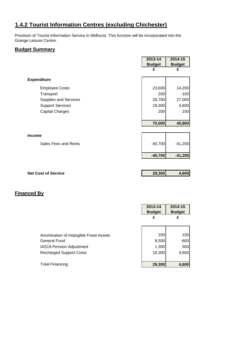# **1.4.2 Tourist Information Centres (excluding Chichester)**

Provision of Tourist Information Service in Midhurst. This function will be incorporated into the Grange Leisure Centre.

# **Budget Summary**

|                            | 2013-14       | 2014-15       |
|----------------------------|---------------|---------------|
|                            | <b>Budget</b> | <b>Budget</b> |
|                            | £             | £             |
| <b>Expenditure</b>         |               |               |
| <b>Employee Costs</b>      | 23,600        | 14,200        |
| Transport                  | 200           | $-100$        |
| Supplies and Services      | 26,700        | 27,000        |
| <b>Support Services</b>    | 19,300        | 4,600         |
| <b>Capital Charges</b>     | 200           | 100           |
|                            |               |               |
|                            | 70,000        | 45,800        |
|                            |               |               |
| <b>Income</b>              |               |               |
| Sales Fees and Rents       | $-40,700$     | $-41,200$     |
|                            | $-40,700$     | $-41,200$     |
|                            |               |               |
| <b>Net Cost of Service</b> | 29,300        | 4,600         |
|                            |               |               |
|                            |               |               |

|                                         | 2013-14<br><b>Budget</b> | 2014-15<br><b>Budget</b> |
|-----------------------------------------|--------------------------|--------------------------|
|                                         | £                        | £                        |
|                                         |                          |                          |
| Amortisation of Intangible Fixed Assets | 200                      | 100                      |
| <b>General Fund</b>                     | 8,500                    | $-600$                   |
| <b>IAS19 Pension Adjustment</b>         | 1,300                    | 500                      |
| <b>Recharged Support Costs</b>          | 19,300                   | 4,600                    |
|                                         |                          |                          |
| <b>Total Financing</b>                  | 29,300                   | 4,600                    |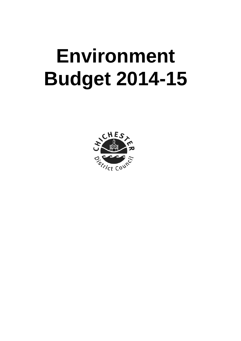# <span id="page-28-0"></span>**Environment Budget 2014-15**

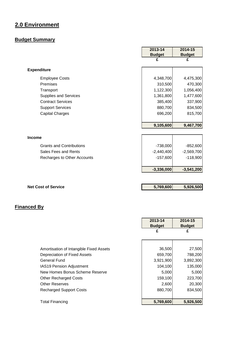# **2.0 Environment**

# **Budget Summary**

|                                 | 2013-14       | 2014-15       |
|---------------------------------|---------------|---------------|
|                                 | <b>Budget</b> | <b>Budget</b> |
|                                 | £             | £             |
| <b>Expenditure</b>              |               |               |
| <b>Employee Costs</b>           | 4,348,700     | 4,475,300     |
| Premises                        | 310,500       | 470,300       |
| Transport                       | 1,122,300     | 1,056,400     |
| Supplies and Services           | 1,361,800     | 1,477,600     |
| <b>Contract Services</b>        | 385,400       | 337,900       |
| <b>Support Services</b>         | 880,700       | 834,500       |
| <b>Capital Charges</b>          | 696,200       | 815,700       |
|                                 | 9,105,600     | 9,467,700     |
|                                 |               |               |
| <b>Income</b>                   |               |               |
| <b>Grants and Contributions</b> | $-738,000$    | $-852,600$    |
| Sales Fees and Rents            | $-2,440,400$  | $-2,569,700$  |
| Recharges to Other Accounts     | $-157,600$    | $-118,900$    |
|                                 | $-3,336,000$  | $-3,541,200$  |
|                                 |               |               |
| <b>Net Cost of Service</b>      | 5,769,600     | 5,926,500     |

|                                         | 2013-14<br><b>Budget</b> | 2014-15<br><b>Budget</b> |
|-----------------------------------------|--------------------------|--------------------------|
|                                         | £                        | £                        |
|                                         |                          |                          |
| Amortisation of Intangible Fixed Assets | 36,500                   | 27,500                   |
| Depreciation of Fixed Assets            | 659,700                  | 788,200                  |
| General Fund                            | 3,921,900                | 3,892,300                |
| <b>IAS19 Pension Adjustment</b>         | 104,100                  | 135,000                  |
| New Homes Bonus Scheme Reserve          | 5,000                    | 5,000                    |
| <b>Other Recharged Costs</b>            | 159,100                  | 223,700                  |
| <b>Other Reserves</b>                   | 2,600                    | 20,300                   |
| <b>Recharged Support Costs</b>          | 880,700                  | 834,500                  |
| <b>Total Financing</b>                  | 5,769,600                | 5,926,500                |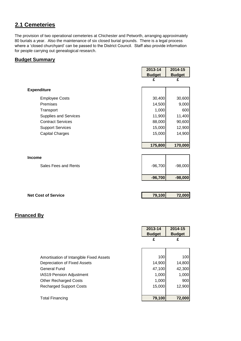# <span id="page-30-0"></span>**2.1 Cemeteries**

The provision of two operational cemeteries at Chichester and Petworth, arranging approximately 80 burials a year. Also the maintenance of six closed burial grounds. There is a legal process where a 'closed churchyard' can be passed to the District Council. Staff also provide information for people carrying out genealogical research.

### **Budget Summary**

|                          | 2013-14       | 2014-15       |
|--------------------------|---------------|---------------|
|                          | <b>Budget</b> | <b>Budget</b> |
|                          | £             | £             |
|                          |               |               |
| <b>Expenditure</b>       |               |               |
| <b>Employee Costs</b>    | 30,400        | 30,600        |
| Premises                 | 14,500        | 9,000         |
| Transport                | 1,000         | 600           |
| Supplies and Services    | 11,900        | 11,400        |
| <b>Contract Services</b> | 88,000        | 90,600        |
| <b>Support Services</b>  | 15,000        | 12,900        |
| <b>Capital Charges</b>   | 15,000        | 14,900        |
|                          |               |               |
|                          | 175,800       | 170,000       |
|                          |               |               |
| <b>Income</b>            |               |               |
| Sales Fees and Rents     | $-96,700$     | $-98,000$     |
|                          |               |               |
|                          | $-96,700$     | $-98,000$     |
|                          |               |               |

| <b>Net Cost of Service</b> | 79.100 | 72,000 |
|----------------------------|--------|--------|
|                            |        |        |

|                                                                                                                                                                                                     | 2013-14<br><b>Budget</b><br>£                       | 2014-15<br><b>Budget</b><br>£                     |
|-----------------------------------------------------------------------------------------------------------------------------------------------------------------------------------------------------|-----------------------------------------------------|---------------------------------------------------|
| Amortisation of Intangible Fixed Assets<br>Depreciation of Fixed Assets<br><b>General Fund</b><br><b>IAS19 Pension Adjustment</b><br><b>Other Recharged Costs</b><br><b>Recharged Support Costs</b> | 100<br>14,900<br>47,100<br>1,000<br>1,000<br>15,000 | 100<br>14,800<br>42,300<br>1,000<br>900<br>12,900 |
| <b>Total Financing</b>                                                                                                                                                                              | 79,100                                              | 72,000                                            |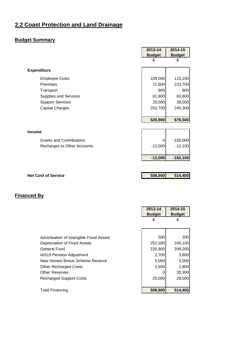# <span id="page-31-0"></span>**2.2 Coast Protection and Land Drainage**

# **Budget Summary**

|                                 | 2013-14       | 2014-15       |
|---------------------------------|---------------|---------------|
|                                 | <b>Budget</b> | <b>Budget</b> |
|                                 | £             | £             |
| <b>Expenditure</b>              |               |               |
| <b>Employee Costs</b>           | 109,000       | 115,100       |
| <b>Premises</b>                 | 71,600        | 223,700       |
| Transport                       | 800           | 800           |
| Supplies and Services           | 61,800        | 63,600        |
| <b>Support Services</b>         | 25,000        | 28,000        |
| <b>Capital Charges</b>          | 252,700       | 245,300       |
|                                 |               |               |
|                                 | 520,900       | 676,500       |
|                                 |               |               |
| <b>Income</b>                   |               |               |
| <b>Grants and Contributions</b> | 0             | $-150,000$    |
| Recharges to Other Accounts     | $-12,000$     | $-12,100$     |
|                                 |               |               |
|                                 | $-12,000$     | $-162,100$    |
|                                 |               |               |
| <b>Net Cost of Service</b>      | 508,900       | 514,400       |
|                                 |               |               |

|                                         | 2013-14       | 2014-15       |  |
|-----------------------------------------|---------------|---------------|--|
|                                         | <b>Budget</b> | <b>Budget</b> |  |
|                                         | £             | £             |  |
|                                         |               |               |  |
|                                         |               |               |  |
| Amortisation of Intangible Fixed Assets | 500           | 200           |  |
| Depreciation of Fixed Assets            | 252,200       | 245,100       |  |
| General Fund                            | 220,900       | 209,200       |  |
| IAS19 Pension Adjustment                | 2,700         | 3,800         |  |
| New Homes Bonus Scheme Reserve          | 5,000         | 5,000         |  |
| <b>Other Recharged Costs</b>            | 2,600         | 2,800         |  |
| <b>Other Reserves</b>                   |               | 20,300        |  |
| <b>Recharged Support Costs</b>          | 25,000        | 28,000        |  |
|                                         |               |               |  |
| <b>Total Financing</b>                  | 508,900       | 514,400       |  |
|                                         |               |               |  |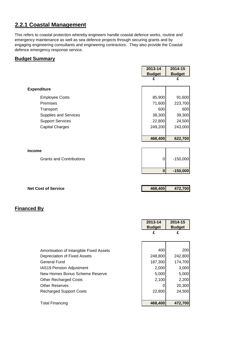# **2.2.1 Coastal Management**

This refers to coastal protection whereby engineers handle coastal defence works, routine and emergency maintenance as well as sea defence projects through securing grants and by engaging engineering consultants and engineering contractors. They also provide the Coastal defence emergency response service.

### **Budget Summary**

|                                 | 2013-14       | 2014-15       |
|---------------------------------|---------------|---------------|
|                                 | <b>Budget</b> | <b>Budget</b> |
|                                 | £             | £             |
|                                 |               |               |
| <b>Expenditure</b>              |               |               |
| <b>Employee Costs</b>           | 85,900        | 91,600        |
| Premises                        | 71,600        | 223,700       |
| Transport                       | 600           | 600           |
| <b>Supplies and Services</b>    | 38,300        | 39,300        |
| <b>Support Services</b>         | 22,800        | 24,500        |
| <b>Capital Charges</b>          | 249,200       | 243,000       |
|                                 |               |               |
|                                 | 468,400       | 622,700       |
|                                 |               |               |
| <b>Income</b>                   |               |               |
|                                 |               |               |
| <b>Grants and Contributions</b> | 0             | $-150,000$    |
|                                 |               |               |
|                                 | $\bf{0}$      | $-150,000$    |
|                                 |               |               |
|                                 |               |               |
| <b>Net Cost of Service</b>      | 468,400       | 472,700       |

|                                         | 2013-14       | 2014-15       |
|-----------------------------------------|---------------|---------------|
|                                         | <b>Budget</b> | <b>Budget</b> |
|                                         | £             | £             |
|                                         |               |               |
|                                         |               |               |
| Amortisation of Intangible Fixed Assets | 400           | 200           |
| Depreciation of Fixed Assets            | 248,800       | 242,800       |
| General Fund                            | 187,300       | 174,700       |
| <b>IAS19 Pension Adjustment</b>         | 2,000         | 3,000         |
| New Homes Bonus Scheme Reserve          | 5,000         | 5,000         |
| <b>Other Recharged Costs</b>            | 2,100         | 2,200         |
| <b>Other Reserves</b>                   |               | 20,300        |
| <b>Recharged Support Costs</b>          | 22,800        | 24,500        |
|                                         |               |               |
| <b>Total Financing</b>                  | 468,400       | 472,700       |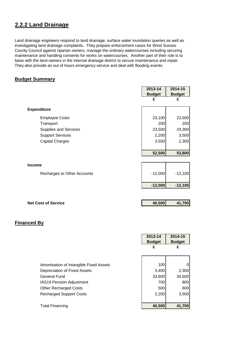# **2.2.2 Land Drainage**

Land drainage engineers respond to land drainage, surface water inundation queries as well as investigating land drainage complaints. They prepare enforcement cases for West Sussex County Council against riparian owners, manage the ordinary watercourses including securing maintenance and handling consents for works on watercourses. Another part of their role is to liaise with the land owners in the internal drainage district to secure maintenance and repair. They also provide an out of hours emergency service and deal with flooding events.

# **Budget Summary**

|                              | 2013-14       | 2014-15       |
|------------------------------|---------------|---------------|
|                              | <b>Budget</b> | <b>Budget</b> |
|                              | £             | £             |
| <b>Expenditure</b>           |               |               |
| <b>Employee Costs</b>        | 23,100        | 23,500        |
| Transport                    | 200           | 200           |
| <b>Supplies and Services</b> | 23,500        | 24,300        |
| <b>Support Services</b>      | 2,200         | 3,500         |
| <b>Capital Charges</b>       | 3,500         | 2,300         |
|                              |               |               |
|                              | 52,500        | 53,800        |
|                              |               |               |
| <b>Income</b>                |               |               |
| Recharges to Other Accounts  | $-12,000$     | $-12,100$     |
|                              |               |               |
|                              | $-12,000$     | $-12,100$     |
|                              |               |               |
| <b>Net Cost of Service</b>   | 40,500        | 41,700        |
|                              |               |               |

|                                         | 2013-14       | 2014-15       |
|-----------------------------------------|---------------|---------------|
|                                         | <b>Budget</b> | <b>Budget</b> |
|                                         | £             | £             |
|                                         |               |               |
|                                         |               |               |
| Amortisation of Intangible Fixed Assets | 100           |               |
| Depreciation of Fixed Assets            | 3,400         | 2,300         |
| General Fund                            | 33,600        | 34,500        |
| <b>IAS19 Pension Adjustment</b>         | 700           | 800           |
| <b>Other Recharged Costs</b>            | 500           | 600           |
| <b>Recharged Support Costs</b>          | 2,200         | 3,500         |
|                                         |               |               |
| <b>Total Financing</b>                  | 40,500        | 41,700        |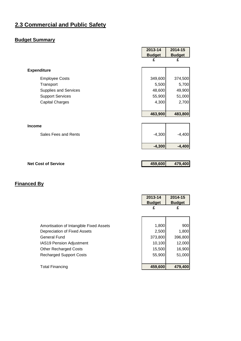# <span id="page-34-0"></span>**2.3 Commercial and Public Safety**

# **Budget Summary**

|                            | 2013-14       | 2014-15       |
|----------------------------|---------------|---------------|
|                            | <b>Budget</b> | <b>Budget</b> |
|                            | £             | £             |
| <b>Expenditure</b>         |               |               |
| <b>Employee Costs</b>      | 349,600       | 374,500       |
| Transport                  | 5,500         | 5,700         |
| Supplies and Services      | 48,600        | 49,900        |
| <b>Support Services</b>    | 55,900        | 51,000        |
| <b>Capital Charges</b>     | 4,300         | 2,700         |
|                            |               |               |
|                            | 463,900       | 483,800       |
|                            |               |               |
| <b>Income</b>              |               |               |
| Sales Fees and Rents       | $-4,300$      | $-4,400$      |
|                            |               |               |
|                            | $-4,300$      | $-4,400$      |
|                            |               |               |
|                            |               |               |
| <b>Net Cost of Service</b> | 459,600       | 479,400       |

|                                         | 2013-14       | 2014-15       |
|-----------------------------------------|---------------|---------------|
|                                         | <b>Budget</b> | <b>Budget</b> |
|                                         | £             | £             |
|                                         |               |               |
|                                         |               |               |
| Amortisation of Intangible Fixed Assets | 1,800         | 900           |
| Depreciation of Fixed Assets            | 2,500         | 1,800         |
| <b>General Fund</b>                     | 373,800       | 396,800       |
| <b>IAS19 Pension Adjustment</b>         | 10,100        | 12,000        |
| <b>Other Recharged Costs</b>            | 15,500        | 16,900        |
| <b>Recharged Support Costs</b>          | 55,900        | 51,000        |
|                                         |               |               |
| Total Financing                         | 459,600       | 479,400       |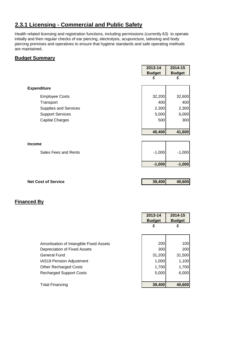# **2.3.1 Licensing - Commercial and Public Safety**

Health related licensing and registration functions, including permissions (currently 63) to operate initially and then regular checks of ear piercing, electrolysis, acupuncture, tattooing and body piercing premises and operatives to ensure that hygiene standards and safe operating methods are maintained.

 $\blacksquare$ 

# **Budget Summary**

|                         | 2013-14       | 2014-15       |
|-------------------------|---------------|---------------|
|                         | <b>Budget</b> | <b>Budget</b> |
|                         | £             | £             |
|                         |               |               |
| <b>Expenditure</b>      |               |               |
| <b>Employee Costs</b>   | 32,200        | 32,600        |
| Transport               | 400           | 400           |
| Supplies and Services   | 2,300         | 2,300         |
| <b>Support Services</b> | 5,000         | 6,000         |
| <b>Capital Charges</b>  | 500           | 300           |
|                         |               |               |
|                         | 40,400        | 41,600        |
|                         |               |               |
| <b>Income</b>           |               |               |
| Sales Fees and Rents    | $-1,000$      | $-1,000$      |
|                         | $-1,000$      | $-1,000$      |
|                         |               |               |
|                         |               |               |

**Net Cost of Service 2018 2019 20:00 20:00 20:00 20:00 20:00 20:00 20:00 20:00 20:00 20:00 20:00 20:00 20:00 20:00 20:00 20:00 20:00 20:00 20:00 20:00 20:00 20:00 20:00 20:00 20:00 20:00 20:00 20:00 20:00 20:00 20:00 20:00** 

|                                         | 2013-14<br><b>Budget</b> | 2014-15<br><b>Budget</b> |
|-----------------------------------------|--------------------------|--------------------------|
|                                         | £                        | £                        |
|                                         |                          |                          |
| Amortisation of Intangible Fixed Assets | 200                      | 100l                     |
| Depreciation of Fixed Assets            | 300                      | <b>2001</b>              |
| <b>General Fund</b>                     | 31,200                   | 31,500                   |
| <b>IAS19 Pension Adjustment</b>         | 1,000                    | 1,100                    |
| <b>Other Recharged Costs</b>            | 1,700                    | 1,700                    |
| <b>Recharged Support Costs</b>          | 5,000                    | 6,000                    |
|                                         |                          |                          |
| Total Financing                         | 39,400                   | 40,600                   |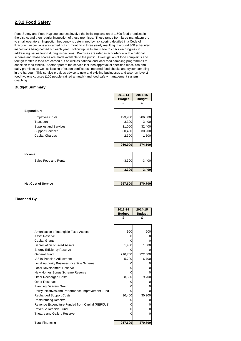## **2.3.2 Food Safety**

Food Safety and Food Hygiene courses involve the initial registration of 1,500 food premises in the district and then regular inspection of those premises. These range from large manufacturers to small operators. Inspection frequency is determined by risk scoring detailed in a Code of Practice. Inspections are carried out six monthly to three yearly resulting in around 800 scheduled inspections being carried out each year. Follow up visits are made to check on progress in addressing issues found during inspections. Premises are rated in accordance with a national scheme and those scores are made available to the public. Investigation of food complaints and foreign matter in food are carried out as well as national and local food sampling programmes to check on food fitness. Another part of the service includes approval of specified meat, fish and dairy premises as well as issuing of export certificates, imported food checks and oyster sampling in the harbour. This service provides advice to new and existing businesses and also run level 2 food hygiene courses (100 people trained annually) and food safety management system coaching.

#### **Budget Summary**

|                              | 2013-14       | 2014-15       |
|------------------------------|---------------|---------------|
|                              | <b>Budget</b> | <b>Budget</b> |
|                              | £             | £             |
| <b>Expenditure</b>           |               |               |
| <b>Employee Costs</b>        | 193,900       | 206,600       |
| Transport                    | 3,300         | 3,400         |
| <b>Supplies and Services</b> | 31,000        | 32,400        |
| <b>Support Services</b>      | 30,400        | 30,200        |
| <b>Capital Charges</b>       | 2,300         | 1,500         |
|                              |               |               |
|                              | 260,900       | 274,100       |
|                              |               |               |
| <b>Income</b>                |               |               |
| Sales Fees and Rents         | $-3,300$      | $-3,400$      |
|                              |               |               |
|                              | $-3,300$      | $-3,400$      |
|                              |               |               |
| <b>Net Cost of Service</b>   | 257,600       | 270,700       |

| <b>Financed By</b> |  |
|--------------------|--|
|                    |  |

|                                                     | 2013-14       | 2014-15       |
|-----------------------------------------------------|---------------|---------------|
|                                                     | <b>Budget</b> | <b>Budget</b> |
|                                                     | £             | £             |
|                                                     |               |               |
|                                                     |               |               |
| Amortisation of Intangible Fixed Assets             | 900           | 500           |
| Asset Reserve                                       |               |               |
| <b>Capital Grants</b>                               |               |               |
| Depreciation of Fixed Assets                        | 1,400         | 1,000         |
| <b>Energy Efficiency Reserve</b>                    |               |               |
| General Fund                                        | 210,700       | 222,600       |
| <b>IAS19 Pension Adjustment</b>                     | 5,700         | 6,700         |
| Local Authority Business Incentive Scheme           |               |               |
| <b>Local Development Reserve</b>                    |               |               |
| New Homes Bonus Scheme Reserve                      |               |               |
| <b>Other Recharged Costs</b>                        | 8,500         | 9,700         |
| <b>Other Reserves</b>                               |               |               |
| <b>Planning Delivery Grant</b>                      |               |               |
| Policy Initiatives and Performance Improvement Fund |               |               |
| <b>Recharged Support Costs</b>                      | 30,400        | 30,200        |
| <b>Restructuring Reserve</b>                        |               |               |
| Revenue Expenditure Funded from Capital (REFCUS)    |               |               |
| Revenue Reserve Fund                                |               |               |
| Theatre and Gallery Reserve                         |               |               |
|                                                     |               |               |
| <b>Total Financing</b>                              | 257,600       | 270,700       |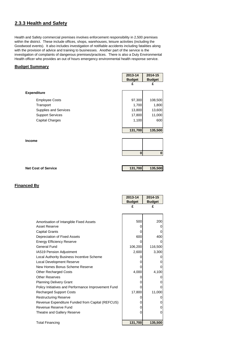## **2.3.3 Health and Safety**

Health and Safety commercial premises involves enforcement responsibility in 2,500 premises within the district. These include offices, shops, warehouses, leisure activities (including the Goodwood events). It also includes investigation of notifiable accidents including fatalities along with the provision of advice and training to businesses. Another part of the service is the investigation of complaints of dangerous premises/practices. There is also a Duty Environmental Health officer who provides an out of hours emergency environmental health response service.

#### **Budget Summary**

|                         | 2013-14       | 2014-15       |
|-------------------------|---------------|---------------|
|                         | <b>Budget</b> | <b>Budget</b> |
|                         | £             | £             |
|                         |               |               |
| <b>Expenditure</b>      |               |               |
| <b>Employee Costs</b>   | 97,300        | 108,500       |
| Transport               | 1,700         | 1,800         |
| Supplies and Services   | 13,800        | 13,600        |
| <b>Support Services</b> | 17,800        | 11,000        |
| <b>Capital Charges</b>  | 1,100         | 600           |
|                         |               |               |
|                         | 131,700       | 135,500       |
|                         |               |               |
| <b>Income</b>           |               |               |
|                         |               |               |
|                         | $\bf{0}$      | $\bf{0}$      |
|                         |               |               |

| <b>Net Cost of Service</b> | 131,700 | 135,500 |
|----------------------------|---------|---------|
|                            |         |         |

|                                                     | 2013-14       | 2014-15       |
|-----------------------------------------------------|---------------|---------------|
|                                                     | <b>Budget</b> | <b>Budget</b> |
|                                                     | £             | £             |
|                                                     |               |               |
|                                                     |               |               |
| Amortisation of Intangible Fixed Assets             | 500           | 200           |
| <b>Asset Reserve</b>                                |               | O             |
| <b>Capital Grants</b>                               |               |               |
| Depreciation of Fixed Assets                        | 600           | 400           |
| <b>Energy Efficiency Reserve</b>                    | Ω             | O             |
| <b>General Fund</b>                                 | 106,200       | 116,500       |
| IAS19 Pension Adjustment                            | 2,600         | 3,300         |
| Local Authority Business Incentive Scheme           |               |               |
| <b>Local Development Reserve</b>                    |               |               |
| New Homes Bonus Scheme Reserve                      |               |               |
| <b>Other Recharged Costs</b>                        | 4,000         | 4,100         |
| <b>Other Reserves</b>                               |               |               |
| <b>Planning Delivery Grant</b>                      |               | O             |
| Policy Initiatives and Performance Improvement Fund |               |               |
| <b>Recharged Support Costs</b>                      | 17,800        | 11,000        |
| <b>Restructuring Reserve</b>                        |               | 0             |
| Revenue Expenditure Funded from Capital (REFCUS)    | 0             | 0             |
| Revenue Reserve Fund                                | $\Box$        | 0             |
| Theatre and Gallery Reserve                         | Ω             |               |
|                                                     |               |               |
| <b>Total Financing</b>                              | 131,700       | 135,500       |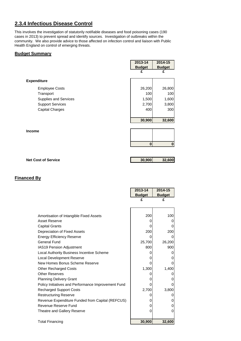## **2.3.4 Infectious Disease Control**

This involves the investigation of statutorily notifiable diseases and food poisoning cases (190 cases in 2013) to prevent spread and identify sources. Investigation of outbreaks within the community. We also provide advice to those affected on infection control and liaison with Public Health England on control of emerging threats.

#### **Budget Summary**

|                              | 2013-14<br><b>Budget</b> | 2014-15<br><b>Budget</b> |
|------------------------------|--------------------------|--------------------------|
|                              | £                        | £                        |
| <b>Expenditure</b>           |                          |                          |
| <b>Employee Costs</b>        | 26,200                   | 26,800                   |
| Transport                    | 100                      | 100                      |
| <b>Supplies and Services</b> | 1,500                    | 1,600                    |
| <b>Support Services</b>      | 2,700                    | 3,800                    |
| <b>Capital Charges</b>       | 400                      | 300                      |
|                              | 30,900                   | 32,600                   |
| <b>Income</b>                |                          |                          |
|                              |                          |                          |

| <b>Net Cost of Service</b> | 30,900 | 32,600 |
|----------------------------|--------|--------|
|                            |        |        |

**0 0**

|                                                     | 2013-14       | 2014-15       |
|-----------------------------------------------------|---------------|---------------|
|                                                     | <b>Budget</b> | <b>Budget</b> |
|                                                     | £             | £             |
|                                                     |               |               |
|                                                     |               |               |
| Amortisation of Intangible Fixed Assets             | 200           | 100           |
| <b>Asset Reserve</b>                                | 0             | O             |
| <b>Capital Grants</b>                               |               |               |
| Depreciation of Fixed Assets                        | 200           | 200           |
| <b>Energy Efficiency Reserve</b>                    |               |               |
| <b>General Fund</b>                                 | 25,700        | 26,200        |
| IAS19 Pension Adjustment                            | 800           | 900           |
| Local Authority Business Incentive Scheme           |               | O             |
| <b>Local Development Reserve</b>                    |               |               |
| New Homes Bonus Scheme Reserve                      |               |               |
| <b>Other Recharged Costs</b>                        | 1,300         | 1,400         |
| <b>Other Reserves</b>                               |               |               |
| <b>Planning Delivery Grant</b>                      |               |               |
| Policy Initiatives and Performance Improvement Fund |               |               |
| <b>Recharged Support Costs</b>                      | 2,700         | 3,800         |
| <b>Restructuring Reserve</b>                        | 0             |               |
| Revenue Expenditure Funded from Capital (REFCUS)    | 0             |               |
| Revenue Reserve Fund                                | 0             |               |
| Theatre and Gallery Reserve                         | 0             | 0             |
|                                                     |               |               |
| <b>Total Financing</b>                              | 30,900        | 32,600        |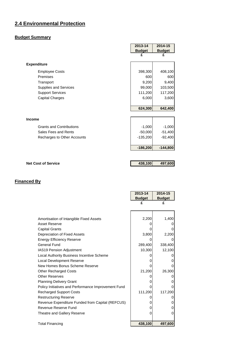## **2.4 Environmental Protection**

## **Budget Summary**

|                                 | 2013-14       | 2014-15       |
|---------------------------------|---------------|---------------|
|                                 | <b>Budget</b> | <b>Budget</b> |
|                                 | £             |               |
| <b>Expenditure</b>              |               |               |
| <b>Employee Costs</b>           | 398,300       | 408,100       |
| Premises                        | 600           | 600           |
| Transport                       | 9,200         | 9,400         |
| Supplies and Services           | 99,000        | 103,500       |
| <b>Support Services</b>         | 111,200       | 117,200       |
| <b>Capital Charges</b>          | 6,000         | 3,600         |
|                                 |               |               |
|                                 | 624,300       | 642,400       |
|                                 |               |               |
| <b>Income</b>                   |               |               |
| <b>Grants and Contributions</b> | $-1,000$      | $-1,000$      |
| Sales Fees and Rents            | $-50,000$     | $-51,400$     |
| Recharges to Other Accounts     | $-135,200$    | $-92,400$     |
|                                 |               |               |
|                                 | $-186,200$    | $-144,800$    |

**Net Cost of Service 128,100 438,100 497,600** 

|                                                     | 2013-14       | 2014-15       |
|-----------------------------------------------------|---------------|---------------|
|                                                     | <b>Budget</b> | <b>Budget</b> |
|                                                     | £             | £             |
|                                                     |               |               |
|                                                     |               |               |
| Amortisation of Intangible Fixed Assets             | 2,200         | 1,400         |
| Asset Reserve                                       |               |               |
| <b>Capital Grants</b>                               |               |               |
| Depreciation of Fixed Assets                        | 3,800         | 2,200         |
| <b>Energy Efficiency Reserve</b>                    | 0             |               |
| <b>General Fund</b>                                 | 289,400       | 338,400       |
| IAS19 Pension Adjustment                            | 10,300        | 12,100        |
| <b>Local Authority Business Incentive Scheme</b>    |               |               |
| <b>Local Development Reserve</b>                    | O             |               |
| New Homes Bonus Scheme Reserve                      |               |               |
| <b>Other Recharged Costs</b>                        | 21,200        | 26,300        |
| <b>Other Reserves</b>                               |               |               |
| <b>Planning Delivery Grant</b>                      |               |               |
| Policy Initiatives and Performance Improvement Fund |               |               |
| <b>Recharged Support Costs</b>                      | 111,200       | 117,200       |
| <b>Restructuring Reserve</b>                        |               |               |
| Revenue Expenditure Funded from Capital (REFCUS)    | 0             | O             |
| Revenue Reserve Fund                                | 0             | O             |
| Theatre and Gallery Reserve                         | 0             | O             |
|                                                     |               |               |
| <b>Total Financing</b>                              | 438,100       | 497,600       |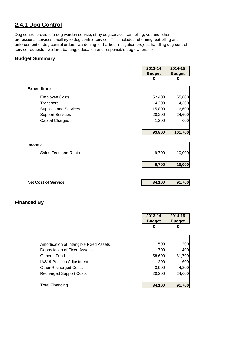## **2.4.1 Dog Control**

Dog control provides a dog warden service, stray dog service, kennelling, vet and other professional services ancillary to dog control service. This includes rehoming, patrolling and enforcement of dog control orders, wardening for harbour mitigation project, handling dog control service requests - welfare, barking, education and responsible dog ownership.

#### **Budget Summary**

|                         | 2013-14       | 2014-15       |
|-------------------------|---------------|---------------|
|                         | <b>Budget</b> | <b>Budget</b> |
|                         | £             | £             |
|                         |               |               |
| <b>Expenditure</b>      |               |               |
| <b>Employee Costs</b>   | 52,400        | 55,600        |
| Transport               | 4,200         | 4,300         |
| Supplies and Services   | 15,800        | 16,600        |
| <b>Support Services</b> | 20,200        | 24,600        |
| <b>Capital Charges</b>  | 1,200         | 600           |
|                         |               |               |
|                         | 93,800        | 101,700       |
|                         |               |               |
| <b>Income</b>           |               |               |
| Sales Fees and Rents    | $-9,700$      | $-10,000$     |
|                         | $-9,700$      |               |
|                         |               | $-10,000$     |
|                         |               |               |
|                         |               |               |

**Net Cost of Service 84,100 91,700** 

|                                         | 2013-14<br><b>Budget</b> | 2014-15<br><b>Budget</b> |
|-----------------------------------------|--------------------------|--------------------------|
|                                         | £                        | £                        |
|                                         |                          |                          |
| Amortisation of Intangible Fixed Assets | 500                      | <b>200</b>               |
| Depreciation of Fixed Assets            | 700                      | 400                      |
| <b>General Fund</b>                     | 58,600                   | 61,700                   |
| <b>IAS19 Pension Adjustment</b>         | 200                      | 600                      |
| <b>Other Recharged Costs</b>            | 3,900                    | 4,200                    |
| <b>Recharged Support Costs</b>          | 20,200                   | 24,600                   |
|                                         |                          |                          |
| Total Financing                         | 84,100                   | 91,700                   |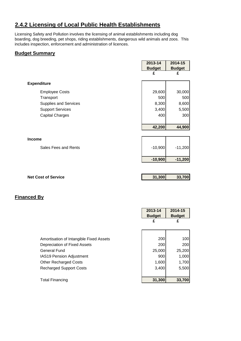## **2.4.2 Licensing of Local Public Health Establishments**

Licensing Safety and Pollution involves the licensing of animal establishments including dog boarding, dog breeding, pet shops, riding establishments, dangerous wild animals and zoos. This includes inspection, enforcement and administration of licences.

#### **Budget Summary**

|                              | 2013-14       | 2014-15       |
|------------------------------|---------------|---------------|
|                              | <b>Budget</b> | <b>Budget</b> |
|                              | £             | £             |
| <b>Expenditure</b>           |               |               |
| <b>Employee Costs</b>        | 29,600        | 30,000        |
| Transport                    | 500           | 500           |
| <b>Supplies and Services</b> | 8,300         | 8,600         |
| <b>Support Services</b>      | 3,400         | 5,500         |
| <b>Capital Charges</b>       | 400           | 300           |
|                              |               |               |
|                              | 42,200        | 44,900        |
|                              |               |               |
| <b>Income</b>                |               |               |
| Sales Fees and Rents         | $-10,900$     | $-11,200$     |
|                              | $-10,900$     | $-11,200$     |
|                              |               |               |
| <b>Net Cost of Service</b>   | 31,300        | 33,700        |

|                                         | 2013-14<br><b>Budget</b> | 2014-15<br><b>Budget</b> |
|-----------------------------------------|--------------------------|--------------------------|
|                                         | £                        | £                        |
|                                         |                          |                          |
| Amortisation of Intangible Fixed Assets | 200                      | 100                      |
| Depreciation of Fixed Assets            | 200                      | 200                      |
| General Fund                            | 25,000                   | 25,200                   |
| <b>IAS19 Pension Adjustment</b>         | 900                      | 1,000                    |
| <b>Other Recharged Costs</b>            | 1,600                    | 1,700                    |
| <b>Recharged Support Costs</b>          | 3,400                    | 5,500                    |
|                                         |                          |                          |
| <b>Total Financing</b>                  | 31,300                   | 33,700                   |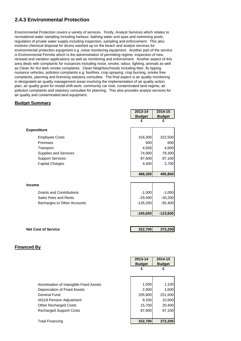## **2.4.3 Environmental Protection**

Environmental Protection covers a variety of services. Firstly, Analyst Services which relates to recreational water sampling including harbour, bathing water and spas and swimming pools, regulation of private water supply including inspection, sampling and enforcement. This also involves chemical disposal for drums washed up on the beach and analyst services for environmental protection equipment e.g .noise monitoring equipment. Another part of the service is Environmental Permits which is the administration of permitting regime, inspection of new, renewal and variation applications as well as monitoring and enforcement. Another aspect of this area deals with complaints for nuisances including noise, smoke, odour, lighting, animals as well as Clean Air Act dark smoke complaints. Clean Neighbourhoods including litter, fly tipping, nuisance vehicles, pollution complaints e.g. bonfires, crop spraying, crop burning, smoke free complaints, planning and licensing statutory consultee. The final aspect is air quality monitoring in designated air quality management areas involving the implementation of air quality action plan, air quality grant for modal shift work, community car club, contaminated land regime, air pollution complaints and statutory consultee for planning. This also provides analyst services for air quality and contaminated land equipment.

#### **Budget Summary**

|                                 | 2013-14       | 2014-15       |
|---------------------------------|---------------|---------------|
|                                 | <b>Budget</b> | <b>Budget</b> |
|                                 | £             | £             |
| <b>Expenditure</b>              |               |               |
| <b>Employee Costs</b>           | 316,300       | 322,500       |
| Premises                        | 600           | 600           |
| Transport                       | 4,500         | 4,600         |
| <b>Supplies and Services</b>    | 74,900        | 78,300        |
| <b>Support Services</b>         | 87,600        | 87,100        |
| <b>Capital Charges</b>          | 4,400         | 2,700         |
|                                 |               |               |
|                                 | 488,300       | 495,800       |
|                                 |               |               |
| <b>Income</b>                   |               |               |
| <b>Grants and Contributions</b> | $-1,000$      | $-1,000$      |
| Sales Fees and Rents            | $-29,400$     | $-30,200$     |
| Recharges to Other Accounts     | $-135,200$    | $-92,400$     |
|                                 |               |               |
|                                 | $-165,600$    | $-123,600$    |
|                                 |               |               |
| <b>Net Cost of Service</b>      | 322,700       | 372,200       |

|                                         | 2013-14<br><b>Budget</b> | 2014-15<br><b>Budget</b> |
|-----------------------------------------|--------------------------|--------------------------|
|                                         | £                        | £                        |
|                                         |                          |                          |
| Amortisation of Intangible Fixed Assets | 1,500                    | 1,100                    |
| Depreciation of Fixed Assets            | 2,900                    | 1,600                    |
| <b>General Fund</b>                     | 205,800                  | 251,500                  |
| <b>IAS19 Pension Adjustment</b>         | 9,200                    | 10,500                   |
| <b>Other Recharged Costs</b>            | 15,700                   | 20,400                   |
| <b>Recharged Support Costs</b>          | 87,600                   | 87,100                   |
| <b>Total Financing</b>                  | 322,700                  | 372,200                  |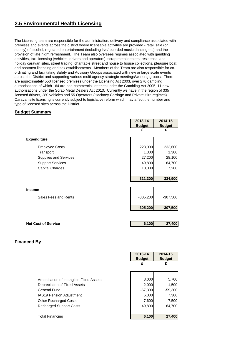## **2.5 Environmental Health Licensing**

The Licensing team are responsible for the administration, delivery and compliance associated with premises and events across the district where licensable activities are provided - retail sale (or supply) of alcohol, regulated entertainment (including live/recorded music,dancing etc) and the provision of late night refreshment. The Team also oversees regimes associated with gambling activities, taxi licensing (vehicles, drivers and operators), scrap metal dealers, residential and holiday caravan sites, street trading, charitable street and house to house collections, pleasure boat and boatmen licensing and sex establishments. Members of the Team are also responsible for coordinating and facilitating Safety and Advisory Groups associated with new or large scale events across the District and supporting various multi-agency strategic meetings/working groups. There are approximately 550 licensed premises under the Licensing Act 2003, over 270 gambling authorisations of which 164 are non-commercial lotteries under the Gambling Act 2005, 11 new authorisations under the Scrap Metal Dealers Act 2013. Currently we have in the region of 335 licensed drivers, 280 vehicles and 55 Operators (Hackney Carriage and Private Hire regimes). Caravan site licensing is currently subject to legislative reform which may affect the number and type of licensed sites across the District.

#### **Budget Summary**

|                              | 2013-14       | 2014-15       |
|------------------------------|---------------|---------------|
|                              | <b>Budget</b> | <b>Budget</b> |
|                              | £             | £             |
| <b>Expenditure</b>           |               |               |
| <b>Employee Costs</b>        | 223,000       | 233,600       |
| Transport                    | 1,300         | 1,300         |
| <b>Supplies and Services</b> | 27,200        | 28,100        |
| <b>Support Services</b>      | 49,800        | 64,700        |
| <b>Capital Charges</b>       | 10,000        | 7,200         |
|                              |               |               |
|                              | 311,300       | 334,900       |
|                              |               |               |
| <b>Income</b>                |               |               |
| Sales Fees and Rents         | $-305,200$    | $-307,500$    |
|                              |               |               |
|                              | $-305,200$    | $-307,500$    |
|                              |               |               |
| <b>Net Cost of Service</b>   | 6,100         | 27,400        |

|                                         | 2013-14<br><b>Budget</b> | 2014-15<br><b>Budget</b> |
|-----------------------------------------|--------------------------|--------------------------|
|                                         | £                        | £                        |
|                                         |                          |                          |
| Amortisation of Intangible Fixed Assets | 8,000                    | 5,700                    |
| Depreciation of Fixed Assets            | 2,000                    | 1,500                    |
| <b>General Fund</b>                     | $-67,300$                | $-59,300$                |
| <b>IAS19 Pension Adjustment</b>         | 6,000                    | 7,300                    |
| <b>Other Recharged Costs</b>            | 7,600                    | 7,500                    |
| <b>Recharged Support Costs</b>          | 49,800                   | 64,700                   |
| <b>Total Financing</b>                  | 6,100                    | 27,400                   |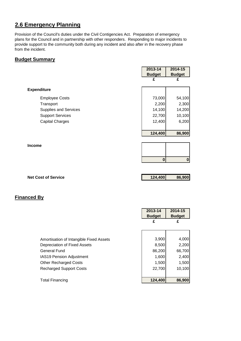## **2.6 Emergency Planning**

Provision of the Council's duties under the Civil Contigencies Act. Preparation of emergency plans for the Council and in partnership with other responders. Responding to major incidents to provide support to the community both during any incident and also after in the recovery phase from the incident.

#### **Budget Summary**

|                              | 2013-14       | 2014-15       |
|------------------------------|---------------|---------------|
|                              | <b>Budget</b> | <b>Budget</b> |
|                              | £             | £             |
| <b>Expenditure</b>           |               |               |
| <b>Employee Costs</b>        | 73,000        | 54,100        |
| Transport                    | 2,200         | 2,300         |
| <b>Supplies and Services</b> | 14,100        | 14,200        |
| <b>Support Services</b>      | 22,700        | 10,100        |
| <b>Capital Charges</b>       | 12,400        | 6,200         |
|                              |               |               |
|                              | 124,400       | 86,900        |
|                              |               |               |
| <b>Income</b>                |               |               |
|                              |               |               |
|                              | $\bf{0}$      | $\pmb{0}$     |
|                              |               |               |

| <b>Net Cost of Service</b> | 124,400 | 86,900 |
|----------------------------|---------|--------|
|                            |         |        |

|                                         | 2013-14<br><b>Budget</b> | 2014-15<br><b>Budget</b> |
|-----------------------------------------|--------------------------|--------------------------|
|                                         | £                        | £                        |
|                                         |                          |                          |
| Amortisation of Intangible Fixed Assets | 3,900                    | 4,000                    |
| Depreciation of Fixed Assets            | 8,500                    | 2,200                    |
| General Fund                            | 86,200                   | 66,700                   |
| <b>IAS19 Pension Adjustment</b>         | 1,600                    | 2,400                    |
| <b>Other Recharged Costs</b>            | 1,500                    | 1,500                    |
| <b>Recharged Support Costs</b>          | 22,700                   | 10,100                   |
|                                         |                          |                          |
| <b>Total Financing</b>                  | 124,400                  | 86,900                   |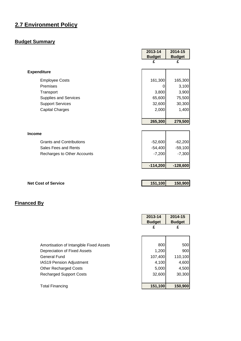## **2.7 Environment Policy**

## **Budget Summary**

|                                 | 2013-14       | 2014-15       |
|---------------------------------|---------------|---------------|
|                                 | <b>Budget</b> | <b>Budget</b> |
|                                 | £             | £             |
| <b>Expenditure</b>              |               |               |
| <b>Employee Costs</b>           | 161,300       | 165,300       |
| Premises                        | 0             | 3,100         |
| Transport                       | 3,800         | 3,900         |
| <b>Supplies and Services</b>    | 65,600        | 75,500        |
| <b>Support Services</b>         | 32,600        | 30,300        |
| <b>Capital Charges</b>          | 2,000         | 1,400         |
|                                 |               |               |
|                                 | 265,300       | 279,500       |
|                                 |               |               |
| <b>Income</b>                   |               |               |
| <b>Grants and Contributions</b> | $-52,600$     | $-62,200$     |
| Sales Fees and Rents            | $-54,400$     | $-59,100$     |
| Recharges to Other Accounts     | $-7,200$      | $-7,300$      |
|                                 |               |               |
|                                 | $-114,200$    | $-128,600$    |
|                                 |               |               |
|                                 |               |               |

| <b>Net Cost of Service</b> | 151,100 | 150,900 |
|----------------------------|---------|---------|
|                            |         |         |

|                                         | 2013-14<br><b>Budget</b> | 2014-15<br><b>Budget</b> |
|-----------------------------------------|--------------------------|--------------------------|
|                                         | £                        | £                        |
|                                         |                          |                          |
| Amortisation of Intangible Fixed Assets | 800                      | 500                      |
| Depreciation of Fixed Assets            | 1,200                    | 900                      |
| General Fund                            | 107,400                  | 110,100                  |
| <b>IAS19 Pension Adjustment</b>         | 4,100                    | 4,600                    |
| <b>Other Recharged Costs</b>            | 5,000                    | 4,500                    |
| <b>Recharged Support Costs</b>          | 32,600                   | 30,300                   |
|                                         |                          |                          |
| Total Financing                         | 151,100                  | 150,900                  |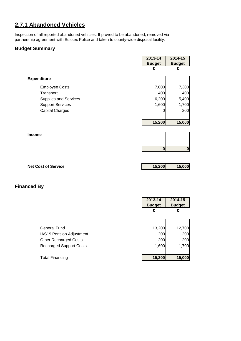## **2.7.1 Abandoned Vehicles**

Inspection of all reported abandoned vehicles. If proved to be abandoned, removed via partnership agreement with Sussex Police and taken to county-wide disposal facility.

#### **Budget Summary**

|                              | 2013-14       | 2014-15       |
|------------------------------|---------------|---------------|
|                              | <b>Budget</b> | <b>Budget</b> |
|                              | £             | £             |
| <b>Expenditure</b>           |               |               |
| <b>Employee Costs</b>        | 7,000         | 7,300         |
| Transport                    | 400           | 400           |
| <b>Supplies and Services</b> | 6,200         | 5,400         |
| <b>Support Services</b>      | 1,600         | 1,700         |
| <b>Capital Charges</b>       | 0             | 200           |
|                              |               |               |
|                              | 15,200        | 15,000        |
|                              |               |               |
| <b>Income</b>                |               |               |
|                              |               |               |
|                              | $\bf{0}$      | $\pmb{0}$     |
|                              |               |               |
|                              |               |               |
| <b>Net Cost of Service</b>   | 15,200        | 15,000        |

|                                 | 2013-14<br><b>Budget</b> | 2014-15<br><b>Budget</b> |
|---------------------------------|--------------------------|--------------------------|
|                                 | £                        | £                        |
|                                 |                          |                          |
| <b>General Fund</b>             | 13,200                   | 12,700                   |
| <b>IAS19 Pension Adjustment</b> | 200                      | 200                      |
| <b>Other Recharged Costs</b>    | 200                      | 200                      |
| <b>Recharged Support Costs</b>  | 1,600                    | 1,700                    |
|                                 |                          |                          |
| <b>Total Financing</b>          | 15,200                   | 15,000                   |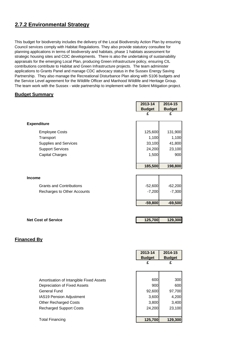## **2.7.2 Environmental Strategy**

This budget for biodiversity includes the delivery of the Local Biodiversity Action Plan by ensuring Council services comply with Habitat Regulations. They also provide statutory consultee for planning applications in terms of biodiversity and habitats, phase 1 habitats assessment for strategic housing sites and CDC developments. There is also the undertaking of sustainability appraisals for the emerging Local Plan, producing Green infrastructure policy, ensuring CIL contributions contribute to Habitat and Green Infrastructure projects. The team administer applications to Grants Panel and manage CDC advocacy status in the Sussex Energy Saving Partnership. They also manage the Recreational Disturbance Plan along with S106 budgets and the Service Level agreement for the Wildlife Officer and Manhood Wildlife and Heritage Group. The team work with the Sussex - wide partnership to implement with the Solent Mitigation project.

#### **Budget Summary**

|                                 | 2013-14       | 2014-15       |
|---------------------------------|---------------|---------------|
|                                 | <b>Budget</b> | <b>Budget</b> |
|                                 | £             | £             |
| <b>Expenditure</b>              |               |               |
| <b>Employee Costs</b>           | 125,600       | 131,900       |
| Transport                       | 1,100         | 1,100         |
| <b>Supplies and Services</b>    | 33,100        | 41,800        |
| <b>Support Services</b>         | 24,200        | 23,100        |
| <b>Capital Charges</b>          | 1,500         | 900           |
|                                 |               |               |
|                                 | 185,500       | 198,800       |
|                                 |               |               |
| <b>Income</b>                   |               |               |
| <b>Grants and Contributions</b> | $-52,600$     | $-62,200$     |
| Recharges to Other Accounts     | $-7,200$      | $-7,300$      |
|                                 |               |               |
|                                 | $-59,800$     | $-69,500$     |
|                                 |               |               |
| <b>Net Cost of Service</b>      | 125,700       | 129,300       |
|                                 |               |               |

|                                         | 2013-14<br><b>Budget</b> | 2014-15<br><b>Budget</b> |
|-----------------------------------------|--------------------------|--------------------------|
|                                         | £                        | £                        |
|                                         |                          |                          |
| Amortisation of Intangible Fixed Assets | 600                      | 300                      |
| Depreciation of Fixed Assets            | 900                      | 600                      |
| <b>General Fund</b>                     | 92,600                   | 97,700                   |
| <b>IAS19 Pension Adjustment</b>         | 3,600                    | 4,200                    |
| <b>Other Recharged Costs</b>            | 3,800                    | 3,400                    |
| <b>Recharged Support Costs</b>          | 24,200                   | 23,100                   |
|                                         |                          |                          |
| <b>Total Financing</b>                  | 125,700                  | 129,300                  |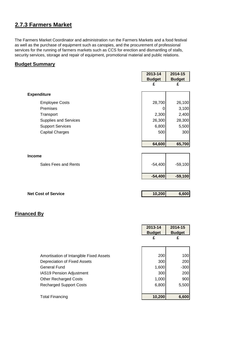## **2.7.3 Farmers Market**

The Farmers Market Coordinator and administration run the Farmers Markets and a food festival as well as the purchase of equipment such as canopies, and the procurement of professional services for the running of farmers markets such as CCS for erection and dismantling of stalls, security services, storage and repair of equipment, promotional material and public relations.

#### **Budget Summary**

|                         | 2013-14       | 2014-15       |
|-------------------------|---------------|---------------|
|                         | <b>Budget</b> | <b>Budget</b> |
|                         | £             | £             |
|                         |               |               |
| <b>Expenditure</b>      |               |               |
| <b>Employee Costs</b>   | 28,700        | 26,100        |
| Premises                | 0             | 3,100         |
| Transport               | 2,300         | 2,400         |
| Supplies and Services   | 26,300        | 28,300        |
| <b>Support Services</b> | 6,800         | 5,500         |
| <b>Capital Charges</b>  | 500           | 300           |
|                         |               |               |
|                         | 64,600        | 65,700        |
|                         |               |               |
| Income                  |               |               |
| Sales Fees and Rents    | $-54,400$     | $-59,100$     |
|                         |               |               |
|                         | $-54,400$     | $-59,100$     |
|                         |               |               |
|                         |               |               |

| <b>Net Cost of Service</b> | 10,200 | 6,600 |
|----------------------------|--------|-------|
|                            |        |       |

|                                         | 2013-14<br><b>Budget</b> | 2014-15<br><b>Budget</b> |
|-----------------------------------------|--------------------------|--------------------------|
|                                         | £                        | £                        |
|                                         |                          |                          |
| Amortisation of Intangible Fixed Assets | 200                      | 100                      |
| Depreciation of Fixed Assets            | 300                      | 200                      |
| <b>General Fund</b>                     | 1,600                    | $-300$                   |
| <b>IAS19 Pension Adjustment</b>         | 300                      | 200                      |
| <b>Other Recharged Costs</b>            | 1,000                    | 900                      |
| <b>Recharged Support Costs</b>          | 6,800                    | 5,500                    |
|                                         |                          |                          |
| <b>Total Financing</b>                  | 10,200                   | 6,600                    |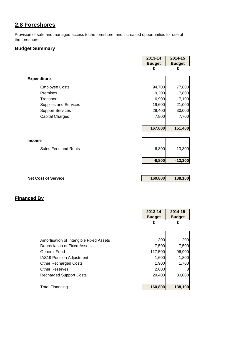## **2.8 Foreshores**

Provision of safe and managed access to the foreshore, and increased opportunities for use of the foreshore.

## **Budget Summary**

|                            | 2013-14       | 2014-15       |
|----------------------------|---------------|---------------|
|                            | <b>Budget</b> | <b>Budget</b> |
|                            | £             | £             |
| <b>Expenditure</b>         |               |               |
| <b>Employee Costs</b>      | 94,700        | 77,800        |
| Premises                   | 9,200         | 7,800         |
| Transport                  | 6,900         | 7,100         |
| Supplies and Services      | 19,600        | 21,000        |
| <b>Support Services</b>    | 29,400        | 30,000        |
| <b>Capital Charges</b>     | 7,800         | 7,700         |
|                            |               |               |
|                            | 167,600       | 151,400       |
|                            |               |               |
| <b>Income</b>              |               |               |
| Sales Fees and Rents       | $-6,800$      | $-13,300$     |
|                            | $-6,800$      | $-13,300$     |
|                            |               |               |
| <b>Net Cost of Service</b> | 160,800       | 138,100       |

|                                         | 2013-14<br><b>Budget</b> | 2014-15<br><b>Budget</b> |
|-----------------------------------------|--------------------------|--------------------------|
|                                         | £                        | £                        |
|                                         |                          |                          |
| Amortisation of Intangible Fixed Assets | 300                      | 200                      |
| Depreciation of Fixed Assets            | 7,500                    | 7,500                    |
| General Fund                            | 117,500                  | 96,900                   |
| IAS19 Pension Adjustment                | 1,600                    | 1,800                    |
| <b>Other Recharged Costs</b>            | 1,900                    | 1,700                    |
| <b>Other Reserves</b>                   | 2,600                    | 0                        |
| <b>Recharged Support Costs</b>          | 29,400                   | 30,000                   |
| <b>Total Financing</b>                  | 160,800                  | 138,100                  |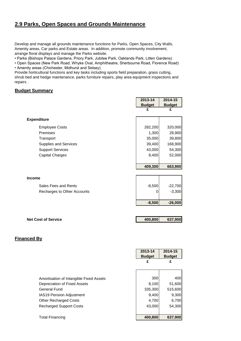## **2.9 Parks, Open Spaces and Grounds Maintenance**

Develop and manage all grounds maintenance functions for Parks, Open Spaces, City Walls, Amenity areas, Car parks and Estate areas. In addition, promote community involvement, arrange floral displays and manage the Parks website.

• Parks (Bishops Palace Gardens, Priory Park, Jubilee Park, Oaklands Park, Litten Gardens)

• Open Spaces (New Park Road, Whyke Oval, Amphitheatre, Sherbourne Road, Florence Road) • Amenity areas (Chichester, Midhurst and Selsey)

Provide horticultural functions and key tasks including sports field preparation, grass cutting, shrub bed and hedge maintenance, parks furniture repairs, play area equipment inspections and repairs .

#### **Budget Summary**

|                              | 2013-14       | 2014-15       |
|------------------------------|---------------|---------------|
|                              | <b>Budget</b> | <b>Budget</b> |
|                              | £             | £             |
| <b>Expenditure</b>           |               |               |
| <b>Employee Costs</b>        | 282,200       | 320,000       |
| Premises                     | 1,300         | 28,900        |
| Transport                    | 35,000        | 39,800        |
| <b>Supplies and Services</b> | 39,400        | 168,900       |
| <b>Support Services</b>      | 43,000        | 54,300        |
| <b>Capital Charges</b>       | 8,400         | 52,000        |
|                              |               |               |
|                              | 409,300       | 663,900       |
|                              |               |               |
| <b>Income</b>                |               |               |
| Sales Fees and Rents         | $-8,500$      | $-22,700$     |
| Recharges to Other Accounts  | 0             | $-3,300$      |
|                              |               |               |
|                              | $-8,500$      | $-26,000$     |
|                              |               |               |
| <b>Net Cost of Service</b>   | 400,800       | 637,900       |
|                              |               |               |
|                              |               |               |

|                                                                                                                                                                                              | 2013-14<br><b>Budget</b><br>£                       | 2014-15<br><b>Budget</b><br>£                        |
|----------------------------------------------------------------------------------------------------------------------------------------------------------------------------------------------|-----------------------------------------------------|------------------------------------------------------|
| Amortisation of Intangible Fixed Assets<br>Depreciation of Fixed Assets<br>General Fund<br><b>IAS19 Pension Adjustment</b><br><b>Other Recharged Costs</b><br><b>Recharged Support Costs</b> | 300<br>8,100<br>335,300<br>9,400<br>4,700<br>43,000 | 400<br>51,600<br>515,600<br>9,300<br>6,700<br>54,300 |
| <b>Total Financing</b>                                                                                                                                                                       | 400,800                                             | 637,900                                              |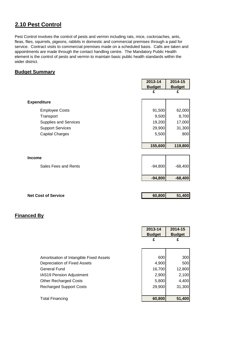## **2.10 Pest Control**

Pest Control involves the control of pests and vermin including rats, mice, cockroaches, ants, fleas, flies, squirrels, pigeons, rabbits in domestic and commercial premises through a paid for service. Contract visits to commercial premises made on a scheduled basis. Calls are taken and appointments are made through the contact handling centre. The Mandatory Public Health element is the control of pests and vermin to maintain basic public health standards within the wider district.

#### **Budget Summary**

|                              | 2013-14       | 2014-15       |
|------------------------------|---------------|---------------|
|                              | <b>Budget</b> | <b>Budget</b> |
|                              | £             | £             |
| <b>Expenditure</b>           |               |               |
| <b>Employee Costs</b>        | 91,500        | 62,000        |
| Transport                    | 9,500         | 8,700         |
| <b>Supplies and Services</b> | 19,200        | 17,000        |
| <b>Support Services</b>      | 29,900        | 31,300        |
| <b>Capital Charges</b>       | 5,500         | 800           |
|                              |               |               |
|                              | 155,600       | 119,800       |
|                              |               |               |
| <b>Income</b>                |               |               |
| Sales Fees and Rents         | $-94,800$     | $-68,400$     |
|                              |               |               |
|                              | $-94,800$     | $-68,400$     |
|                              |               |               |

| <b>Net Cost of Service</b> | 60,800 | 51,400 |
|----------------------------|--------|--------|
|                            |        |        |

|                                         | 2013-14<br><b>Budget</b> | 2014-15<br><b>Budget</b> |
|-----------------------------------------|--------------------------|--------------------------|
|                                         | £                        | £                        |
|                                         |                          |                          |
| Amortisation of Intangible Fixed Assets | 600                      | 300                      |
| Depreciation of Fixed Assets            | 4,900                    | 500                      |
| <b>General Fund</b>                     | 16,700                   | 12,800                   |
| <b>IAS19 Pension Adjustment</b>         | 2,900                    | 2,100                    |
| <b>Other Recharged Costs</b>            | 5,800                    | 4,400                    |
| <b>Recharged Support Costs</b>          | 29,900                   | 31,300                   |
|                                         |                          |                          |
| <b>Total Financing</b>                  | 60,800                   | 51,400                   |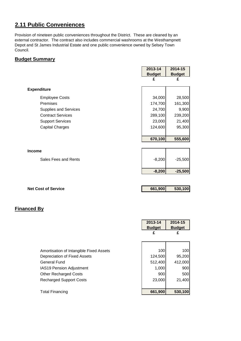## **2.11 Public Conveniences**

Provision of nineteen public conveniences throughout the District. These are cleaned by an external contractor. The contract also includes commercial washrooms at the Westhampnett Depot and St James Industrial Estate and one public convenience owned by Selsey Town Council.

#### **Budget Summary**

|                            | 2013-14       | 2014-15       |
|----------------------------|---------------|---------------|
|                            | <b>Budget</b> | <b>Budget</b> |
|                            | £             | £             |
| <b>Expenditure</b>         |               |               |
| <b>Employee Costs</b>      | 34,000        | 28,500        |
| Premises                   | 174,700       | 161,300       |
| Supplies and Services      | 24,700        | 9,900         |
| <b>Contract Services</b>   | 289,100       | 239,200       |
| <b>Support Services</b>    | 23,000        | 21,400        |
| <b>Capital Charges</b>     | 124,600       | 95,300        |
|                            |               |               |
|                            | 670,100       | 555,600       |
|                            |               |               |
| <b>Income</b>              |               |               |
| Sales Fees and Rents       | $-8,200$      | $-25,500$     |
|                            |               |               |
|                            | $-8,200$      | $-25,500$     |
|                            |               |               |
|                            |               |               |
| <b>Net Cost of Service</b> | 661,900       | 530,100       |

|                                         | 2013-14<br><b>Budget</b> | 2014-15<br><b>Budget</b> |
|-----------------------------------------|--------------------------|--------------------------|
|                                         | £                        | £                        |
|                                         |                          |                          |
| Amortisation of Intangible Fixed Assets | 100                      | 100                      |
| Depreciation of Fixed Assets            | 124,500                  | 95,200                   |
| <b>General Fund</b>                     | 512,400                  | 412,000                  |
| IAS19 Pension Adjustment                | 1,000                    | 900                      |
| <b>Other Recharged Costs</b>            | 900                      | 500                      |
| <b>Recharged Support Costs</b>          | 23,000                   | 21,400                   |
|                                         |                          |                          |
| <b>Total Financing</b>                  | 661,900                  | 530,100                  |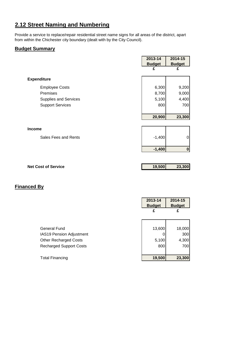## **2.12 Street Naming and Numbering**

Provide a service to replace/repair residential street name signs for all areas of the district, apart from within the Chichester city boundary (dealt with by the City Council).

#### **Budget Summary**

|                         | 2013-14<br><b>Budget</b> | 2014-15            |
|-------------------------|--------------------------|--------------------|
|                         | £                        | <b>Budget</b><br>£ |
| <b>Expenditure</b>      |                          |                    |
| <b>Employee Costs</b>   | 6,300                    | 9,200              |
| Premises                | 8,700                    | 9,000              |
| Supplies and Services   | 5,100                    | 4,400              |
| <b>Support Services</b> | 800                      | 700                |
|                         |                          |                    |
|                         | 20,900                   | 23,300             |
|                         |                          |                    |
| <b>Income</b>           |                          |                    |
| Sales Fees and Rents    | $-1,400$                 | 0                  |
|                         | $-1,400$                 | $\mathbf 0$        |
|                         |                          |                    |

| <b>Net Cost of Service</b> | 19.500 | 23,300 |
|----------------------------|--------|--------|
|                            |        |        |

|                                 | 2013-14<br><b>Budget</b> | 2014-15<br><b>Budget</b> |
|---------------------------------|--------------------------|--------------------------|
|                                 | £                        | £                        |
|                                 |                          |                          |
| <b>General Fund</b>             | 13,600                   | 18,000                   |
| <b>IAS19 Pension Adjustment</b> |                          | 300                      |
| <b>Other Recharged Costs</b>    | 5,100                    | 4,300                    |
| <b>Recharged Support Costs</b>  | 800                      | 700                      |
|                                 |                          |                          |
| <b>Total Financing</b>          | 19,500                   | 23,300                   |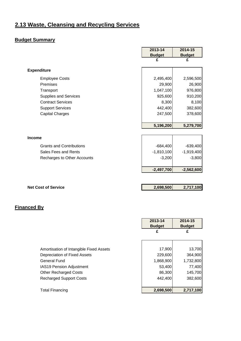## **2.13 Waste, Cleansing and Recycling Services**

## **Budget Summary**

|                                 | 2013-14       | 2014-15       |
|---------------------------------|---------------|---------------|
|                                 | <b>Budget</b> | <b>Budget</b> |
|                                 | £             | £             |
|                                 |               |               |
| <b>Expenditure</b>              |               |               |
| <b>Employee Costs</b>           | 2,495,400     | 2,596,500     |
| Premises                        | 29,900        | 26,900        |
| Transport                       | 1,047,100     | 976,800       |
| <b>Supplies and Services</b>    | 925,600       | 910,200       |
| <b>Contract Services</b>        | 8,300         | 8,100         |
| <b>Support Services</b>         | 442,400       | 382,600       |
| <b>Capital Charges</b>          | 247,500       | 378,600       |
|                                 |               |               |
|                                 | 5,196,200     | 5,279,700     |
|                                 |               |               |
| <b>Income</b>                   |               |               |
| <b>Grants and Contributions</b> | $-684,400$    | $-639,400$    |
| Sales Fees and Rents            | $-1,810,100$  | $-1,919,400$  |
| Recharges to Other Accounts     | $-3,200$      | $-3,800$      |
|                                 | $-2,497,700$  | $-2,562,600$  |
|                                 |               |               |
|                                 |               |               |
| <b>Net Cost of Service</b>      | 2,698,500     | 2,717,100     |

r

 $\mathbf \tau$ 

|                                         | 2013-14<br><b>Budget</b> | 2014-15<br><b>Budget</b> |
|-----------------------------------------|--------------------------|--------------------------|
|                                         | £                        | £                        |
|                                         |                          |                          |
| Amortisation of Intangible Fixed Assets | 17,900                   | 13,700                   |
| Depreciation of Fixed Assets            | 229,600                  | 364,900                  |
| <b>General Fund</b>                     | 1,868,900                | 1,732,800                |
| <b>IAS19 Pension Adjustment</b>         | 53,400                   | 77,400                   |
| <b>Other Recharged Costs</b>            | 86,300                   | 145,700                  |
| <b>Recharged Support Costs</b>          | 442,400                  | 382,600                  |
| <b>Total Financing</b>                  | 2,698,500                | 2,717,100                |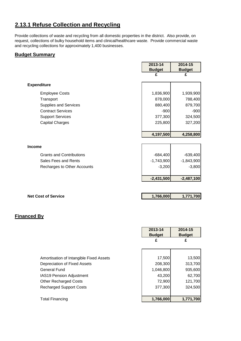## **2.13.1 Refuse Collection and Recycling**

Provide collections of waste and recycling from all domestic properties in the district. Also provide, on request, collections of bulky household items and clinical/healthcare waste. Provide commercial waste and recycling collections for approximately 1,400 businesses.

#### **Budget Summary**

|                                 | 2013-14       | 2014-15       |
|---------------------------------|---------------|---------------|
|                                 | <b>Budget</b> | <b>Budget</b> |
|                                 |               | £             |
| <b>Expenditure</b>              |               |               |
| <b>Employee Costs</b>           | 1,836,900     | 1,939,900     |
| Transport                       | 878,000       | 788,400       |
| Supplies and Services           | 880,400       | 879,700       |
| <b>Contract Services</b>        | $-900$        | $-900$        |
| <b>Support Services</b>         | 377,300       | 324,500       |
| <b>Capital Charges</b>          | 225,800       | 327,200       |
|                                 |               |               |
|                                 | 4,197,500     | 4,258,800     |
|                                 |               |               |
| <b>Income</b>                   |               |               |
| <b>Grants and Contributions</b> | $-684,400$    | $-639,400$    |
| Sales Fees and Rents            | $-1,743,900$  | $-1,843,900$  |
| Recharges to Other Accounts     | $-3,200$      | $-3,800$      |
|                                 |               |               |
|                                 | $-2,431,500$  | $-2,487,100$  |

| <b>Net Cost of Service</b> | 1,766,000 | 1,771,700 |
|----------------------------|-----------|-----------|
|                            |           |           |

|                                         | 2013-14<br><b>Budget</b><br>£ | 2014-15<br><b>Budget</b><br>£ |
|-----------------------------------------|-------------------------------|-------------------------------|
|                                         |                               |                               |
| Amortisation of Intangible Fixed Assets | 17,500                        | 13,500                        |
| Depreciation of Fixed Assets            | 208,300                       | 313,700                       |
| General Fund                            | 1,046,800                     | 935,600                       |
| IAS19 Pension Adjustment                | 43,200                        | 62,700                        |
| <b>Other Recharged Costs</b>            | 72,900                        | 121,700                       |
| <b>Recharged Support Costs</b>          | 377,300                       | 324,500                       |
|                                         |                               |                               |
| <b>Total Financing</b>                  | 1,766,000                     | 1,771,700                     |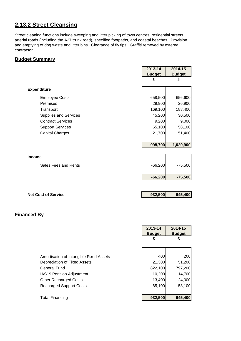## **2.13.2 Street Cleansing**

Street cleaning functions include sweeping and litter picking of town centres, residential streets, arterial roads (including the A27 trunk road), specified footpaths, and coastal beaches. Provision and emptying of dog waste and litter bins. Clearance of fly tips. Graffiti removed by external contractor.

#### **Budget Summary**

|                              | 2013-14       | 2014-15       |
|------------------------------|---------------|---------------|
|                              | <b>Budget</b> | <b>Budget</b> |
|                              | £             | £             |
|                              |               |               |
| <b>Expenditure</b>           |               |               |
| <b>Employee Costs</b>        | 658,500       | 656,600       |
| Premises                     | 29,900        | 26,900        |
| Transport                    | 169,100       | 188,400       |
| <b>Supplies and Services</b> | 45,200        | 30,500        |
| <b>Contract Services</b>     | 9,200         | 9,000         |
| <b>Support Services</b>      | 65,100        | 58,100        |
| <b>Capital Charges</b>       | 21,700        | 51,400        |
|                              |               |               |
|                              | 998,700       | 1,020,900     |
|                              |               |               |
| <b>Income</b>                |               |               |
|                              |               |               |
| Sales Fees and Rents         | $-66,200$     | $-75,500$     |
|                              |               |               |
|                              | $-66,200$     | $-75,500$     |
|                              |               |               |

| <b>Net Cost of Service</b> | 932,500 | 945,400 |
|----------------------------|---------|---------|
|                            |         |         |

|                                         | 2013-14<br><b>Budget</b> | 2014-15<br><b>Budget</b> |
|-----------------------------------------|--------------------------|--------------------------|
|                                         | £                        | £                        |
|                                         |                          |                          |
| Amortisation of Intangible Fixed Assets | 400                      | 200                      |
| Depreciation of Fixed Assets            | 21,300                   | 51,200                   |
| General Fund                            | 822,100                  | 797,200                  |
| IAS19 Pension Adjustment                | 10,200                   | 14,700                   |
| <b>Other Recharged Costs</b>            | 13,400                   | 24,000                   |
| <b>Recharged Support Costs</b>          | 65,100                   | 58,100                   |
|                                         |                          |                          |
| <b>Total Financing</b>                  | 932,500                  | 945,400                  |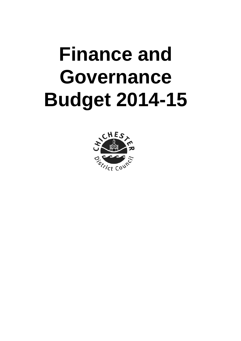# **Finance and Governance Budget 2014-15**

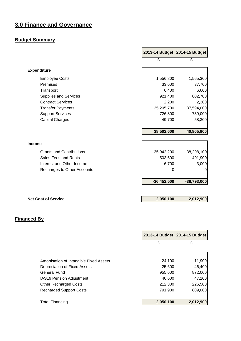## **3.0 Finance and Governance**

## **Budget Summary**

|                                 |               | 2013-14 Budget   2014-15 Budget |
|---------------------------------|---------------|---------------------------------|
|                                 | £             | £                               |
| <b>Expenditure</b>              |               |                                 |
| <b>Employee Costs</b>           | 1,556,800     | 1,565,300                       |
| Premises                        | 33,600        | 37,700                          |
| Transport                       | 6,400         | 6,600                           |
| Supplies and Services           | 921,400       | 802,700                         |
| <b>Contract Services</b>        | 2,200         | 2,300                           |
| <b>Transfer Payments</b>        | 35,205,700    | 37,594,000                      |
| <b>Support Services</b>         | 726,800       | 739,000                         |
| <b>Capital Charges</b>          | 49,700        | 58,300                          |
|                                 |               |                                 |
|                                 | 38,502,600    | 40,805,900                      |
|                                 |               |                                 |
| <b>Income</b>                   |               |                                 |
| <b>Grants and Contributions</b> | $-35,942,200$ | $-38,298,100$                   |
| Sales Fees and Rents            | $-503,600$    | $-491,900$                      |
| Interest and Other Income       | $-6,700$      | $-3,000$                        |
| Recharges to Other Accounts     | 0             | 0                               |
|                                 |               |                                 |
|                                 | $-36,452,500$ | $-38,793,000$                   |
|                                 |               |                                 |

| <b>Net Cost of Service</b> | 2,050,100 | 2,012,900 |
|----------------------------|-----------|-----------|
|                            |           |           |

|                                                                         | 2013-14 Budget   2014-15 Budget |           |
|-------------------------------------------------------------------------|---------------------------------|-----------|
|                                                                         | £                               | £         |
|                                                                         | 24,100                          | 11,900    |
| Amortisation of Intangible Fixed Assets<br>Depreciation of Fixed Assets | 25,600                          | 46,400    |
|                                                                         | 955,600                         | 872,000   |
|                                                                         | 40,600                          | 47,100    |
|                                                                         | 212,300                         | 226,500   |
|                                                                         | 791,900                         | 809,000   |
|                                                                         | 2,050,100                       | 2,012,900 |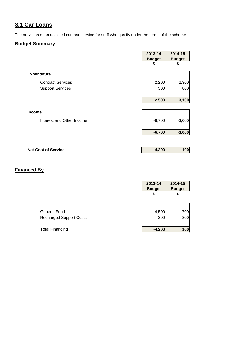## **3.1 Car Loans**

The provision of an assisted car loan service for staff who qualify under the terms of the scheme.

#### **Budget Summary**

|                           | 2013-14<br><b>Budget</b> | 2014-15<br><b>Budget</b> |
|---------------------------|--------------------------|--------------------------|
|                           | £                        | £                        |
| <b>Expenditure</b>        |                          |                          |
| <b>Contract Services</b>  | 2,200                    | 2,300                    |
| <b>Support Services</b>   | 300                      | 800                      |
|                           |                          |                          |
|                           | 2,500                    | 3,100                    |
|                           |                          |                          |
| Income                    |                          |                          |
| Interest and Other Income | $-6,700$                 | $-3,000$                 |
|                           | $-6,700$                 | $-3,000$                 |
|                           |                          |                          |

| <b>Net Cost of Service</b> | $-4,200$ | 100 |
|----------------------------|----------|-----|
|                            |          |     |

|                                | 2013-14<br><b>Budget</b> | 2014-15<br><b>Budget</b> |
|--------------------------------|--------------------------|--------------------------|
|                                | £                        | £                        |
|                                |                          |                          |
| <b>General Fund</b>            | $-4,500$                 | $-700$                   |
| <b>Recharged Support Costs</b> | 300                      | 800                      |
| <b>Total Financing</b>         | $-4,200$                 | 100                      |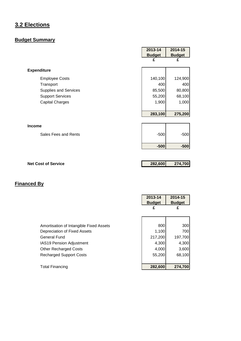## **3.2 Elections**

## **Budget Summary**

|                              | 2013-14       | 2014-15       |
|------------------------------|---------------|---------------|
|                              | <b>Budget</b> | <b>Budget</b> |
|                              | £             | £             |
| <b>Expenditure</b>           |               |               |
| <b>Employee Costs</b>        | 140,100       | 124,900       |
| Transport                    | 400           | 400           |
| <b>Supplies and Services</b> | 85,500        | 80,800        |
| <b>Support Services</b>      | 55,200        | 68,100        |
| <b>Capital Charges</b>       | 1,900         | 1,000         |
|                              | 283,100       | 275,200       |
| <b>Income</b>                |               |               |
| Sales Fees and Rents         | $-500$        | $-500$        |
|                              | $-500$        | $-500$        |
|                              |               |               |
| <b>Net Cost of Service</b>   | 282,600       | 274,700       |

|                                         | 2013-14       | 2014-15       |
|-----------------------------------------|---------------|---------------|
|                                         | <b>Budget</b> | <b>Budget</b> |
|                                         | £             | £             |
|                                         |               |               |
|                                         |               |               |
| Amortisation of Intangible Fixed Assets | 800           | 300           |
| Depreciation of Fixed Assets            | 1,100         | 700           |
| General Fund                            | 217,200       | 197,700       |
| <b>IAS19 Pension Adjustment</b>         | 4,300         | 4,300         |
| <b>Other Recharged Costs</b>            | 4,000         | 3,600         |
| <b>Recharged Support Costs</b>          | 55,200        | 68,100        |
|                                         |               |               |
| <b>Total Financing</b>                  | 282,600       | 274,700       |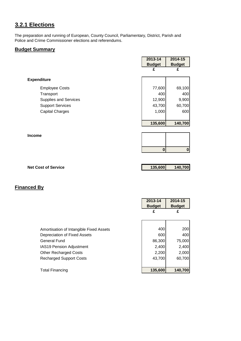## **3.2.1 Elections**

The preparation and running of European, County Council, Parliamentary, District, Parish and Police and Crime Commissioner elections and referendums.

#### **Budget Summary**

|                                                                                                                  | 2013-14<br><b>Budget</b><br>£                         | 2014-15<br><b>Budget</b><br>£                      |
|------------------------------------------------------------------------------------------------------------------|-------------------------------------------------------|----------------------------------------------------|
| <b>Expenditure</b>                                                                                               |                                                       |                                                    |
| <b>Employee Costs</b><br>Transport<br>Supplies and Services<br><b>Support Services</b><br><b>Capital Charges</b> | 77,600<br>400<br>12,900<br>43,700<br>1,000<br>135,600 | 69,100<br>400<br>9,900<br>60,700<br>600<br>140,700 |
| <b>Income</b>                                                                                                    |                                                       |                                                    |
|                                                                                                                  | $\bf{0}$                                              | $\boldsymbol{0}$                                   |
|                                                                                                                  |                                                       |                                                    |
| <b>Net Cost of Service</b>                                                                                       | 135,600                                               | 140,700                                            |

|                                         | 2013-14       | 2014-15       |
|-----------------------------------------|---------------|---------------|
|                                         | <b>Budget</b> | <b>Budget</b> |
|                                         | £             | £             |
|                                         |               |               |
|                                         |               |               |
| Amortisation of Intangible Fixed Assets | 400           | 200           |
| Depreciation of Fixed Assets            | 600           | 400           |
| <b>General Fund</b>                     | 86,300        | 75,000        |
| <b>IAS19 Pension Adjustment</b>         | 2,400         | 2,400         |
| <b>Other Recharged Costs</b>            | 2,200         | 2,000         |
| <b>Recharged Support Costs</b>          | 43,700        | 60,700        |
|                                         |               |               |
| Total Financing                         | 135,600       | 140,700       |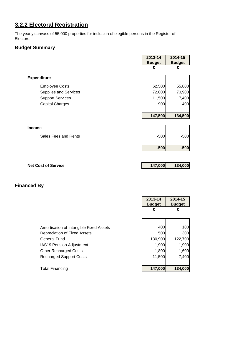## **3.2.2 Electoral Registration**

The yearly canvass of 55,000 properties for inclusion of elegible persons in the Register of Electors.

#### **Budget Summary**

|                              | 2013-14<br><b>Budget</b> | 2014-15<br><b>Budget</b> |
|------------------------------|--------------------------|--------------------------|
|                              | £                        | £                        |
| <b>Expenditure</b>           |                          |                          |
| <b>Employee Costs</b>        | 62,500                   | 55,800                   |
| <b>Supplies and Services</b> | 72,600                   | 70,900                   |
| <b>Support Services</b>      | 11,500                   | 7,400                    |
| <b>Capital Charges</b>       | 900                      | 400                      |
|                              |                          |                          |
|                              | 147,500                  | 134,500                  |
|                              |                          |                          |
| <b>Income</b>                |                          |                          |
| Sales Fees and Rents         | $-500$                   | $-500$                   |
|                              | $-500$                   | $-500$                   |
|                              |                          |                          |

| <b>Net Cost of Service</b> | 147,000 | 134,000 |
|----------------------------|---------|---------|
|                            |         |         |

|                                         | 2013-14<br><b>Budget</b> | 2014-15<br><b>Budget</b> |
|-----------------------------------------|--------------------------|--------------------------|
|                                         | £                        | £                        |
|                                         |                          |                          |
| Amortisation of Intangible Fixed Assets | 400                      | 100                      |
| Depreciation of Fixed Assets            | 500                      | 300                      |
| <b>General Fund</b>                     | 130,900                  | 122,700                  |
| IAS19 Pension Adjustment                | 1,900                    | 1,900                    |
| <b>Other Recharged Costs</b>            | 1,800                    | 1,600                    |
| <b>Recharged Support Costs</b>          | 11,500                   | 7,400                    |
|                                         |                          |                          |
| <b>Total Financing</b>                  | 147,000                  | 134,000                  |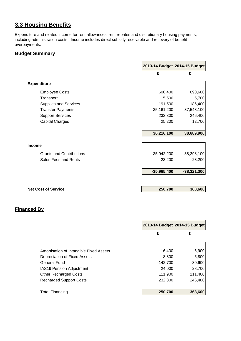## **3.3 Housing Benefits**

Expenditure and related income for rent allowances, rent rebates and discretionary housing payments, including administration costs. Income includes direct subsidy receivable and recovery of benefit overpayments.

#### **Budget Summary**

|                                 |               | 2013-14 Budget 2014-15 Budget |
|---------------------------------|---------------|-------------------------------|
|                                 | £             | £                             |
| <b>Expenditure</b>              |               |                               |
| <b>Employee Costs</b>           | 600,400       | 690,600                       |
| Transport                       | 5,500         | 5,700                         |
| <b>Supplies and Services</b>    | 191,500       | 186,400                       |
| <b>Transfer Payments</b>        | 35,161,200    | 37,548,100                    |
| <b>Support Services</b>         | 232,300       | 246,400                       |
| <b>Capital Charges</b>          | 25,200        | 12,700                        |
|                                 |               |                               |
|                                 | 36,216,100    | 38,689,900                    |
| <b>Income</b>                   |               |                               |
| <b>Grants and Contributions</b> | $-35,942,200$ | $-38,298,100$                 |
| Sales Fees and Rents            | $-23,200$     | $-23,200$                     |
|                                 | $-35,965,400$ | $-38,321,300$                 |
|                                 |               |                               |
| <b>Net Cost of Service</b>      | 250,700       | 368,600                       |

|                                         |            | 2013-14 Budget 2014-15 Budget |
|-----------------------------------------|------------|-------------------------------|
|                                         | £          | £                             |
|                                         |            |                               |
| Amortisation of Intangible Fixed Assets | 16,400     | 6,900                         |
| Depreciation of Fixed Assets            | 8,800      | 5,800                         |
| <b>General Fund</b>                     | $-142,700$ | $-30,600$                     |
| <b>IAS19 Pension Adjustment</b>         | 24,000     | 28,700                        |
| <b>Other Recharged Costs</b>            | 111,900    | 111,400                       |
| <b>Recharged Support Costs</b>          | 232,300    | 246,400                       |
| <b>Total Financing</b>                  | 250,700    | 368,600                       |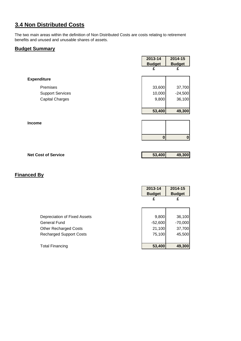## **3.4 Non Distributed Costs**

The two main areas within the definition of Non Distributed Costs are costs relating to retirement benefits and unused and unusable shares of assets.

#### **Budget Summary**

|                         | 2013-14       | 2014-15          |
|-------------------------|---------------|------------------|
|                         | <b>Budget</b> | <b>Budget</b>    |
|                         | £             | £                |
| <b>Expenditure</b>      |               |                  |
| Premises                | 33,600        | 37,700           |
| <b>Support Services</b> | 10,000        | $-24,500$        |
| <b>Capital Charges</b>  | 9,800         | 36,100           |
|                         |               |                  |
|                         | 53,400        | 49,300           |
|                         |               |                  |
| Income                  |               |                  |
|                         |               |                  |
|                         | $\bf{0}$      | $\boldsymbol{0}$ |
|                         |               |                  |

**Net Cost of Service 62.12 <b>12.13 12.13 12.13 13.400 149,300** 

|                                                                                                                       | 2013-14<br><b>Budget</b><br>£          | 2014-15<br><b>Budget</b><br>£           |
|-----------------------------------------------------------------------------------------------------------------------|----------------------------------------|-----------------------------------------|
| Depreciation of Fixed Assets<br><b>General Fund</b><br><b>Other Recharged Costs</b><br><b>Recharged Support Costs</b> | 9,800<br>$-52,600$<br>21,100<br>75,100 | 36,100<br>$-70,000$<br>37,700<br>45,500 |
| <b>Total Financing</b>                                                                                                | 53,400                                 | 49,300                                  |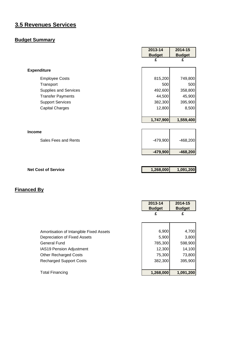## **3.5 Revenues Services**

## **Budget Summary**

|                              | 2013-14       | 2014-15       |
|------------------------------|---------------|---------------|
|                              | <b>Budget</b> | <b>Budget</b> |
|                              | £             | £             |
| <b>Expenditure</b>           |               |               |
| <b>Employee Costs</b>        | 815,200       | 749,800       |
| Transport                    | 500           | 500           |
| <b>Supplies and Services</b> | 492,600       | 358,800       |
| <b>Transfer Payments</b>     | 44,500        | 45,900        |
| <b>Support Services</b>      | 382,300       | 395,900       |
| <b>Capital Charges</b>       | 12,800        | 8,500         |
|                              |               |               |
|                              | 1,747,900     | 1,559,400     |
|                              |               |               |
| Income                       |               |               |
| Sales Fees and Rents         | $-479,900$    | $-468,200$    |
|                              | $-479,900$    | $-468,200$    |
|                              |               |               |
| <b>Net Cost of Service</b>   | 1,268,000     | 1,091,200     |

|                                         | 2013-14<br><b>Budget</b> | 2014-15<br><b>Budget</b> |
|-----------------------------------------|--------------------------|--------------------------|
|                                         | £                        | £                        |
|                                         |                          |                          |
| Amortisation of Intangible Fixed Assets | 6,900                    | 4,700                    |
| Depreciation of Fixed Assets            | 5,900                    | 3,800                    |
| <b>General Fund</b>                     | 785,300                  | 598,900                  |
| IAS19 Pension Adjustment                | 12,300                   | 14,100                   |
| <b>Other Recharged Costs</b>            | 75,300                   | 73,800                   |
| <b>Recharged Support Costs</b>          | 382,300                  | 395,900                  |
|                                         |                          |                          |
| <b>Total Financing</b>                  | 1,268,000                | 1,091,200                |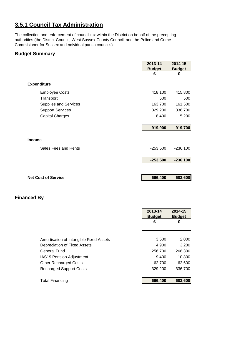## **3.5.1 Council Tax Administration**

The collection and enforcement of council tax within the District on behalf of the precepting authorities (the District Council, West Sussex County Council, and the Police and Crime Commisioner for Sussex and ndividual parish councils).

#### **Budget Summary**

|                            | 2013-14       | 2014-15       |
|----------------------------|---------------|---------------|
|                            | <b>Budget</b> | <b>Budget</b> |
|                            | £             | £             |
|                            |               |               |
| <b>Expenditure</b>         |               |               |
| <b>Employee Costs</b>      | 418,100       | 415,800       |
| Transport                  | 500           | 500           |
| Supplies and Services      | 163,700       | 161,500       |
| <b>Support Services</b>    | 329,200       | 336,700       |
| <b>Capital Charges</b>     | 8,400         | 5,200         |
|                            |               |               |
|                            | 919,900       | 919,700       |
|                            |               |               |
| <b>Income</b>              |               |               |
| Sales Fees and Rents       | $-253,500$    | $-236,100$    |
|                            |               |               |
|                            | $-253,500$    | $-236,100$    |
|                            |               |               |
|                            |               |               |
| <b>Net Cost of Service</b> | 666,400       | 683,600       |

|                                         | 2013-14       | 2014-15       |
|-----------------------------------------|---------------|---------------|
|                                         | <b>Budget</b> | <b>Budget</b> |
|                                         | £             | £             |
|                                         |               |               |
|                                         |               |               |
| Amortisation of Intangible Fixed Assets | 3,500         | 2,000         |
| Depreciation of Fixed Assets            | 4,900         | 3,200         |
| <b>General Fund</b>                     | 256,700       | 268,300       |
| IAS19 Pension Adjustment                | 9,400         | 10,800        |
| <b>Other Recharged Costs</b>            | 62,700        | 62,600        |
| <b>Recharged Support Costs</b>          | 329,200       | 336,700       |
|                                         |               |               |
| <b>Total Financing</b>                  | 666,400       | 683,600       |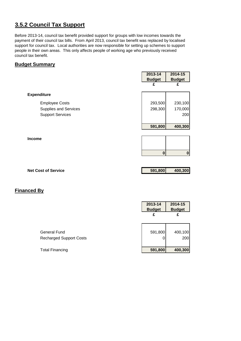## **3.5.2 Council Tax Support**

Before 2013-14, council tax benefit provided support for groups with low incomes towards the payment of their council tax bills. From April 2013, council tax benefit was replaced by localised support for council tax. Local authorities are now responsible for setting up schemes to support people in their own areas. This only affects people of working age who previously received council tax benefit.

#### **Budget Summary**

|                              | 2013-14       | 2014-15       |
|------------------------------|---------------|---------------|
|                              | <b>Budget</b> | <b>Budget</b> |
|                              | £             | £             |
| <b>Expenditure</b>           |               |               |
| <b>Employee Costs</b>        | 293,500       | 230,100       |
| <b>Supplies and Services</b> | 298,300       | 170,000       |
| <b>Support Services</b>      |               | 200           |
|                              | 591,800       | 400,300       |
| <b>Income</b>                |               |               |
|                              |               |               |
|                              | $\bf{0}$      | O             |

**Net Cost of Service 591,800 400,300**

|                                | 2013-14<br><b>Budget</b> | 2014-15<br><b>Budget</b> |
|--------------------------------|--------------------------|--------------------------|
|                                | £                        |                          |
| <b>General Fund</b>            | 591,800                  | 400,100                  |
| <b>Recharged Support Costs</b> |                          | 200                      |
| <b>Total Financing</b>         | 591,800                  | 400,300                  |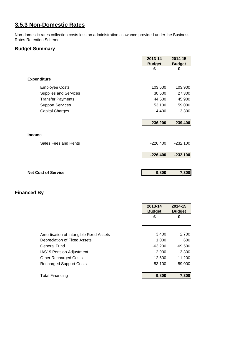## **3.5.3 Non-Domestic Rates**

Non-domestic rates collection costs less an administration allowance provided under the Business Rates Retention Scheme.

#### **Budget Summary**

|                              | 2013-14       | 2014-15       |
|------------------------------|---------------|---------------|
|                              | <b>Budget</b> | <b>Budget</b> |
|                              | £             | £             |
|                              |               |               |
| <b>Expenditure</b>           |               |               |
| <b>Employee Costs</b>        | 103,600       | 103,900       |
| <b>Supplies and Services</b> | 30,600        | 27,300        |
| <b>Transfer Payments</b>     | 44,500        | 45,900        |
| <b>Support Services</b>      | 53,100        | 59,000        |
| <b>Capital Charges</b>       | 4,400         | 3,300         |
|                              |               |               |
|                              | 236,200       | 239,400       |
|                              |               |               |
| <b>Income</b>                |               |               |
| Sales Fees and Rents         | $-226,400$    | $-232,100$    |
|                              |               |               |
|                              | $-226,400$    | $-232,100$    |
|                              |               |               |
| <b>Net Cost of Service</b>   | 9,800         | 7,300         |
|                              |               |               |
|                              |               |               |
|                              |               |               |
|                              |               |               |

|                                         | 2013-14<br><b>Budget</b> | 2014-15<br><b>Budget</b> |
|-----------------------------------------|--------------------------|--------------------------|
|                                         | £                        | £                        |
|                                         |                          |                          |
| Amortisation of Intangible Fixed Assets | 3,400                    | 2,700                    |
| Depreciation of Fixed Assets            | 1,000                    | 600                      |
| <b>General Fund</b>                     | $-63,200$                | $-69,500$                |
| IAS19 Pension Adjustment                | 2,900                    | 3,300                    |
| <b>Other Recharged Costs</b>            | 12,600                   | 11,200                   |
| <b>Recharged Support Costs</b>          | 53,100                   | 59,000                   |
|                                         |                          |                          |
| Total Financing                         | 9,800                    | 7,300                    |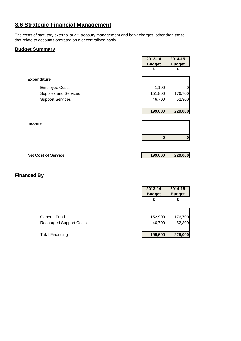## **3.6 Strategic Financial Management**

The costs of statutory external audit, treasury management and bank charges, other than those that relate to accounts operated on a decentralised basis.

#### **Budget Summary**

|                              | 2013-14       | 2014-15       |
|------------------------------|---------------|---------------|
|                              | <b>Budget</b> | <b>Budget</b> |
|                              | £             | £             |
| <b>Expenditure</b>           |               |               |
| <b>Employee Costs</b>        | 1,100         | 0             |
| <b>Supplies and Services</b> | 151,800       | 176,700       |
| <b>Support Services</b>      | 46,700        | 52,300        |
|                              | 199,600       | 229,000       |
| <b>Income</b>                |               |               |
|                              |               |               |
|                              | 0             | $\mathbf 0$   |
|                              |               |               |

| <b>Net Cost of Service</b> | 199,600 | 229,000 |
|----------------------------|---------|---------|
|                            |         |         |

|                                                | 2013-14<br><b>Budget</b><br>£ | 2014-15<br><b>Budget</b><br>£ |
|------------------------------------------------|-------------------------------|-------------------------------|
| General Fund<br><b>Recharged Support Costs</b> | 152,900<br>46,700             | 176,700<br>52,300             |
| <b>Total Financing</b>                         | 199,600                       | 229,000                       |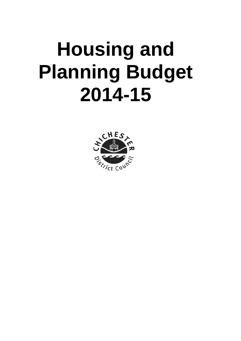## **Housing and Planning Budget 2014-15**

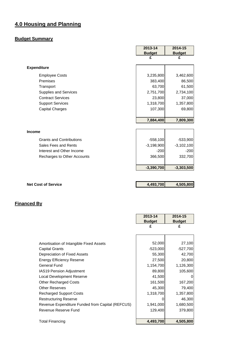## **4.0 Housing and Planning**

#### **Budget Summary**

|                                 | 2013-14       | 2014-15       |
|---------------------------------|---------------|---------------|
|                                 | <b>Budget</b> | <b>Budget</b> |
|                                 | £             | £             |
| <b>Expenditure</b>              |               |               |
| <b>Employee Costs</b>           | 3,235,800     | 3,462,600     |
| Premises                        | 383,400       | 86,500        |
| Transport                       | 63,700        | 61,500        |
| <b>Supplies and Services</b>    | 2,751,700     | 2,734,100     |
| <b>Contract Services</b>        | 23,800        | 37,000        |
| <b>Support Services</b>         | 1,318,700     | 1,357,800     |
| <b>Capital Charges</b>          | 107,300       | 69,800        |
|                                 |               |               |
|                                 | 7,884,400     | 7,809,300     |
|                                 |               |               |
| <b>Income</b>                   |               |               |
| <b>Grants and Contributions</b> | $-558,100$    | $-533,900$    |
| Sales Fees and Rents            | $-3,198,900$  | $-3,102,100$  |
| Interest and Other Income       | $-200$        | $-200$        |
| Recharges to Other Accounts     | 366,500       | 332,700       |
|                                 | $-3,390,700$  | $-3,303,500$  |
|                                 |               |               |
|                                 |               |               |
| <b>Net Cost of Service</b>      | 4,493,700     | 4,505,800     |

|                                                  | 2013-14       | 2014-15       |
|--------------------------------------------------|---------------|---------------|
|                                                  | <b>Budget</b> | <b>Budget</b> |
|                                                  | £             | £             |
|                                                  |               |               |
|                                                  |               |               |
| Amortisation of Intangible Fixed Assets          | 52,000        | 27,100        |
| <b>Capital Grants</b>                            | $-523,000$    | $-527,700$    |
| Depreciation of Fixed Assets                     | 55,300        | 42,700        |
| <b>Energy Efficiency Reserve</b>                 | 27,500        | 20,800        |
| General Fund                                     | 1,154,700     | 1,126,300     |
| <b>IAS19 Pension Adjustment</b>                  | 89,800        | 105,600       |
| <b>Local Development Reserve</b>                 | 41,500        |               |
| <b>Other Recharged Costs</b>                     | 161,500       | 167,200       |
| <b>Other Reserves</b>                            | 45,300        | 79,400        |
| <b>Recharged Support Costs</b>                   | 1,318,700     | 1,357,800     |
| <b>Restructuring Reserve</b>                     |               | 46,300        |
| Revenue Expenditure Funded from Capital (REFCUS) | 1,941,000     | 1,680,500     |
| Revenue Reserve Fund                             | 129,400       | 379,800       |
|                                                  |               |               |
| <b>Total Financing</b>                           | 4,493,700     | 4,505,800     |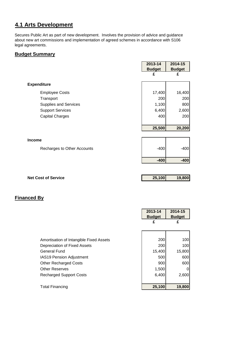# **4.1 Arts Development**

Secures Public Art as part of new development. Involves the provision of advice and guidance about new art commissions and implementation of agreed schemes in accordance with S106 legal agreements.

#### **Budget Summary**

|                             | 2013-14       | 2014-15       |
|-----------------------------|---------------|---------------|
|                             | <b>Budget</b> | <b>Budget</b> |
|                             | £             | £             |
| <b>Expenditure</b>          |               |               |
| <b>Employee Costs</b>       | 17,400        | 16,400        |
| Transport                   | 200           | 200           |
| Supplies and Services       | 1,100         | 800           |
| <b>Support Services</b>     | 6,400         | 2,600         |
| <b>Capital Charges</b>      | 400           | 200           |
|                             |               |               |
|                             | 25,500        | 20,200        |
|                             |               |               |
| <b>Income</b>               |               |               |
| Recharges to Other Accounts | $-400$        | $-400$        |
|                             |               |               |
|                             | $-400$        | $-400$        |
|                             |               |               |
| <b>Net Cost of Service</b>  | 25,100        | 19,800        |

|                                         | 2013-14<br><b>Budget</b> | 2014-15<br><b>Budget</b> |
|-----------------------------------------|--------------------------|--------------------------|
|                                         | £                        | £                        |
|                                         |                          |                          |
| Amortisation of Intangible Fixed Assets | 200                      | 100                      |
| Depreciation of Fixed Assets            | 200                      | 100                      |
| <b>General Fund</b>                     | 15,400                   | 15,800                   |
| IAS19 Pension Adjustment                | 500                      | 600                      |
| <b>Other Recharged Costs</b>            | 900                      | 600                      |
| <b>Other Reserves</b>                   | 1,500                    | 0                        |
| <b>Recharged Support Costs</b>          | 6,400                    | 2,600                    |
|                                         |                          |                          |
| <b>Total Financing</b>                  | 25,100                   | 19,800                   |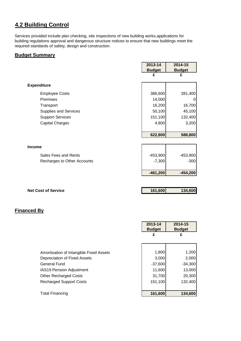# **4.2 Building Control**

Services provided include plan checking, site inspections of new building works,applications for building regulations approval and dangerous structure notices to ensure that new buildings meet the required standards of safety, design and construction.

#### **Budget Summary**

|                              | 2013-14       | 2014-15       |
|------------------------------|---------------|---------------|
|                              | <b>Budget</b> | <b>Budget</b> |
|                              | £             | £             |
| <b>Expenditure</b>           |               |               |
| <b>Employee Costs</b>        | 386,600       | 391,400       |
| Premises                     | 14,000        | 0             |
| Transport                    | 16,200        | 16,700        |
| <b>Supplies and Services</b> | 50,100        | 45,100        |
| <b>Support Services</b>      | 151,100       | 132,400       |
| <b>Capital Charges</b>       | 4,800         | 3,200         |
|                              |               |               |
|                              | 622,800       | 588,800       |
| <b>Income</b>                |               |               |
|                              |               |               |
| Sales Fees and Rents         | $-453,900$    | $-453,900$    |
| Recharges to Other Accounts  | $-7,300$      | $-300$        |
|                              | $-461,200$    | $-454,200$    |
|                              |               |               |

**Net Cost of Service 161,600 134,600** 

|                                         | 2013-14       | 2014-15       |
|-----------------------------------------|---------------|---------------|
|                                         | <b>Budget</b> | <b>Budget</b> |
|                                         | £             | £             |
|                                         |               |               |
|                                         |               |               |
| Amortisation of Intangible Fixed Assets | 1,800         | 1,200         |
| Depreciation of Fixed Assets            | 3,000         | 2,000         |
| General Fund                            | $-37,600$     | $-34,300$     |
| <b>IAS19 Pension Adjustment</b>         | 11,600        | 13,000        |
| <b>Other Recharged Costs</b>            | 31,700        | 20,300        |
| <b>Recharged Support Costs</b>          | 151,100       | 132,400       |
|                                         |               |               |
| <b>Total Financing</b>                  | 161,600       | 134,600       |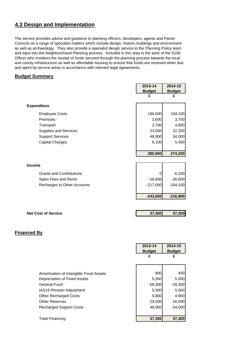# **4.3 Design and Implementation**

The service provides advice and guidance to planning officers, developers, agents and Parish Councils on a range of specialist matters which include design, historic buildings and environment as well as archaeology. They also provide a specialist design service to the Planning Policy team and input into the Neighbourhood Planning process. Included in this area is the work of the S106 Officer who monitors the receipt of funds secured through the planning process towards the local and county infrastructure as well as affordable housing to ensure that funds are received when due and spent by service areas in accordance with relevant legal agreements.

#### **Budget Summary**

|                                 | 2013-14       | 2014-15       |
|---------------------------------|---------------|---------------|
|                                 | <b>Budget</b> | <b>Budget</b> |
|                                 | £             | £             |
|                                 |               |               |
| <b>Expenditure</b>              |               |               |
| <b>Employee Costs</b>           | 196,600       | 184,100       |
| Premises                        | 3,600         | 3,700         |
| Transport                       | 2,700         | 4,800         |
| Supplies and Services           | 23,000        | 22,200        |
| <b>Support Services</b>         | 48,900        | 54,000        |
| <b>Capital Charges</b>          | 6,100         | 5,400         |
|                                 |               |               |
|                                 | 280,900       | 274,200       |
|                                 |               |               |
| <b>Income</b>                   |               |               |
| <b>Grants and Contributions</b> | 0             | $-6,200$      |
| Sales Fees and Rents            | $-26,600$     | $-26,600$     |
|                                 | $-217,000$    | $-184,100$    |
| Recharges to Other Accounts     |               |               |
|                                 |               |               |
|                                 | $-243,600$    | $-216,900$    |
|                                 |               |               |
|                                 |               |               |

|                                         | 2013-14       | 2014-15       |
|-----------------------------------------|---------------|---------------|
|                                         | <b>Budget</b> | <b>Budget</b> |
|                                         | £             | £             |
|                                         |               |               |
|                                         |               |               |
| Amortisation of Intangible Fixed Assets | 800           | 400           |
| Depreciation of Fixed Assets            | 5,300         | 5,000         |
| <b>General Fund</b>                     | $-58,300$     | $-28,300$     |
| <b>IAS19 Pension Adjustment</b>         | 5,300         | 5,300         |
| <b>Other Recharged Costs</b>            | 5,800         | 4,900         |
| <b>Other Reserves</b>                   | 29,500        | 16,000        |
| <b>Recharged Support Costs</b>          | 48,900        | 54,000        |
|                                         |               |               |
| <b>Total Financing</b>                  | 37,300        | 57,300        |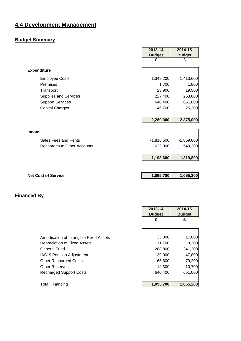# **4.4 Development Management**

# **Budget Summary**

|                              | 2013-14       | 2014-15       |
|------------------------------|---------------|---------------|
|                              | <b>Budget</b> | <b>Budget</b> |
|                              | £             | £             |
| <b>Expenditure</b>           |               |               |
| <b>Employee Costs</b>        | 1,349,200     | 1,413,600     |
| Premises                     | 1,700         | 1,800         |
| Transport                    | 23,900        | 19,500        |
| <b>Supplies and Services</b> | 227,400       | 263,800       |
| <b>Support Services</b>      | 640,400       | 651,000       |
| <b>Capital Charges</b>       | 46,700        | 25,300        |
|                              |               |               |
|                              | 2,289,300     | 2,375,000     |
|                              |               |               |
| <b>Income</b>                |               |               |
| Sales Fees and Rents         | $-1,816,500$  | $-1,869,000$  |
| Recharges to Other Accounts  | 622,900       | 549,200       |
|                              |               |               |
|                              | $-1,193,600$  | $-1,319,800$  |
|                              |               |               |
|                              |               |               |
| <b>Net Cost of Service</b>   | 1,095,700     | 1,055,200     |

|                                         | 2013-14<br><b>Budget</b> | 2014-15<br><b>Budget</b> |
|-----------------------------------------|--------------------------|--------------------------|
|                                         | £                        | £                        |
|                                         |                          |                          |
| Amortisation of Intangible Fixed Assets | 35,000                   | 17,000                   |
| Depreciation of Fixed Assets            | 11,700                   | 8,300                    |
| General Fund                            | 288,800                  | 241,200                  |
| <b>IAS19 Pension Adjustment</b>         | 39,900                   | 47,800                   |
| <b>Other Recharged Costs</b>            | 65,600                   | 79,200                   |
| <b>Other Reserves</b>                   | 14,300                   | 10,700                   |
| <b>Recharged Support Costs</b>          | 640,400                  | 651,000                  |
|                                         |                          |                          |
| <b>Total Financing</b>                  | 1,095,700                | 1,055,200                |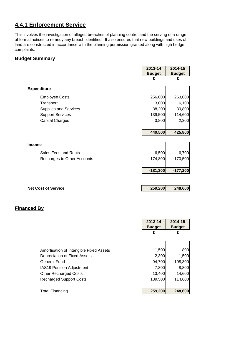# **4.4.1 Enforcement Service**

This involves the investigation of alleged breaches of planning control and the serving of a range of formal notices to remedy any breach identified. It also ensures that new buildings and uses of land are constructed in accordance with the planning permission granted along with high hedge complaints.

#### **Budget Summary**

|                             | 2013-14       | 2014-15       |
|-----------------------------|---------------|---------------|
|                             | <b>Budget</b> | <b>Budget</b> |
|                             | £             | £             |
| <b>Expenditure</b>          |               |               |
| <b>Employee Costs</b>       | 256,000       | 263,000       |
| Transport                   | 3,000         | 6,100         |
| Supplies and Services       | 38,200        | 39,800        |
| <b>Support Services</b>     | 139,500       | 114,600       |
| <b>Capital Charges</b>      | 3,800         | 2,300         |
|                             |               |               |
|                             | 440,500       | 425,800       |
|                             |               |               |
| <b>Income</b>               |               |               |
| Sales Fees and Rents        | $-6,500$      | $-6,700$      |
| Recharges to Other Accounts | $-174,800$    | $-170,500$    |
|                             |               |               |
|                             | $-181,300$    | $-177,200$    |
|                             |               |               |
|                             |               |               |
| <b>Net Cost of Service</b>  | 259,200       | 248,600       |

|                                         | 2013-14<br><b>Budget</b> | 2014-15<br><b>Budget</b> |
|-----------------------------------------|--------------------------|--------------------------|
|                                         | £                        | £                        |
|                                         |                          |                          |
| Amortisation of Intangible Fixed Assets | 1,500                    | 800                      |
| Depreciation of Fixed Assets            | 2,300                    | 1,500                    |
| <b>General Fund</b>                     | 94,700                   | 108,300                  |
| <b>IAS19 Pension Adjustment</b>         | 7,800                    | 8,800                    |
| <b>Other Recharged Costs</b>            | 13,400                   | 14,600                   |
| <b>Recharged Support Costs</b>          | 139,500                  | 114.600                  |
|                                         |                          |                          |
| <b>Total Financing</b>                  | 259,200                  | 248,600                  |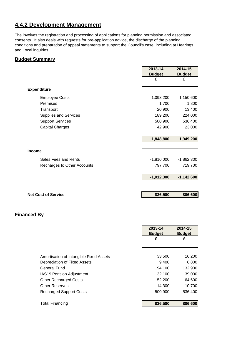## **4.4.2 Development Management**

The involves the registration and processing of applications for planning permission and associated consents. It also deals with requests for pre-application advice, the discharge of the planning conditions and preparation of appeal statements to support the Council's case, including at Hearings and Local inquiries.

#### **Budget Summary**

|                              | 2013-14       | 2014-15       |
|------------------------------|---------------|---------------|
|                              | <b>Budget</b> | <b>Budget</b> |
|                              | £             | £             |
| <b>Expenditure</b>           |               |               |
| <b>Employee Costs</b>        | 1,093,200     | 1,150,600     |
| Premises                     | 1,700         | 1,800         |
| Transport                    | 20,900        | 13,400        |
| <b>Supplies and Services</b> | 189,200       | 224,000       |
| <b>Support Services</b>      | 500,900       | 536,400       |
| <b>Capital Charges</b>       | 42,900        | 23,000        |
|                              |               |               |
|                              | 1,848,800     | 1,949,200     |
|                              |               |               |
| <b>Income</b>                |               |               |
| Sales Fees and Rents         | $-1,810,000$  | $-1,862,300$  |
| Recharges to Other Accounts  | 797,700       | 719,700       |
|                              |               |               |
|                              | $-1,012,300$  | $-1,142,600$  |

| <b>Net Cost of Service</b> | 836,500 | 806,600 |
|----------------------------|---------|---------|
|                            |         |         |

|                                         | 2013-14<br><b>Budget</b> | 2014-15<br><b>Budget</b> |
|-----------------------------------------|--------------------------|--------------------------|
|                                         | £                        | £                        |
|                                         |                          |                          |
| Amortisation of Intangible Fixed Assets | 33,500                   | 16,200                   |
| Depreciation of Fixed Assets            | 9,400                    | 6,800                    |
| <b>General Fund</b>                     | 194,100                  | 132,900                  |
| <b>IAS19 Pension Adjustment</b>         | 32,100                   | 39,000                   |
| <b>Other Recharged Costs</b>            | 52,200                   | 64,600                   |
| <b>Other Reserves</b>                   | 14,300                   | 10,700                   |
| <b>Recharged Support Costs</b>          | 500,900                  | 536,400                  |
|                                         |                          |                          |
| <b>Total Financing</b>                  | 836,500                  | 806,600                  |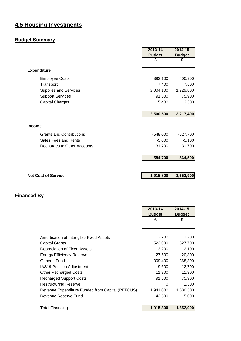# **4.5 Housing Investments**

# **Budget Summary**

|                                 | 2013-14       | 2014-15       |
|---------------------------------|---------------|---------------|
|                                 | <b>Budget</b> | <b>Budget</b> |
|                                 | £             | £             |
| <b>Expenditure</b>              |               |               |
| <b>Employee Costs</b>           | 392,100       | 400,900       |
| Transport                       | 7,400         | 7,500         |
| Supplies and Services           | 2,004,100     | 1,729,800     |
| <b>Support Services</b>         | 91,500        | 75,900        |
| <b>Capital Charges</b>          | 5,400         | 3,300         |
|                                 |               |               |
|                                 | 2,500,500     | 2,217,400     |
|                                 |               |               |
| <b>Income</b>                   |               |               |
| <b>Grants and Contributions</b> | $-548,000$    | $-527,700$    |
| Sales Fees and Rents            | $-5,000$      | $-5,100$      |
| Recharges to Other Accounts     | $-31,700$     | $-31,700$     |
|                                 |               |               |
|                                 | $-584,700$    | $-564,500$    |
|                                 |               |               |
|                                 |               |               |
| <b>Net Cost of Service</b>      | 1,915,800     | 1,652,900     |

|                                                  | 2013-14       | 2014-15       |
|--------------------------------------------------|---------------|---------------|
|                                                  | <b>Budget</b> | <b>Budget</b> |
|                                                  | £             | £             |
|                                                  |               |               |
|                                                  |               |               |
| Amortisation of Intangible Fixed Assets          | 2,200         | 1,200         |
| <b>Capital Grants</b>                            | $-523,000$    | $-527,700$    |
| Depreciation of Fixed Assets                     | 3,200         | 2,100         |
| <b>Energy Efficiency Reserve</b>                 | 27,500        | 20,800        |
| <b>General Fund</b>                              | 309,400       | 368,800       |
| <b>IAS19 Pension Adjustment</b>                  | 9,600         | 12,700        |
| <b>Other Recharged Costs</b>                     | 11,900        | 11,300        |
| <b>Recharged Support Costs</b>                   | 91,500        | 75,900        |
| <b>Restructuring Reserve</b>                     | O             | 2,300         |
| Revenue Expenditure Funded from Capital (REFCUS) | 1,941,000     | 1,680,500     |
| Revenue Reserve Fund                             | 42,500        | 5,000         |
|                                                  |               |               |
| <b>Total Financing</b>                           | 1,915,800     | 1,652,900     |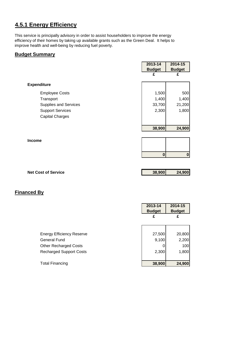# **4.5.1 Energy Efficiency**

This service is principally advisory in order to assist householders to improve the energy efficiency of their homes by taking up available grants such as the Green Deal. It helps to improve health and well-being by reducing fuel poverty.

#### **Budget Summary**

|                              | 2013-14       | 2014-15          |
|------------------------------|---------------|------------------|
|                              | <b>Budget</b> | <b>Budget</b>    |
|                              | £             | £                |
|                              |               |                  |
| <b>Expenditure</b>           |               |                  |
| <b>Employee Costs</b>        | 1,500         | 500              |
| Transport                    | 1,400         | 1,400            |
| <b>Supplies and Services</b> | 33,700        | 21,200           |
| <b>Support Services</b>      | 2,300         | 1,800            |
| <b>Capital Charges</b>       |               |                  |
|                              |               |                  |
|                              | 38,900        | 24,900           |
|                              |               |                  |
| <b>Income</b>                |               |                  |
|                              |               |                  |
|                              | $\bf{0}$      | $\boldsymbol{0}$ |
|                              |               |                  |
|                              |               |                  |
| <b>Net Cost of Service</b>   | 38,900        | 24,900           |
|                              |               |                  |

|                                  | 2013-14<br><b>Budget</b> | 2014-15<br><b>Budget</b> |
|----------------------------------|--------------------------|--------------------------|
|                                  | £                        | £                        |
|                                  |                          |                          |
| <b>Energy Efficiency Reserve</b> | 27,500                   | 20,800                   |
| <b>General Fund</b>              | 9,100                    | 2,200                    |
| <b>Other Recharged Costs</b>     |                          | 100                      |
| <b>Recharged Support Costs</b>   | 2,300                    | 1,800                    |
|                                  |                          |                          |
| <b>Total Financing</b>           | 38,900                   | 24,900                   |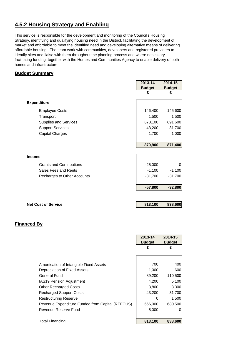# **4.5.2 Housing Strategy and Enabling**

This service is responsible for the development and monitoring of the Council's Housing Strategy, identifying and qualifying housing need in the District, facilitating the development of market and affordable to meet the identified need and developing alternative means of delivering affordable housing. The team work with communities, developers and registered providers to identify sites and liaise with them throughout the planning process and where necessary facilitating funding, together with the Homes and Communities Agency to enable delivery of both homes and infrastructure.

#### **Budget Summary**

|                                 | 2013-14            | 2014-15            |
|---------------------------------|--------------------|--------------------|
|                                 | <b>Budget</b>      | <b>Budget</b>      |
|                                 | £                  | £                  |
| <b>Expenditure</b>              |                    |                    |
| <b>Employee Costs</b>           | 146,400            | 145,600            |
| Transport                       | 1,500              | 1,500              |
| <b>Supplies and Services</b>    | 678,100            | 691,600            |
| <b>Support Services</b>         | 43,200             | 31,700             |
| <b>Capital Charges</b>          | 1,700              | 1,000              |
|                                 | 870,900            | 871,400            |
|                                 |                    |                    |
| Income                          |                    |                    |
| <b>Grants and Contributions</b> | $-25,000$          | $\mathbf 0$        |
| Sales Fees and Rents            | $-1,100$           | $-1,100$           |
| Recharges to Other Accounts     | $-31,700$          | $-31,700$          |
|                                 | $-57,800$          | $-32,800$          |
|                                 |                    |                    |
| <b>Net Cost of Service</b>      | 813,100            | 838,600            |
|                                 |                    |                    |
|                                 |                    |                    |
| <b>Financed By</b>              |                    |                    |
|                                 |                    |                    |
|                                 | 2013-14            | 2014-15            |
|                                 | <b>Budget</b><br>£ | <b>Budget</b><br>£ |
|                                 |                    |                    |
|                                 |                    |                    |

Amortisation of Intangible Fixed Assets **1988** 700 400 Depreciation of Fixed Assets 1,000 600 General Fund 89,200 110,500 IAS19 Pension Adjustment 1990 1200 14,200 5,100 Other Recharged Costs 3,300 3,300 Recharged Support Costs 1996 100 31,700 Restructuring Reserve **1** 1,500 Revenue Expenditure Funded from Capital (REFCUS) | 666,000 680,500 Revenue Reserve Fund 1 5,000 0 Total Financing **813,100 838,600**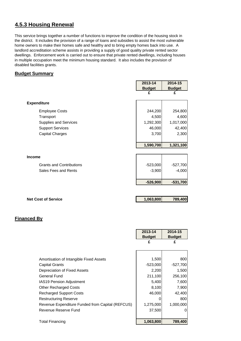# **4.5.3 Housing Renewal**

This service brings together a number of functions to improve the condition of the housing stock in the district. It includes the provision of a range of loans and subsidies to assist the most vulnerable home owners to make their homes safe and healthy and to bring empty homes back into use. A landlord accreditation scheme assists in providing a supply of good quality private rented sector dwellings. Enforcement work is carried out to ensure that private rented dwellings, including houses in multiple occupation meet the minimum housing standard. It also includes the provision of disabled facilities grants.

#### **Budget Summary**

|                                 | 2013-14       | 2014-15       |
|---------------------------------|---------------|---------------|
|                                 | <b>Budget</b> | <b>Budget</b> |
|                                 | £             | £             |
| <b>Expenditure</b>              |               |               |
| <b>Employee Costs</b>           | 244,200       | 254,800       |
| Transport                       | 4,500         | 4,600         |
| <b>Supplies and Services</b>    | 1,292,300     | 1,017,000     |
| <b>Support Services</b>         | 46,000        | 42,400        |
| <b>Capital Charges</b>          | 3,700         | 2,300         |
|                                 |               |               |
|                                 | 1,590,700     | 1,321,100     |
|                                 |               |               |
| Income                          |               |               |
| <b>Grants and Contributions</b> | $-523,000$    | $-527,700$    |
| Sales Fees and Rents            | $-3,900$      | $-4,000$      |
|                                 |               |               |
|                                 | $-526,900$    | $-531,700$    |
|                                 |               |               |
| <b>Net Cost of Service</b>      | 1,063,800     | 789,400       |
|                                 |               |               |
|                                 |               |               |
| <b>Financed By</b>              |               |               |
|                                 | 2013-14       | 2014-15       |
|                                 | <b>Budget</b> | <b>Budget</b> |
|                                 | £             | £             |

| Amortisation of Intangible Fixed Assets          | 1,500      | 800        |
|--------------------------------------------------|------------|------------|
| <b>Capital Grants</b>                            | $-523,000$ | $-527,700$ |
| Depreciation of Fixed Assets                     | 2,200      | 1,500      |
| General Fund                                     | 211,100    | 256,100    |
| <b>IAS19 Pension Adjustment</b>                  | 5,400      | 7,600      |
| <b>Other Recharged Costs</b>                     | 8,100      | 7,900      |
| <b>Recharged Support Costs</b>                   | 46,000     | 42,400     |
| <b>Restructuring Reserve</b>                     |            | 800        |
| Revenue Expenditure Funded from Capital (REFCUS) | 1,275,000  | 1,000,000  |
| Revenue Reserve Fund                             | 37,500     |            |
|                                                  |            |            |
| <b>Total Financing</b>                           | 1,063,800  | 789,400    |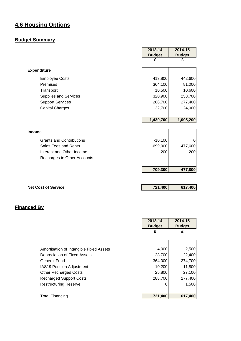# **4.6 Housing Options**

# **Budget Summary**

|                                 | 2013-14       | 2014-15       |
|---------------------------------|---------------|---------------|
|                                 | <b>Budget</b> | <b>Budget</b> |
|                                 | £             | £             |
| <b>Expenditure</b>              |               |               |
| <b>Employee Costs</b>           | 413,800       | 442,600       |
| Premises                        | 364,100       | 81,000        |
| Transport                       | 10,500        | 10,600        |
| Supplies and Services           | 320,900       | 258,700       |
| <b>Support Services</b>         | 288,700       | 277,400       |
| <b>Capital Charges</b>          | 32,700        | 24,900        |
|                                 |               |               |
|                                 | 1,430,700     | 1,095,200     |
|                                 |               |               |
| <b>Income</b>                   |               |               |
| <b>Grants and Contributions</b> | $-10,100$     | O             |
| Sales Fees and Rents            | $-699,000$    | $-477,600$    |
| Interest and Other Income       | $-200$        | $-200$        |
| Recharges to Other Accounts     |               |               |
|                                 | $-709,300$    | $-477,800$    |

**Net Cost of Service 121,400 617,400 617,400** 

|                                         | 2013-14<br><b>Budget</b> | 2014-15<br><b>Budget</b> |
|-----------------------------------------|--------------------------|--------------------------|
|                                         |                          | £                        |
|                                         |                          |                          |
| Amortisation of Intangible Fixed Assets | 4,000                    | 2,500                    |
| Depreciation of Fixed Assets            | 28,700                   | 22,400                   |
| <b>General Fund</b>                     | 364,000                  | 274,700                  |
| IAS19 Pension Adjustment                | 10,200                   | 11,800                   |
| <b>Other Recharged Costs</b>            | 25,800                   | 27,100                   |
| <b>Recharged Support Costs</b>          | 288,700                  | 277,400                  |
| <b>Restructuring Reserve</b>            |                          | 1,500                    |
|                                         |                          |                          |
| <b>Total Financing</b>                  | 721,400                  | 617,400                  |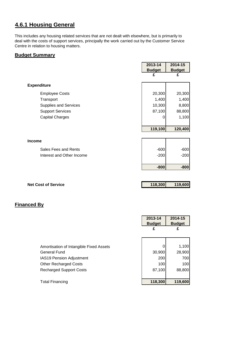# **4.6.1 Housing General**

This includes any housing related services that are not dealt with elsewhere, but is primarily to deal with the costs of support services, principally the work carried out by the Customer Service Centre in relation to housing matters.

#### **Budget Summary**

|                           | 2013-14       | 2014-15       |
|---------------------------|---------------|---------------|
|                           | <b>Budget</b> | <b>Budget</b> |
|                           | £             | £             |
|                           |               |               |
| <b>Expenditure</b>        |               |               |
| <b>Employee Costs</b>     | 20,300        | 20,300        |
| Transport                 | 1,400         | 1,400         |
| Supplies and Services     | 10,300        | 8,800         |
| <b>Support Services</b>   | 87,100        | 88,800        |
| <b>Capital Charges</b>    | 0             | 1,100         |
|                           |               |               |
|                           | 119,100       | 120,400       |
|                           |               |               |
| <b>Income</b>             |               |               |
| Sales Fees and Rents      | $-600$        | $-600$        |
| Interest and Other Income | $-200$        | $-200$        |
|                           |               |               |
|                           | $-800$        | $-800$        |
|                           |               |               |
|                           |               |               |

**Net Cost of Service 118,300 119,600**

|                                         | 2013-14<br><b>Budget</b> | 2014-15<br><b>Budget</b> |
|-----------------------------------------|--------------------------|--------------------------|
|                                         | £                        | £                        |
|                                         |                          |                          |
| Amortisation of Intangible Fixed Assets |                          | 1,100                    |
| <b>General Fund</b>                     | 30,900                   | 28,900                   |
| <b>IAS19 Pension Adjustment</b>         | 200                      | 700                      |
| <b>Other Recharged Costs</b>            | 100                      | 100l                     |
| <b>Recharged Support Costs</b>          | 87,100                   | 88,800                   |
|                                         |                          |                          |
| <b>Total Financing</b>                  | 118,300                  | 119,600                  |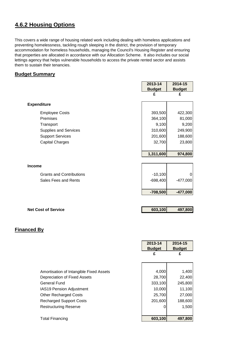# **4.6.2 Housing Options**

This covers a wide range of housing related work including dealing with homeless applications and preventing homelessness, tackling rough sleeping in the district, the provision of temporary accommodation for homeless households, managing the Council's Housing Register and ensuring that properties are allocated in accordance with our Allocation Scheme. It also includes our social lettings agency that helps vulnerable households to access the private rented sector and assists them to sustain their tenancies.

#### **Budget Summary**

|                                 | 2013-14       | 2014-15        |
|---------------------------------|---------------|----------------|
|                                 | <b>Budget</b> | <b>Budget</b>  |
|                                 | £             | £              |
| <b>Expenditure</b>              |               |                |
| <b>Employee Costs</b>           | 393,500       | 422,300        |
| Premises                        | 364,100       | 81,000         |
| Transport                       | 9,100         | 9,200          |
| <b>Supplies and Services</b>    | 310,600       | 249,900        |
| <b>Support Services</b>         | 201,600       | 188,600        |
| <b>Capital Charges</b>          | 32,700        | 23,800         |
|                                 |               |                |
|                                 | 1,311,600     | 974,800        |
|                                 |               |                |
| <b>Income</b>                   |               |                |
| <b>Grants and Contributions</b> | $-10,100$     | $\overline{0}$ |
| Sales Fees and Rents            | $-698,400$    | $-477,000$     |
|                                 |               |                |
|                                 | $-708,500$    | $-477,000$     |
|                                 |               |                |

| <b>Net Cost of Service</b> | 603,100 | 497,800 |
|----------------------------|---------|---------|
|                            |         |         |

|                                         | 2013-14<br><b>Budget</b> | 2014-15<br><b>Budget</b> |
|-----------------------------------------|--------------------------|--------------------------|
|                                         | £                        | £                        |
|                                         |                          |                          |
| Amortisation of Intangible Fixed Assets | 4,000                    | 1,400                    |
| Depreciation of Fixed Assets            | 28,700                   | 22,400                   |
| General Fund                            | 333,100                  | 245,800                  |
| <b>IAS19 Pension Adjustment</b>         | 10,000                   | 11,100                   |
| <b>Other Recharged Costs</b>            | 25,700                   | 27,000                   |
| <b>Recharged Support Costs</b>          | 201,600                  | 188,600                  |
| <b>Restructuring Reserve</b>            |                          | 1,500                    |
|                                         |                          |                          |
| <b>Total Financing</b>                  | 603,100                  | 497,800                  |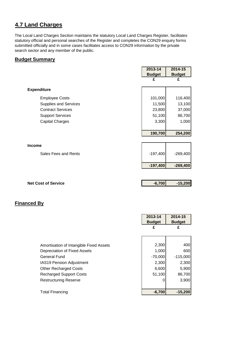# **4.7 Land Charges**

The Local Land Charges Section maintains the statutory Local Land Charges Register, facilitates statutory official and personal searches of the Register and completes the CON29 enquiry forms submitted officially and in some cases facilitates access to CON29 information by the private search sector and any member of the public.

#### **Budget Summary**

|                              | 2013-14       | 2014-15       |
|------------------------------|---------------|---------------|
|                              | <b>Budget</b> | <b>Budget</b> |
|                              | £             | £             |
|                              |               |               |
| <b>Expenditure</b>           |               |               |
| <b>Employee Costs</b>        | 101,000       | 116,400       |
| <b>Supplies and Services</b> | 11,500        | 13,100        |
| <b>Contract Services</b>     | 23,800        | 37,000        |
| <b>Support Services</b>      | 51,100        | 86,700        |
| <b>Capital Charges</b>       | 3,300         | 1,000         |
|                              |               |               |
|                              | 190,700       | 254,200       |
|                              |               |               |
| <b>Income</b>                |               |               |
| Sales Fees and Rents         | $-197,400$    | $-269,400$    |
|                              | $-197,400$    | $-269,400$    |
|                              |               |               |
|                              |               |               |

**Net Cost of Service <b>Cost of Service Cost of Service Cost of Service Cost of Service Cost of Service Cost of Service Cost of Service Cost of Service Cost of Service Cost of Service Cost of Service Co** 

|                                         | 2013-14<br><b>Budget</b> | 2014-15<br><b>Budget</b> |
|-----------------------------------------|--------------------------|--------------------------|
|                                         | £                        | £                        |
|                                         |                          |                          |
| Amortisation of Intangible Fixed Assets | 2,300                    | 400                      |
| Depreciation of Fixed Assets            | 1,000                    | 600                      |
| <b>General Fund</b>                     | $-70,000$                | $-115,000$               |
| IAS19 Pension Adjustment                | 2,300                    | 2,300                    |
| <b>Other Recharged Costs</b>            | 6,600                    | 5,900                    |
| <b>Recharged Support Costs</b>          | 51,100                   | 86,700                   |
| <b>Restructuring Reserve</b>            |                          | 3,900                    |
|                                         |                          |                          |
| Total Financing                         | $-6,700$                 | $-15,200$                |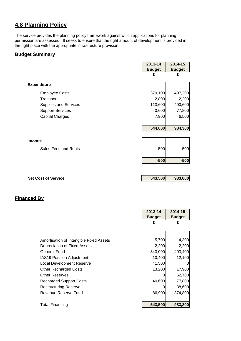# **4.8 Planning Policy**

The service provides the planning policy framework against which applications for planning permission are assessed. It seeks to ensure that the right amount of development is provided in the right place with the appropriate infrastructure provision.

┑

#### **Budget Summary**

|                            | 2013-14       | 2014-15       |
|----------------------------|---------------|---------------|
|                            | <b>Budget</b> | <b>Budget</b> |
|                            | £             | £             |
|                            |               |               |
| <b>Expenditure</b>         |               |               |
| <b>Employee Costs</b>      | 379,100       | 497,200       |
| Transport                  | 2,800         | 2,200         |
| Supplies and Services      | 113,600       | 400,600       |
| <b>Support Services</b>    | 40,600        | 77,800        |
| <b>Capital Charges</b>     | 7,900         | 6,500         |
|                            |               |               |
|                            | 544,000       | 984,300       |
|                            |               |               |
| <b>Income</b>              |               |               |
| Sales Fees and Rents       | $-500$        | $-500$        |
|                            |               |               |
|                            | $-500$        | $-500$        |
|                            |               |               |
|                            |               |               |
| <b>Net Cost of Service</b> | 543,500       | 983,800       |

|                                         | 2013-14       | 2014-15       |
|-----------------------------------------|---------------|---------------|
|                                         | <b>Budget</b> | <b>Budget</b> |
|                                         | £             | £             |
|                                         |               |               |
|                                         |               |               |
| Amortisation of Intangible Fixed Assets | 5,700         | 4,300         |
| Depreciation of Fixed Assets            | 2,200         | 2,200         |
| <b>General Fund</b>                     | 343,000       | 403,400       |
| IAS19 Pension Adjustment                | 10,400        | 12,100        |
| Local Development Reserve               | 41,500        | 0             |
| <b>Other Recharged Costs</b>            | 13,200        | 17,900        |
| <b>Other Reserves</b>                   | O             | 52,700        |
| <b>Recharged Support Costs</b>          | 40,600        | 77,800        |
| Restructuring Reserve                   |               | 38,600        |
| Revenue Reserve Fund                    | 86,900        | 374,800       |
|                                         |               |               |
| <b>Total Financing</b>                  | 543,500       | 983,800       |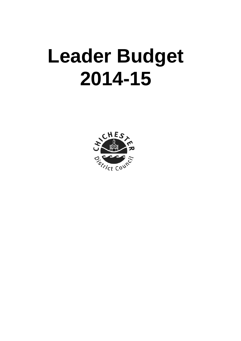# **Leader Budget 2014-15**

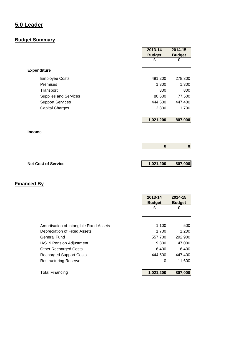# **5.0 Leader**

# **Budget Summary**

| <b>Budget</b><br>£ | <b>Budget</b><br>£ |
|--------------------|--------------------|
|                    |                    |
|                    |                    |
|                    |                    |
| 491,200            | 278,300            |
| 1,300              | 1,300              |
| 800                | 800                |
| 80,600             | 77,500             |
| 444,500            | 447,400            |
| 2,800              | 1,700              |
|                    |                    |
|                    | 807,000            |
|                    | 1,021,200          |

**0 0**

**Net Cost of Service 1,021,200 807,000** 

|                                         | 2013-14<br><b>Budget</b> | 2014-15<br><b>Budget</b> |
|-----------------------------------------|--------------------------|--------------------------|
|                                         | £                        | £                        |
|                                         |                          |                          |
| Amortisation of Intangible Fixed Assets | 1,100                    | 500                      |
| Depreciation of Fixed Assets            | 1,700                    | 1,200                    |
| <b>General Fund</b>                     | 557,700                  | 292,900                  |
| IAS19 Pension Adjustment                | 9,800                    | 47,000                   |
| <b>Other Recharged Costs</b>            | 6,400                    | 6,400                    |
| <b>Recharged Support Costs</b>          | 444,500                  | 447,400                  |
| <b>Restructuring Reserve</b>            | 0                        | 11,600                   |
| <b>Total Financing</b>                  | 1,021,200                | 807,000                  |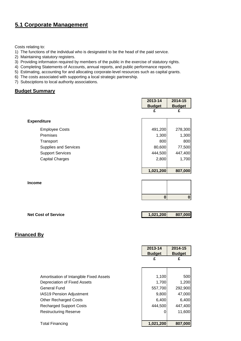# **5.1 Corporate Management**

Costs relating to:

- 1) The functions of the individual who is designated to be the head of the paid service.
- 2) Maintaining statutory registers.
- 3) Providing informaton required by members of the public in the exercise of statutory rights.
- 4) Completing Statements of Accounts, annual reports, and public performance reports.
- 5) Estimating, accounting for and allocating corporate-level resources such as capital grants.
- 6) The costs associated with supporting a local strategic partnership.
- 7) Subsciptions to local authority associations.

#### **Budget Summary**

|                            | 2013-14<br><b>Budget</b> | 2014-15<br><b>Budget</b> |
|----------------------------|--------------------------|--------------------------|
|                            | £                        | £                        |
| <b>Expenditure</b>         |                          |                          |
| <b>Employee Costs</b>      | 491,200                  | 278,300                  |
| Premises                   | 1,300                    | 1,300                    |
| Transport                  | 800                      | 800                      |
| Supplies and Services      | 80,600                   | 77,500                   |
| <b>Support Services</b>    | 444,500                  | 447,400                  |
| <b>Capital Charges</b>     | 2,800                    | 1,700                    |
|                            | 1,021,200                | 807,000                  |
| <b>Income</b>              |                          |                          |
|                            | $\bf{0}$                 | $\boldsymbol{0}$         |
|                            |                          |                          |
| <b>Net Cost of Service</b> | 1,021,200                | 807,000                  |

|                                                                                                                                                                                                                       | 2013-14<br><b>Budget</b><br>£                          | 2014-15<br><b>Budget</b><br>£                                   |
|-----------------------------------------------------------------------------------------------------------------------------------------------------------------------------------------------------------------------|--------------------------------------------------------|-----------------------------------------------------------------|
| Amortisation of Intangible Fixed Assets<br>Depreciation of Fixed Assets<br>General Fund<br>IAS19 Pension Adjustment<br><b>Other Recharged Costs</b><br><b>Recharged Support Costs</b><br><b>Restructuring Reserve</b> | 1,100<br>1,700<br>557,700<br>9,800<br>6,400<br>444,500 | 500<br>1,200<br>292,900<br>47,000<br>6,400<br>447,400<br>11,600 |
| <b>Total Financing</b>                                                                                                                                                                                                | 1,021,200                                              | 807,000                                                         |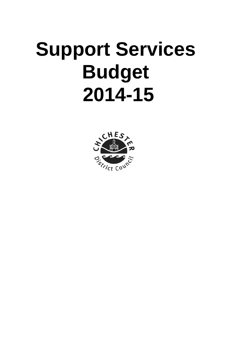# **Support Services Budget 2014-15**

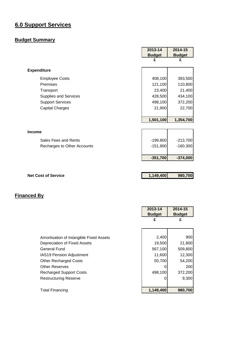# **6.0 Support Services**

# **Budget Summary**

|                             | 2013-14       | 2014-15       |
|-----------------------------|---------------|---------------|
|                             | <b>Budget</b> | <b>Budget</b> |
|                             | £             | £             |
| <b>Expenditure</b>          |               |               |
| <b>Employee Costs</b>       | 408,100       | 393,500       |
| Premises                    | 121,100       | 110,800       |
| Transport                   | 23,400        | 21,400        |
| Supplies and Services       | 428,500       | 434,100       |
| <b>Support Services</b>     | 498,100       | 372,200       |
| <b>Capital Charges</b>      | 21,900        | 22,700        |
|                             |               |               |
|                             | 1,501,100     | 1,354,700     |
|                             |               |               |
| <b>Income</b>               |               |               |
| Sales Fees and Rents        | $-199,800$    | $-213,700$    |
| Recharges to Other Accounts | $-151,900$    | $-160,300$    |
|                             |               |               |
|                             | $-351,700$    | $-374,000$    |
|                             |               |               |
|                             |               |               |
| <b>Net Cost of Service</b>  | 1,149,400     | 980,700       |

|                                         | 2013-14<br><b>Budget</b> | 2014-15<br><b>Budget</b> |
|-----------------------------------------|--------------------------|--------------------------|
|                                         | £                        | £                        |
|                                         |                          |                          |
| Amortisation of Intangible Fixed Assets | 2,400                    | 900                      |
| Depreciation of Fixed Assets            | 19,500                   | 21,800                   |
| General Fund                            | 567,100                  | 509,800                  |
| IAS19 Pension Adjustment                | 11,600                   | 12,300                   |
| <b>Other Recharged Costs</b>            | 50,700                   | 54,200                   |
| <b>Other Reserves</b>                   |                          | 200                      |
| <b>Recharged Support Costs</b>          | 498,100                  | 372,200                  |
| <b>Restructuring Reserve</b>            |                          | 9,300                    |
|                                         |                          |                          |
| <b>Total Financing</b>                  | 1,149,400                | 980,700                  |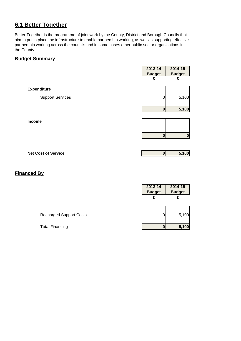#### **6.1 Better Together**

Better Together is the programme of joint work by the County, District and Borough Councils that aim to put in place the infrastructure to enable partnership working, as well as supporting effective partnership working across the councils and in some cases other public sector organisations in the County.

#### **Budget Summary**

|                         | 2013-14<br><b>Budget</b> | 2014-15<br><b>Budget</b> |
|-------------------------|--------------------------|--------------------------|
|                         | £                        | £                        |
| <b>Expenditure</b>      |                          |                          |
| <b>Support Services</b> | 0                        | 5,100                    |
|                         | 0                        | 5,100                    |
| <b>Income</b>           |                          |                          |
|                         |                          |                          |
|                         | $\mathbf 0$              | 0                        |
|                         |                          |                          |

**Net Cost of Service 0 5,100**

|                                | 2013-14<br><b>Budget</b><br>£ | 2014-15<br><b>Budget</b><br>£ |
|--------------------------------|-------------------------------|-------------------------------|
| <b>Recharged Support Costs</b> |                               | 5,100                         |
| <b>Total Financing</b>         |                               | 5,100                         |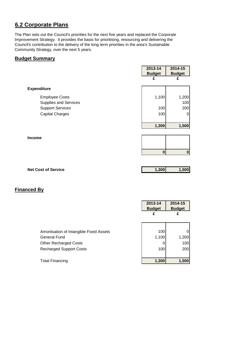# **6.2 Corporate Plans**

The Plan sets out the Council's priorities for the next five years and replaced the Corporate Improvement Strategy. It provides the basis for prioritising, resourcing and delivering the Council's contribution to the delivery of the long term priorities in the area's Sustainable Community Strategy, over the next 5 years.

#### **Budget Summary**

|                                                       | 2013-14       | 2014-15       |
|-------------------------------------------------------|---------------|---------------|
|                                                       | <b>Budget</b> | <b>Budget</b> |
|                                                       | £             | £             |
| <b>Expenditure</b>                                    |               |               |
| <b>Employee Costs</b><br><b>Supplies and Services</b> | 1,100         | 1,200<br>100  |
| <b>Support Services</b>                               | 100           | 200           |
| <b>Capital Charges</b>                                | 100           | 0             |
|                                                       |               |               |
|                                                       | 1,300         | 1,500         |
|                                                       |               |               |
| Income                                                |               |               |
|                                                       |               |               |
|                                                       | $\bf{0}$      | $\pmb{0}$     |
|                                                       |               |               |
| <b>Net Cost of Service</b>                            | 1,300         | 1,500         |

|                                         | 2013-14<br><b>Budget</b> | 2014-15<br><b>Budget</b> |
|-----------------------------------------|--------------------------|--------------------------|
|                                         | £                        | £                        |
|                                         |                          |                          |
| Amortisation of Intangible Fixed Assets | 100                      |                          |
| <b>General Fund</b>                     | 1,100                    | 1,200                    |
| <b>Other Recharged Costs</b>            |                          | 100                      |
| <b>Recharged Support Costs</b>          | 100                      | 200                      |
|                                         |                          |                          |
| <b>Total Financing</b>                  | 1,300                    | 1,500                    |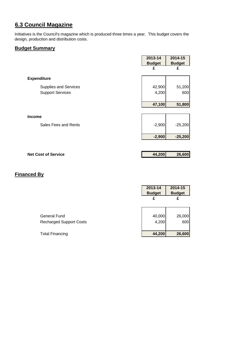# **6.3 Council Magazine**

Initiatives is the Council's magazine which is produced three times a year. This budget covers the design, production and distribution costs.

#### **Budget Summary**

|                              | 2013-14<br><b>Budget</b> | 2014-15<br><b>Budget</b> |
|------------------------------|--------------------------|--------------------------|
|                              | £                        | £                        |
| <b>Expenditure</b>           |                          |                          |
| <b>Supplies and Services</b> | 42,900                   | 51,200                   |
| <b>Support Services</b>      | 4,200                    | 600                      |
|                              |                          |                          |
|                              | 47,100                   | 51,800                   |
| <b>Income</b>                |                          |                          |
| Sales Fees and Rents         | $-2,900$                 | $-25,200$                |
|                              | $-2,900$                 | $-25,200$                |
|                              |                          |                          |

| <b>Net Cost of Service</b> | 44,200 | 26,600 |
|----------------------------|--------|--------|
|                            |        |        |

|                                                | 2013-14<br><b>Budget</b><br>£ | 2014-15<br><b>Budget</b><br>£ |
|------------------------------------------------|-------------------------------|-------------------------------|
| General Fund<br><b>Recharged Support Costs</b> | 40,000<br>4,200               | 26,000<br>600                 |
| <b>Total Financing</b>                         | 44,200                        | 26,600                        |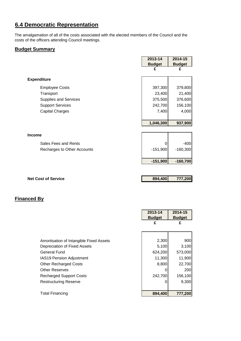# **6.4 Democratic Representation**

The amalgamation of all of the costs associated with the elected members of the Council and the costs of the officers attending Council meetings.

#### **Budget Summary**

|                             | 2013-14       | 2014-15       |
|-----------------------------|---------------|---------------|
|                             | <b>Budget</b> | <b>Budget</b> |
|                             | £             | £             |
|                             |               |               |
| <b>Expenditure</b>          |               |               |
| <b>Employee Costs</b>       | 397,300       | 379,800       |
| Transport                   | 23,400        | 21,400        |
| Supplies and Services       | 375,500       | 376,600       |
| <b>Support Services</b>     | 242,700       | 156,100       |
| <b>Capital Charges</b>      | 7,400         | 4,000         |
|                             |               |               |
|                             | 1,046,300     | 937,900       |
|                             |               |               |
| <b>Income</b>               |               |               |
| Sales Fees and Rents        | $\Omega$      | $-400$        |
| Recharges to Other Accounts | $-151,900$    | $-160,300$    |
|                             |               |               |
|                             | $-151,900$    | $-160,700$    |
|                             |               |               |
|                             |               |               |
| <b>Net Cost of Service</b>  | 894,400       | 777,200       |
|                             |               |               |
|                             |               |               |
|                             |               |               |

|                                         | 2013-14       | 2014-15       |
|-----------------------------------------|---------------|---------------|
|                                         | <b>Budget</b> | <b>Budget</b> |
|                                         | £             | £             |
|                                         |               |               |
|                                         |               |               |
| Amortisation of Intangible Fixed Assets | 2,300         | 900           |
| Depreciation of Fixed Assets            | 5,100         | 3,100         |
| General Fund                            | 624,200       | 573,000       |
| IAS19 Pension Adjustment                | 11,300        | 11,900        |
| <b>Other Recharged Costs</b>            | 8,800         | 22,700        |
| <b>Other Reserves</b>                   |               | 200           |
| <b>Recharged Support Costs</b>          | 242,700       | 156,100       |
| <b>Restructuring Reserve</b>            |               | 9,300         |
|                                         |               |               |
| <b>Total Financing</b>                  | 894,400       | 777,200       |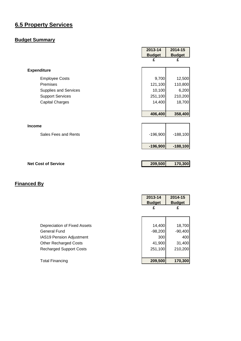# **6.5 Property Services**

# **Budget Summary**

|                              | 2013-14       | 2014-15       |
|------------------------------|---------------|---------------|
|                              | <b>Budget</b> | <b>Budget</b> |
|                              | £             | £             |
| <b>Expenditure</b>           |               |               |
| <b>Employee Costs</b>        | 9,700         | 12,500        |
| Premises                     | 121,100       | 110,800       |
| <b>Supplies and Services</b> | 10,100        | 6,200         |
| <b>Support Services</b>      | 251,100       | 210,200       |
| <b>Capital Charges</b>       | 14,400        | 18,700        |
|                              |               |               |
|                              | 406,400       | 358,400       |
|                              |               |               |
| <b>Income</b>                |               |               |
| Sales Fees and Rents         | $-196,900$    | $-188,100$    |
|                              |               |               |
|                              | $-196,900$    | $-188,100$    |
|                              |               |               |
|                              |               |               |
| <b>Net Cost of Service</b>   | 209,500       | 170,300       |

|                                 | 2013-14<br><b>Budget</b> | 2014-15<br><b>Budget</b> |
|---------------------------------|--------------------------|--------------------------|
|                                 | £                        | £                        |
|                                 |                          |                          |
| Depreciation of Fixed Assets    | 14,400                   | 18,700                   |
| General Fund                    | $-98,200$                | $-90,400$                |
| <b>IAS19 Pension Adjustment</b> | 300                      | 400                      |
| <b>Other Recharged Costs</b>    | 41,900                   | 31,400                   |
| <b>Recharged Support Costs</b>  | 251,100                  | 210,200                  |
|                                 |                          |                          |
| <b>Total Financing</b>          | 209,500                  | 170,300                  |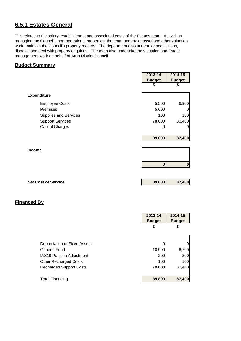# **6.5.1 Estates General**

This relates to the salary, establishment and associated costs of the Estates team. As well as managing the Council's non-operational properties, the team undertake asset and other valuation work, maintain the Council's property records. The department also undertake acquisitions, disposal and deal with property enquiries. The team also undertake the valuation and Estate management work on behalf of Arun District Council.

#### **Budget Summary**

|                            | 2013-14       | 2014-15       |
|----------------------------|---------------|---------------|
|                            | <b>Budget</b> | <b>Budget</b> |
|                            | £             | £             |
|                            |               |               |
| <b>Expenditure</b>         |               |               |
| <b>Employee Costs</b>      | 5,500         | 6,900         |
| Premises                   | 5,600         | O             |
| Supplies and Services      | 100           | 100           |
| <b>Support Services</b>    | 78,600        | 80,400        |
| <b>Capital Charges</b>     | 0             | O             |
|                            |               |               |
|                            | 89,800        | 87,400        |
|                            |               |               |
| <b>Income</b>              |               |               |
|                            |               |               |
|                            | $\mathbf 0$   | $\mathbf 0$   |
|                            |               |               |
|                            |               |               |
| <b>Net Cost of Service</b> | 89,800        | 87,400        |
|                            |               |               |

|                                 | 2013-14<br><b>Budget</b> | 2014-15<br><b>Budget</b> |
|---------------------------------|--------------------------|--------------------------|
|                                 | £                        | £                        |
|                                 |                          |                          |
| Depreciation of Fixed Assets    |                          | $\Omega$                 |
| General Fund                    | 10,900                   | 6,700                    |
| <b>IAS19 Pension Adjustment</b> | 200                      | 200                      |
| <b>Other Recharged Costs</b>    | 100                      | 100                      |
| <b>Recharged Support Costs</b>  | 78,600                   | 80,400                   |
|                                 |                          |                          |
| <b>Total Financing</b>          | 89,800                   | 87,400                   |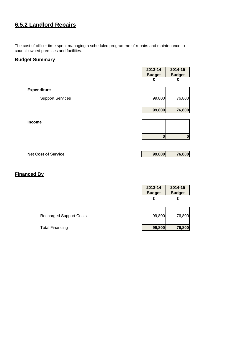# **6.5.2 Landlord Repairs**

The cost of officer time spent managing a scheduled programme of repairs and maintenance to council owned premises and facilities.

#### **Budget Summary**

|                         | 2013-14<br><b>Budget</b> | 2014-15<br><b>Budget</b> |
|-------------------------|--------------------------|--------------------------|
|                         | £                        | £                        |
| <b>Expenditure</b>      |                          |                          |
| <b>Support Services</b> | 99,800                   | 76,800                   |
|                         | 99,800                   | 76,800                   |
| Income                  |                          |                          |
|                         |                          |                          |
|                         | 0                        | $\bf{0}$                 |

**Net Cost of Service 99,800 76,800**

|                                | 2013-14<br><b>Budget</b><br>£ | 2014-15<br><b>Budget</b><br>£ |
|--------------------------------|-------------------------------|-------------------------------|
| <b>Recharged Support Costs</b> | 99,800                        | 76,800                        |
| <b>Total Financing</b>         | 99,800                        | 76,800                        |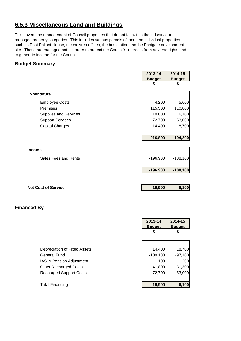# **6.5.3 Miscellaneous Land and Buildings**

This covers the management of Council properties that do not fall within the industrial or managed property categories. This includes various parcels of land and individual properties such as East Pallant House, the ex-Area offices, the bus station and the Eastgate development site. These are managed both in order to protect the Council's interests from adverse rights and to generate income for the Council.

#### **Budget Summary**

|                              | 2013-14       | 2014-15       |
|------------------------------|---------------|---------------|
|                              | <b>Budget</b> | <b>Budget</b> |
|                              | £             | £             |
|                              |               |               |
| <b>Expenditure</b>           |               |               |
| <b>Employee Costs</b>        | 4,200         | 5,600         |
| Premises                     | 115,500       | 110,800       |
| <b>Supplies and Services</b> | 10,000        | 6,100         |
| <b>Support Services</b>      | 72,700        | 53,000        |
| <b>Capital Charges</b>       | 14,400        | 18,700        |
|                              |               |               |
|                              | 216,800       | 194,200       |
|                              |               |               |
| <b>Income</b>                |               |               |
| Sales Fees and Rents         | $-196,900$    | $-188,100$    |
|                              |               |               |
|                              | $-196,900$    | $-188,100$    |
|                              |               |               |
|                              |               |               |
| <b>Net Cost of Service</b>   | 19,900        | 6,100         |

|                                | 2013-14<br><b>Budget</b> | 2014-15<br><b>Budget</b> |
|--------------------------------|--------------------------|--------------------------|
|                                | £                        | £                        |
|                                |                          |                          |
| Depreciation of Fixed Assets   | 14,400                   | 18,700                   |
| General Fund                   | $-109,100$               | $-97,100$                |
| IAS19 Pension Adjustment       | 100                      | 200                      |
| <b>Other Recharged Costs</b>   | 41,800                   | 31,300                   |
| <b>Recharged Support Costs</b> | 72,700                   | 53,000                   |
|                                |                          |                          |
| <b>Total Financing</b>         | 19,900                   | 6,100                    |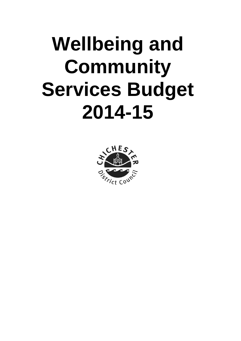# **Wellbeing and Community Services Budget 2014-15**

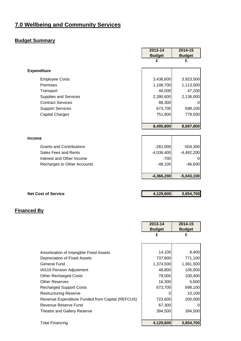# **7.0 Wellbeing and Community Services**

# **Budget Summary**

|                    |                                 | 2013-14       | 2014-15       |
|--------------------|---------------------------------|---------------|---------------|
|                    |                                 | <b>Budget</b> | <b>Budget</b> |
|                    |                                 | £             | £             |
| <b>Expenditure</b> |                                 |               |               |
|                    | <b>Employee Costs</b>           | 3,436,600     | 3,923,500     |
| Premises           |                                 | 1,108,700     | 1,113,500     |
| Transport          |                                 | 46,000        | 47,200        |
|                    | <b>Supplies and Services</b>    | 2,390,600     | 2,136,000     |
|                    | <b>Contract Services</b>        | 88,300        |               |
|                    | <b>Support Services</b>         | 673,700       | 698,100       |
|                    | <b>Capital Charges</b>          | 751,900       | 779,500       |
|                    |                                 |               |               |
|                    |                                 | 8,495,800     | 8,697,800     |
| <b>Income</b>      |                                 |               |               |
|                    | <b>Grants and Contributions</b> | $-281,000$    | $-504,300$    |
|                    | Sales Fees and Rents            | $-4,036,400$  | $-4,492,200$  |
|                    | Interest and Other Income       | $-700$        | 0             |
|                    | Recharges to Other Accounts     | $-48,100$     | $-46,600$     |
|                    |                                 | $-4,366,200$  | $-5,043,100$  |

| <b>Net Cost of Service</b> | 4,129,600 | 3,654,700 |
|----------------------------|-----------|-----------|
|                            |           |           |

|                                                  | 2013-14       | 2014-15       |
|--------------------------------------------------|---------------|---------------|
|                                                  | <b>Budget</b> | <b>Budget</b> |
|                                                  | £             | £             |
|                                                  |               |               |
|                                                  |               |               |
| Amortisation of Intangible Fixed Assets          | 14,100        | 8,400         |
| Depreciation of Fixed Assets                     | 737,800       | 771,100       |
| General Fund                                     | 1,374,500     | 1,361,500     |
| <b>IAS19 Pension Adjustment</b>                  | 48,800        | 105,000       |
| <b>Other Recharged Costs</b>                     | 79,000        | 100,400       |
| <b>Other Reserves</b>                            | 16,300        | 5,600         |
| <b>Recharged Support Costs</b>                   | 673,700       | 698,100       |
| <b>Restructuring Reserve</b>                     |               | 10,100        |
| Revenue Expenditure Funded from Capital (REFCUS) | 723,600       | 200,000       |
| Revenue Reserve Fund                             | 67,300        |               |
| Theatre and Gallery Reserve                      | 394,500       | 394,500       |
|                                                  |               |               |
| <b>Total Financing</b>                           | 4,129,600     | 3,654,700     |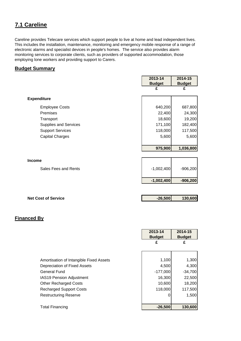# **7.1 Careline**

Careline provides Telecare services which support people to live at home and lead independent lives. This includes the installation, maintenance, monitoring and emergency mobile response of a range of electronic alarms and specialist devices in people's homes. The service also provides alarm monitoring services to corporate clients, such as providers of supported accommodation, those employing lone workers and providing support to Carers.

#### **Budget Summary**

|                              | 2013-14<br><b>Budget</b> | 2014-15<br><b>Budget</b> |
|------------------------------|--------------------------|--------------------------|
|                              | £                        | £                        |
| <b>Expenditure</b>           |                          |                          |
| <b>Employee Costs</b>        | 640,200                  | 687,800                  |
| Premises                     | 22,400                   | 24,300                   |
| Transport                    | 18,600                   | 19,200                   |
| <b>Supplies and Services</b> | 171,100                  | 182,400                  |
| <b>Support Services</b>      | 118,000                  | 117,500                  |
| <b>Capital Charges</b>       | 5,600                    | 5,600                    |
|                              | 975,900                  | 1,036,800                |
|                              |                          |                          |

|                      | $-1,002,400$ | $-906,200$ |
|----------------------|--------------|------------|
| Sales Fees and Rents | $-1,002,400$ | $-906,200$ |
| <b>Income</b>        |              |            |

| <b>Net Cost of Service</b> | $-26,500$ | 130,600 |
|----------------------------|-----------|---------|
|                            |           |         |

|                                         | 2013-14<br><b>Budget</b> | 2014-15<br><b>Budget</b> |
|-----------------------------------------|--------------------------|--------------------------|
|                                         | £                        | £                        |
|                                         |                          |                          |
| Amortisation of Intangible Fixed Assets | 1,100                    | 1,300                    |
| Depreciation of Fixed Assets            | 4,500                    | 4,300                    |
| <b>General Fund</b>                     | $-177,000$               | $-34,700$                |
| <b>IAS19 Pension Adjustment</b>         | 16,300                   | 22,500                   |
| <b>Other Recharged Costs</b>            | 10,600                   | 18,200                   |
| <b>Recharged Support Costs</b>          | 118,000                  | 117,500                  |
| <b>Restructuring Reserve</b>            |                          | 1,500                    |
|                                         |                          |                          |
| <b>Total Financing</b>                  | $-26,500$                | 130,600                  |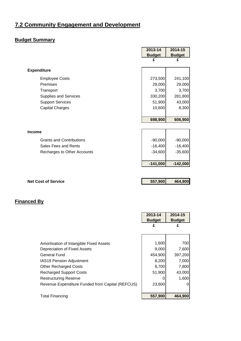# **7.2 Community Engagement and Development**

# **Budget Summary**

|                                                  | 2013-14       | 2014-15       |
|--------------------------------------------------|---------------|---------------|
|                                                  | <b>Budget</b> | <b>Budget</b> |
|                                                  | £             | £             |
| <b>Expenditure</b>                               |               |               |
| <b>Employee Costs</b>                            | 273,500       | 241,100       |
| Premises                                         | 29,000        | 29,000        |
| Transport                                        | 3,700         | 3,700         |
| Supplies and Services                            | 330,200       | 281,800       |
| <b>Support Services</b>                          | 51,900        | 43,000        |
| <b>Capital Charges</b>                           | 10,600        | 8,300         |
|                                                  | 698,900       | 606,900       |
|                                                  |               |               |
| <b>Income</b>                                    |               |               |
| <b>Grants and Contributions</b>                  | $-90,000$     | $-90,000$     |
| Sales Fees and Rents                             | $-16,400$     | $-16,400$     |
| Recharges to Other Accounts                      | $-34,600$     | $-35,600$     |
|                                                  |               |               |
|                                                  | $-141,000$    | $-142,000$    |
|                                                  |               |               |
| <b>Net Cost of Service</b>                       | 557,900       | 464,900       |
|                                                  |               |               |
|                                                  |               |               |
| <b>Financed By</b>                               |               |               |
|                                                  | 2013-14       | 2014-15       |
|                                                  | <b>Budget</b> | <b>Budget</b> |
|                                                  | £             | £             |
|                                                  |               |               |
| Amortisation of Intangible Fixed Assets          | 1,600         | 700           |
| Depreciation of Fixed Assets                     | 9,000         | 7,600         |
| <b>General Fund</b>                              | 454,900       | 397,200       |
| IAS19 Pension Adjustment                         | 8,200         | 7,000         |
| <b>Other Recharged Costs</b>                     | 8,700         | 7,800         |
| <b>Recharged Support Costs</b>                   | 51,900        | 43,000        |
| <b>Restructuring Reserve</b>                     | 0             | 1,600         |
| Revenue Expenditure Funded from Capital (REFCUS) | 23,600        | 0             |
|                                                  |               |               |

Total Financing **557,900 464,900**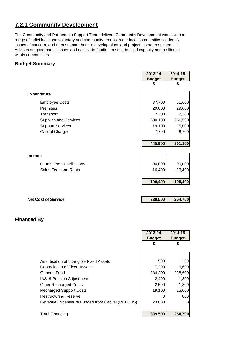# **7.2.1 Community Development**

The Community and Partnership Support Team delivers Community Development works with a range of individuals and voluntary and community groups in our local communities to identify issues of concern, and then support them to develop plans and projects to address them. Advises on governance issues and access to funding to seek to build capacity and resilience within communities.

#### **Budget Summary**

|                                 | 2013-14       | 2014-15       |
|---------------------------------|---------------|---------------|
|                                 | <b>Budget</b> | <b>Budget</b> |
|                                 | £             | £             |
| <b>Expenditure</b>              |               |               |
| <b>Employee Costs</b>           | 87,700        | 51,600        |
| Premises                        | 29,000        | 29,000        |
| Transport                       | 2,300         | 2,300         |
| <b>Supplies and Services</b>    | 300,100       | 256,500       |
| <b>Support Services</b>         | 19,100        | 15,000        |
| <b>Capital Charges</b>          | 7,700         | 6,700         |
|                                 |               |               |
|                                 | 445,900       | 361,100       |
|                                 |               |               |
| <b>Income</b>                   |               |               |
| <b>Grants and Contributions</b> | $-90,000$     | $-90,000$     |
| Sales Fees and Rents            | $-16,400$     | $-16,400$     |
|                                 |               |               |
|                                 | $-106,400$    | $-106,400$    |
|                                 |               |               |
|                                 |               |               |
| <b>Net Cost of Service</b>      | 339,500       | 254,700       |
|                                 |               |               |
|                                 |               |               |
| <b>Financed By</b>              |               |               |
|                                 |               |               |
|                                 |               |               |

|                                                  | puuget  | puuget  |
|--------------------------------------------------|---------|---------|
|                                                  | £       | £       |
|                                                  |         |         |
| Amortisation of Intangible Fixed Assets          | 500     | 100     |
| Depreciation of Fixed Assets                     | 7,200   | 6,600   |
| General Fund                                     | 284,200 | 228,600 |
| <b>IAS19 Pension Adjustment</b>                  | 2,400   | 1,800   |
| <b>Other Recharged Costs</b>                     | 2,500   | 1,800   |
| <b>Recharged Support Costs</b>                   | 19,100  | 15,000  |
| <b>Restructuring Reserve</b>                     |         | 800     |
| Revenue Expenditure Funded from Capital (REFCUS) | 23,600  |         |
|                                                  |         |         |
| <b>Total Financing</b>                           | 339,500 | 254,700 |

**2013-14 Budget** **2014-15 Budget**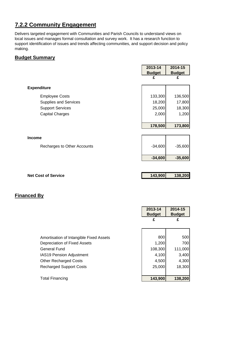# **7.2.2 Community Engagement**

Delivers targeted engagement with Communities and Parish Councils to understand views on local issues and manages formal consultation and survey work. It has a research function to support identification of issues and trends affecting communities, and support decision and policy making.

#### **Budget Summary**

|                              | 2013-14            | 2014-15            |
|------------------------------|--------------------|--------------------|
|                              | <b>Budget</b><br>£ | <b>Budget</b><br>£ |
| <b>Expenditure</b>           |                    |                    |
| <b>Employee Costs</b>        | 133,300            | 136,500            |
| <b>Supplies and Services</b> | 18,200             | 17,800             |
| <b>Support Services</b>      | 25,000             | 18,300             |
| <b>Capital Charges</b>       | 2,000              | 1,200              |
|                              |                    |                    |
|                              | 178,500            | 173,800            |
|                              |                    |                    |
| <b>Income</b>                |                    |                    |
|                              |                    |                    |
| Recharges to Other Accounts  | $-34,600$          | $-35,600$          |
|                              | $-34,600$          | $-35,600$          |
|                              |                    |                    |

| 2013-14       | 2014-15       |
|---------------|---------------|
| <b>Budget</b> | <b>Budget</b> |
| £             | £             |
|               |               |
|               |               |
|               | 500           |
| 1,200         | 700           |
| 108,300       | 111,000       |
| 4,100         | 3,400         |
| 4,500         | 4,300         |
| 25,000        | 18,300        |
|               |               |
| 143,900       | 138,200       |
|               | 800           |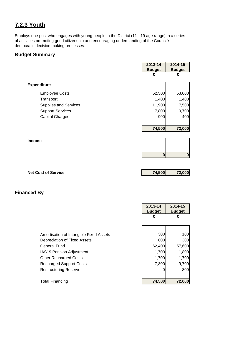# **7.2.3 Youth**

Employs one post who engages with young people in the District (11 - 19 age range) in a series of activities promoting good citizenship and encouraging understanding of the Council's democratic decision making processes.

#### **Budget Summary**

|                              | 2013-14       | 2014-15       |
|------------------------------|---------------|---------------|
|                              | <b>Budget</b> | <b>Budget</b> |
|                              | £             | £             |
|                              |               |               |
| <b>Expenditure</b>           |               |               |
| <b>Employee Costs</b>        | 52,500        | 53,000        |
| Transport                    | 1,400         | 1,400         |
| <b>Supplies and Services</b> | 11,900        | 7,500         |
| <b>Support Services</b>      | 7,800         | 9,700         |
| <b>Capital Charges</b>       | 900           | 400           |
|                              |               |               |
|                              | 74,500        | 72,000        |
|                              |               |               |
| <b>Income</b>                |               |               |
|                              |               |               |
|                              | $\bf{0}$      |               |
|                              |               | $\pmb{0}$     |
|                              |               |               |
|                              |               |               |

**Net Cost of Service 74,500 72,000** 

|                                         | 2013-14       | 2014-15       |
|-----------------------------------------|---------------|---------------|
|                                         | <b>Budget</b> | <b>Budget</b> |
|                                         | £             | £             |
|                                         |               |               |
|                                         |               |               |
| Amortisation of Intangible Fixed Assets | 300           | 100           |
| Depreciation of Fixed Assets            | 600           | 300           |
| <b>General Fund</b>                     | 62,400        | 57,600        |
| <b>IAS19 Pension Adjustment</b>         | 1,700         | 1,800         |
| <b>Other Recharged Costs</b>            | 1,700         | 1,700         |
| <b>Recharged Support Costs</b>          | 7,800         | 9,700         |
| <b>Restructuring Reserve</b>            | 0             | 800           |
|                                         |               |               |
| <b>Total Financing</b>                  | 74,500        | 72,000        |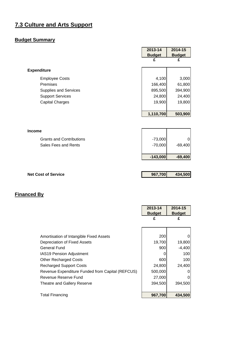# **7.3 Culture and Arts Support**

# **Budget Summary**

|                                 | 2013-14       | 2014-15       |
|---------------------------------|---------------|---------------|
|                                 | <b>Budget</b> | <b>Budget</b> |
|                                 | £             | £             |
| <b>Expenditure</b>              |               |               |
| <b>Employee Costs</b>           | 4,100         | 3,000         |
| <b>Premises</b>                 | 166,400       | 61,800        |
| <b>Supplies and Services</b>    | 895,500       | 394,900       |
| <b>Support Services</b>         | 24,800        | 24,400        |
| <b>Capital Charges</b>          | 19,900        | 19,800        |
|                                 |               |               |
|                                 | 1,110,700     | 503,900       |
|                                 |               |               |
| <b>Income</b>                   |               |               |
| <b>Grants and Contributions</b> | $-73,000$     | 0             |
| Sales Fees and Rents            | $-70,000$     | $-69,400$     |

| <b>Net Cost of Service</b> | 967,700 | 434,500 |
|----------------------------|---------|---------|
|                            |         |         |

**-143,000 -69,400**

|                                                  | 2013-14       | 2014-15       |
|--------------------------------------------------|---------------|---------------|
|                                                  | <b>Budget</b> | <b>Budget</b> |
|                                                  | £             | £             |
|                                                  |               |               |
|                                                  |               |               |
| Amortisation of Intangible Fixed Assets          | 200           | 0             |
| Depreciation of Fixed Assets                     | 19,700        | 19,800        |
| General Fund                                     | 900           | $-4,400$      |
| IAS19 Pension Adjustment                         | O             | 100           |
| <b>Other Recharged Costs</b>                     | 600           | 100           |
| <b>Recharged Support Costs</b>                   | 24,800        | 24,400        |
| Revenue Expenditure Funded from Capital (REFCUS) | 500,000       | 0             |
| Revenue Reserve Fund                             | 27,000        | 0             |
| Theatre and Gallery Reserve                      | 394,500       | 394,500       |
|                                                  |               |               |
| <b>Total Financing</b>                           | 967,700       | 434,500       |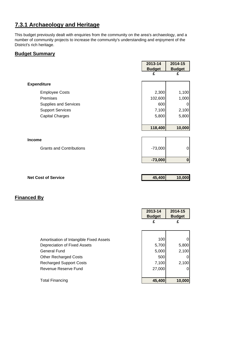# **7.3.1 Archaeology and Heritage**

This budget previously dealt with enquiries from the community on the area's archaeology, and a number of community projects to increase the community's understanding and enjoyment of the District's rich heritage.

#### **Budget Summary**

|                                 | 2013-14       | 2014-15       |
|---------------------------------|---------------|---------------|
|                                 | <b>Budget</b> | <b>Budget</b> |
|                                 | £             | £             |
| <b>Expenditure</b>              |               |               |
|                                 |               |               |
| <b>Employee Costs</b>           | 2,300         | 1,100         |
| Premises                        | 102,600       | 1,000         |
| Supplies and Services           | 600           | 0             |
| <b>Support Services</b>         | 7,100         | 2,100         |
| <b>Capital Charges</b>          | 5,800         | 5,800         |
|                                 |               |               |
|                                 | 118,400       | 10,000        |
|                                 |               |               |
| <b>Income</b>                   |               |               |
| <b>Grants and Contributions</b> | $-73,000$     | 0             |
|                                 |               |               |
|                                 |               |               |
|                                 | $-73,000$     | $\pmb{0}$     |
|                                 |               |               |
| <b>Net Cost of Service</b>      | 45,400        | 10,000        |

|                                         | 2013-14<br><b>Budget</b> | 2014-15<br><b>Budget</b> |
|-----------------------------------------|--------------------------|--------------------------|
|                                         | £                        | £                        |
|                                         |                          |                          |
| Amortisation of Intangible Fixed Assets | 100                      | 0                        |
| Depreciation of Fixed Assets            | 5,700                    | 5,800                    |
| <b>General Fund</b>                     | 5,000                    | 2,100                    |
| <b>Other Recharged Costs</b>            | 500                      | 0                        |
| <b>Recharged Support Costs</b>          | 7,100                    | 2,100                    |
| Revenue Reserve Fund                    | 27,000                   | 0                        |
|                                         |                          |                          |
| <b>Total Financing</b>                  | 45,400                   | 10,000                   |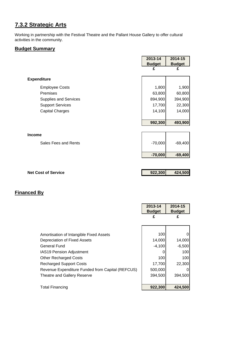# **7.3.2 Strategic Arts**

Working in partnership with the Festival Theatre and the Pallant House Gallery to offer cultural activities in the community.

#### **Budget Summary**

|                            | 2013-14       | 2014-15       |
|----------------------------|---------------|---------------|
|                            | <b>Budget</b> | <b>Budget</b> |
|                            | £             | £             |
| <b>Expenditure</b>         |               |               |
| <b>Employee Costs</b>      | 1,800         | 1,900         |
| Premises                   | 63,800        | 60,800        |
| Supplies and Services      | 894,900       | 394,900       |
| <b>Support Services</b>    | 17,700        | 22,300        |
| <b>Capital Charges</b>     | 14,100        | 14,000        |
|                            |               |               |
|                            | 992,300       | 493,900       |
|                            |               |               |
| <b>Income</b>              |               |               |
| Sales Fees and Rents       | $-70,000$     | $-69,400$     |
|                            |               |               |
|                            | $-70,000$     | $-69,400$     |
|                            |               |               |
| <b>Net Cost of Service</b> | 922,300       | 424,500       |
|                            |               |               |

|                                                  | 2013-14<br><b>Budget</b> | 2014-15<br><b>Budget</b> |
|--------------------------------------------------|--------------------------|--------------------------|
|                                                  | £                        | £                        |
|                                                  |                          |                          |
| Amortisation of Intangible Fixed Assets          | 100                      |                          |
| Depreciation of Fixed Assets                     | 14,000                   | 14,000                   |
| General Fund                                     | $-4,100$                 | $-6,500$                 |
| <b>IAS19 Pension Adjustment</b>                  |                          | 100                      |
| <b>Other Recharged Costs</b>                     | 100                      | 100                      |
| <b>Recharged Support Costs</b>                   | 17,700                   | 22,300                   |
| Revenue Expenditure Funded from Capital (REFCUS) | 500,000                  |                          |
| Theatre and Gallery Reserve                      | 394,500                  | 394,500                  |
| <b>Total Financing</b>                           | 922,300                  | 424,500                  |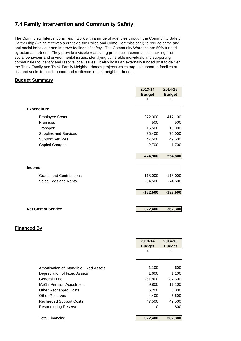### **7.4 Family Intervention and Community Safety**

The Community Interventions Team work with a range of agencies through the Community Safety Partnership (which receives a grant via the Police and Crime Commissioner) to reduce crime and anti-social behaviour and improve feelings of safety. The Community Wardens are 50% funded by external partners. They provide a visible reassuring presence in communities tackling antisocial behaviour and environmental issues, identifying vulnerable individuals and supporting communities to identify and resolve local issues. It also hosts an externally funded post to deliver the Think Family and Think Family Neighbourhoods projects which targets support to families at risk and seeks to build support and resilience in their neighbourhoods.

#### **Budget Summary**

|                                 | 2013-14       | 2014-15       |
|---------------------------------|---------------|---------------|
|                                 | <b>Budget</b> | <b>Budget</b> |
|                                 | £             | £             |
| <b>Expenditure</b>              |               |               |
| <b>Employee Costs</b>           | 372,300       | 417,100       |
| Premises                        | 500           | 500           |
| Transport                       | 15,500        | 16,000        |
| Supplies and Services           | 36,400        | 70,000        |
| <b>Support Services</b>         | 47,500        | 49,500        |
| <b>Capital Charges</b>          | 2,700         | 1,700         |
|                                 |               |               |
|                                 | 474,900       | 554,800       |
|                                 |               |               |
| <b>Income</b>                   |               |               |
| <b>Grants and Contributions</b> | $-118,000$    | $-118,000$    |
| Sales Fees and Rents            | $-34,500$     | $-74,500$     |
|                                 |               |               |
|                                 | $-152,500$    | $-192,500$    |
|                                 |               |               |
|                                 |               |               |
| <b>Net Cost of Service</b>      | 322,400       | 362,300       |

|                                         | 2013-14<br><b>Budget</b> | 2014-15<br><b>Budget</b> |
|-----------------------------------------|--------------------------|--------------------------|
|                                         | £                        | £                        |
|                                         |                          |                          |
| Amortisation of Intangible Fixed Assets | 1,100                    | 600                      |
| Depreciation of Fixed Assets            | 1,600                    | 1,100                    |
| General Fund                            | 251,800                  | 287,600                  |
| <b>IAS19 Pension Adjustment</b>         | 9,800                    | 11,100                   |
| <b>Other Recharged Costs</b>            | 6,200                    | 6,000                    |
| <b>Other Reserves</b>                   | 4,400                    | 5,600                    |
| <b>Recharged Support Costs</b>          | 47,500                   | 49,500                   |
| <b>Restructuring Reserve</b>            | 0                        | 800                      |
|                                         |                          |                          |
| <b>Total Financing</b>                  | 322,400                  | 362,300                  |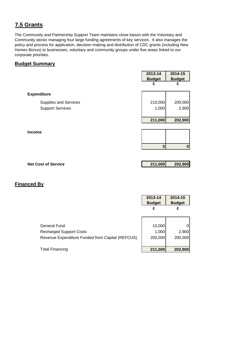# **7.5 Grants**

The Community and Partnership Support Team maintains close liaison with the Voluntary and Community sector managing four large funding agreements of key services. It also manages the policy and process for application, decision making and distribution of CDC grants (including New Homes Bonus) to businesses, voluntary and community groups under five areas linked to our corporate priorities.

#### **Budget Summary**

|                              | 2013-14<br><b>Budget</b> | 2014-15<br><b>Budget</b> |
|------------------------------|--------------------------|--------------------------|
|                              | £                        | £                        |
| <b>Expenditure</b>           |                          |                          |
| <b>Supplies and Services</b> | 210,000                  | 200,000                  |
| <b>Support Services</b>      | 1,000                    | 2,900                    |
|                              |                          |                          |
|                              | 211,000                  | 202,900                  |
|                              |                          |                          |
| <b>Income</b>                |                          |                          |
|                              |                          |                          |
|                              | $\bf{0}$                 | 0                        |

| <b>Net Cost of Service</b> | 211,000 | 202,900 |
|----------------------------|---------|---------|
|                            |         |         |

|                                                  | 2013-14<br><b>Budget</b> | 2014-15<br><b>Budget</b> |
|--------------------------------------------------|--------------------------|--------------------------|
|                                                  | £                        | £                        |
|                                                  |                          |                          |
| General Fund                                     | 10,000                   |                          |
| <b>Recharged Support Costs</b>                   | 1,000                    | 2,900                    |
| Revenue Expenditure Funded from Capital (REFCUS) | 200,000                  | 200,000                  |
|                                                  |                          |                          |
| <b>Total Financing</b>                           | 211,000                  | 202,900                  |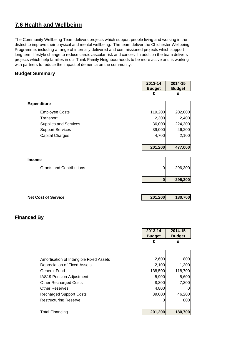# **7.6 Health and Wellbeing**

The Community Wellbeing Team delivers projects which support people living and working in the district to improve their physical and mental wellbeing. The team deliver the Chichester Wellbeing Programme, including a range of internally delivered and commissioned projects which support long term lifestyle change to reduce cardiovascular risk and cancer. In addition the team delivers projects which help families in our Think Family Neighbourhoods to be more active and is working with partners to reduce the impact of dementia on the community.

#### **Budget Summary**

|                                 | 2013-14       | 2014-15       |
|---------------------------------|---------------|---------------|
|                                 | <b>Budget</b> | <b>Budget</b> |
|                                 | £             | £             |
| <b>Expenditure</b>              |               |               |
| <b>Employee Costs</b>           | 119,200       | 202,000       |
| Transport                       | 2,300         | 2,400         |
| Supplies and Services           | 36,000        | 224,300       |
| <b>Support Services</b>         | 39,000        | 46,200        |
| <b>Capital Charges</b>          | 4,700         | 2,100         |
|                                 |               |               |
|                                 | 201,200       | 477,000       |
|                                 |               |               |
| <b>Income</b>                   |               |               |
| <b>Grants and Contributions</b> | 0             | $-296,300$    |
|                                 | $\bf{0}$      | $-296,300$    |
|                                 |               |               |
|                                 |               |               |

**Net Cost of Service 201,200 180,700** 

|                                         | 2013-14<br><b>Budget</b> | 2014-15<br><b>Budget</b> |
|-----------------------------------------|--------------------------|--------------------------|
|                                         | £                        | £                        |
|                                         |                          |                          |
| Amortisation of Intangible Fixed Assets | 2,600                    | 800                      |
| Depreciation of Fixed Assets            | 2,100                    | 1,300                    |
| General Fund                            | 138,500                  | 118,700                  |
| <b>IAS19 Pension Adjustment</b>         | 5,900                    | 5,600                    |
| <b>Other Recharged Costs</b>            | 8,300                    | 7,300                    |
| <b>Other Reserves</b>                   | 4,800                    |                          |
| <b>Recharged Support Costs</b>          | 39,000                   | 46,200                   |
| <b>Restructuring Reserve</b>            | 0                        | 800                      |
|                                         |                          |                          |
| <b>Total Financing</b>                  | 201,200                  | 180,700                  |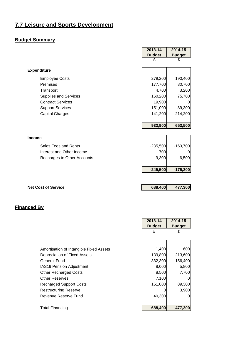# **7.7 Leisure and Sports Development**

#### **Budget Summary**

|                              | 2013-14       | 2014-15       |
|------------------------------|---------------|---------------|
|                              | <b>Budget</b> | <b>Budget</b> |
|                              | £             | £             |
| <b>Expenditure</b>           |               |               |
| <b>Employee Costs</b>        | 279,200       | 190,400       |
| Premises                     | 177,700       | 80,700        |
| Transport                    | 4,700         | 3,200         |
| <b>Supplies and Services</b> | 160,200       | 75,700        |
| <b>Contract Services</b>     | 19,900        | 0             |
| <b>Support Services</b>      | 151,000       | 89,300        |
| <b>Capital Charges</b>       | 141,200       | 214,200       |
|                              |               |               |
|                              | 933,900       | 653,500       |
|                              |               |               |
| <b>Income</b>                |               |               |
| Sales Fees and Rents         | $-235,500$    | $-169,700$    |
| Interest and Other Income    | $-700$        | 0             |
| Recharges to Other Accounts  | $-9,300$      | $-6,500$      |
|                              | $-245,500$    | $-176,200$    |
|                              |               |               |
| <b>Net Cost of Service</b>   | 688,400       | 477,300       |

|                                         | 2013-14       | 2014-15       |
|-----------------------------------------|---------------|---------------|
|                                         | <b>Budget</b> | <b>Budget</b> |
|                                         | £             | £             |
|                                         |               |               |
| Amortisation of Intangible Fixed Assets | 1,400         | 600           |
| Depreciation of Fixed Assets            | 139,800       | 213,600       |
| General Fund                            | 332,300       | 156,400       |
| <b>IAS19 Pension Adjustment</b>         | 8,000         | 5,800         |
| <b>Other Recharged Costs</b>            | 8,500         | 7,700         |
| <b>Other Reserves</b>                   | 7,100         | 0             |
| <b>Recharged Support Costs</b>          | 151,000       | 89,300        |
| Restructuring Reserve                   |               | 3,900         |
| Revenue Reserve Fund                    | 40,300        | 0             |
|                                         |               |               |
| Total Financing                         | 688,400       | 477,300       |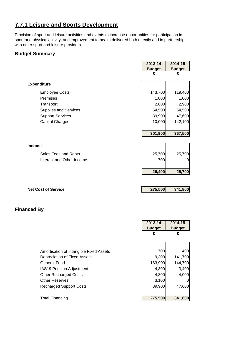# **7.7.1 Leisure and Sports Development**

Provision of sport and leisure activities and events to increase opportunities for participation in sport and physical activity, and improvement to health delivered both directly and in partnership with other sport and leisure providers.

#### **Budget Summary**

|                            | 2013-14<br><b>Budget</b> | 2014-15<br><b>Budget</b> |
|----------------------------|--------------------------|--------------------------|
|                            | £                        | £                        |
| <b>Expenditure</b>         |                          |                          |
| <b>Employee Costs</b>      | 143,700                  | 119,400                  |
| Premises                   | 1,000                    | 1,000                    |
| Transport                  | 2,800                    | 2,900                    |
| Supplies and Services      | 54,500                   | 54,500                   |
| <b>Support Services</b>    | 89,900                   | 47,600                   |
| <b>Capital Charges</b>     | 10,000                   | 142,100                  |
|                            |                          |                          |
|                            | 301,900                  | 367,500                  |
| <b>Income</b>              |                          |                          |
| Sales Fees and Rents       | $-25,700$                | $-25,700$                |
| Interest and Other Income  | $-700$                   | Ω                        |
|                            | $-26,400$                | $-25,700$                |
|                            |                          |                          |
| <b>Net Cost of Service</b> | 275,500                  | 341,800                  |

'n

|                                         | 2013-14       | 2014-15       |
|-----------------------------------------|---------------|---------------|
|                                         | <b>Budget</b> | <b>Budget</b> |
|                                         | £             | £             |
|                                         |               |               |
|                                         |               |               |
| Amortisation of Intangible Fixed Assets | 700           | 400           |
| Depreciation of Fixed Assets            | 9,300         | 141,700       |
| <b>General Fund</b>                     | 163,900       | 144,700       |
| <b>IAS19 Pension Adjustment</b>         | 4,300         | 3,400         |
| <b>Other Recharged Costs</b>            | 4,300         | 4,000         |
| <b>Other Reserves</b>                   | 3,100         | 01            |
| <b>Recharged Support Costs</b>          | 89,900        | 47,600        |
|                                         |               |               |
| <b>Total Financing</b>                  | 275,500       | 341,800       |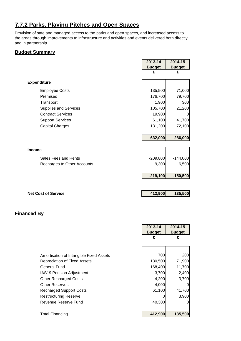# **7.7.2 Parks, Playing Pitches and Open Spaces**

Provision of safe and managed access to the parks and open spaces, and increased access to the areas through improvements to infrastructure and activities and events delivered both directly and in partnership.

#### **Budget Summary**

|                              | 2013-14       | 2014-15       |
|------------------------------|---------------|---------------|
|                              | <b>Budget</b> | <b>Budget</b> |
|                              | £             | £             |
| <b>Expenditure</b>           |               |               |
| <b>Employee Costs</b>        | 135,500       | 71,000        |
| Premises                     | 176,700       | 79,700        |
| Transport                    | 1,900         | 300           |
| <b>Supplies and Services</b> | 105,700       | 21,200        |
| <b>Contract Services</b>     | 19,900        | 0             |
| <b>Support Services</b>      | 61,100        | 41,700        |
| <b>Capital Charges</b>       | 131,200       | 72,100        |
|                              |               |               |
|                              | 632,000       | 286,000       |
|                              |               |               |
| <b>Income</b>                |               |               |
| Sales Fees and Rents         | $-209,800$    | $-144,000$    |
| Recharges to Other Accounts  | $-9,300$      | $-6,500$      |
|                              |               |               |
|                              | $-219,100$    | $-150,500$    |
|                              |               |               |
|                              |               |               |

| <b>Net Cost of Service</b> | 412,900 | 135,500 |
|----------------------------|---------|---------|
|                            |         |         |

|                                         | 2013-14       | 2014-15       |
|-----------------------------------------|---------------|---------------|
|                                         | <b>Budget</b> | <b>Budget</b> |
|                                         | £             | £             |
|                                         |               |               |
|                                         |               |               |
| Amortisation of Intangible Fixed Assets | 700           | 200           |
| Depreciation of Fixed Assets            | 130,500       | 71,900        |
| General Fund                            | 168,400       | 11,700        |
| <b>IAS19 Pension Adjustment</b>         | 3,700         | 2,400         |
| <b>Other Recharged Costs</b>            | 4,200         | 3,700         |
| <b>Other Reserves</b>                   | 4,000         |               |
| <b>Recharged Support Costs</b>          | 61,100        | 41,700        |
| <b>Restructuring Reserve</b>            |               | 3,900         |
| Revenue Reserve Fund                    | 40,300        |               |
|                                         |               |               |
| <b>Total Financing</b>                  | 412,900       | 135,500       |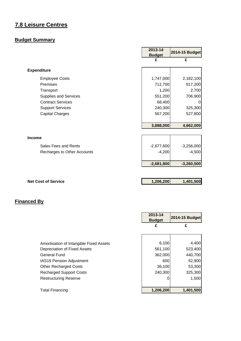# **7.8 Leisure Centres**

#### **Budget Summary**

|                              | 2013-14<br><b>Budget</b> | <b>2014-15 Budget</b> |
|------------------------------|--------------------------|-----------------------|
|                              | £                        | £                     |
| <b>Expenditure</b>           |                          |                       |
| <b>Employee Costs</b>        | 1,747,000                | 2,182,100             |
| Premises                     | 712,700                  | 917,200               |
| Transport                    | 1,200                    | 2,700                 |
| <b>Supplies and Services</b> | 551,200                  | 706,900               |
| <b>Contract Services</b>     | 68,400                   | $\Omega$              |
| <b>Support Services</b>      | 240,300                  | 325,300               |
| <b>Capital Charges</b>       | 567,200                  | 527,800               |
|                              | 3,888,000                | 4,662,000             |
| <b>Income</b>                |                          |                       |
| Sales Fees and Rents         | $-2,677,600$             | $-3,256,000$          |
| Recharges to Other Accounts  | $-4,200$                 | $-4,500$              |
|                              | $-2,681,800$             | $-3,260,500$          |
|                              |                          |                       |

**Net Cost of Service** 1,206,200 1,401,500

|                                         | 2013-14<br><b>Budget</b> | 2014-15 Budget |
|-----------------------------------------|--------------------------|----------------|
|                                         | £                        | £              |
|                                         |                          |                |
| Amortisation of Intangible Fixed Assets | 6,100                    | 4,400          |
| Depreciation of Fixed Assets            | 561,100                  | 523,400        |
| <b>General Fund</b>                     | 362,000                  | 440,700        |
| IAS19 Pension Adjustment                | 600                      | 52,900         |
| <b>Other Recharged Costs</b>            | 36,100                   | 53,300         |
| <b>Recharged Support Costs</b>          | 240,300                  | 325,300        |
| <b>Restructuring Reserve</b>            |                          | 1,500          |
| <b>Total Financing</b>                  | 1,206,200                | 1,401,500      |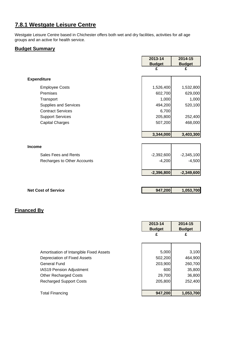# **7.8.1 Westgate Leisure Centre**

Westgate Leisure Centre based in Chichester offers both wet and dry facilities, activities for all age groups and an active for health service.

#### **Budget Summary**

|                              | 2013-14       | 2014-15       |
|------------------------------|---------------|---------------|
|                              | <b>Budget</b> | <b>Budget</b> |
|                              | £             | £             |
| <b>Expenditure</b>           |               |               |
| <b>Employee Costs</b>        | 1,526,400     | 1,532,800     |
| Premises                     | 602,700       | 629,000       |
| Transport                    | 1,000         | 1,000         |
| <b>Supplies and Services</b> | 494,200       | 520,100       |
| <b>Contract Services</b>     | 6,700         |               |
| <b>Support Services</b>      | 205,800       | 252,400       |
| <b>Capital Charges</b>       | 507,200       | 468,000       |
|                              | 3,344,000     | 3,403,300     |
| Income                       |               |               |
| Sales Fees and Rents         | $-2,392,600$  | $-2,345,100$  |
| Recharges to Other Accounts  | $-4,200$      | $-4,500$      |
|                              | $-2,396,800$  | $-2,349,600$  |

**Net Cost of Service 1,053,700** 1,053,700

|                                         | 2013-14       | 2014-15       |
|-----------------------------------------|---------------|---------------|
|                                         | <b>Budget</b> | <b>Budget</b> |
|                                         | £             | £             |
|                                         |               |               |
|                                         |               |               |
| Amortisation of Intangible Fixed Assets | 5,000         | 3,100         |
| Depreciation of Fixed Assets            | 502,200       | 464,900       |
| <b>General Fund</b>                     | 203,900       | 260,700       |
| <b>IAS19 Pension Adjustment</b>         | 600           | 35,800        |
| <b>Other Recharged Costs</b>            | 29,700        | 36,800        |
| <b>Recharged Support Costs</b>          | 205,800       | 252,400       |
|                                         |               |               |
| <b>Total Financing</b>                  | 947,200       | 1,053,700     |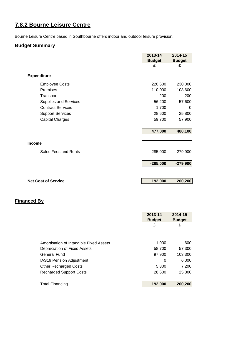# **7.8.2 Bourne Leisure Centre**

Bourne Leisure Centre based in Southbourne offers indoor and outdoor leisure provision.

#### **Budget Summary**

|                              | 2013-14<br><b>Budget</b> | 2014-15<br><b>Budget</b> |
|------------------------------|--------------------------|--------------------------|
|                              | £                        | £                        |
| <b>Expenditure</b>           |                          |                          |
| <b>Employee Costs</b>        | 220,600                  | 230,000                  |
| Premises                     | 110,000                  | 108,600                  |
| Transport                    | 200                      | 200                      |
| <b>Supplies and Services</b> | 56,200                   | 57,600                   |
| <b>Contract Services</b>     | 1,700                    | 0                        |
| <b>Support Services</b>      | 28,600                   | 25,800                   |
| <b>Capital Charges</b>       | 59,700                   | 57,900                   |
|                              | 477,000                  | 480,100                  |
|                              |                          |                          |
| Income                       |                          |                          |
| Sales Fees and Rents         | $-285,000$               | $-279,900$               |
|                              | $-285,000$               | $-279,900$               |
|                              |                          |                          |
| <b>Net Cost of Service</b>   | 192,000                  | 200,200                  |
|                              |                          |                          |
| <b>Financed By</b>           |                          |                          |
|                              |                          |                          |
|                              | 2013-14                  | $2014 - 15$              |
|                              | <b>Budget</b><br>£       | <b>Budget</b><br>£       |
|                              |                          |                          |
|                              |                          |                          |

| Amortisation of Intangible Fixed Assets | 1,000   | 600     |
|-----------------------------------------|---------|---------|
| Depreciation of Fixed Assets            | 58,700  | 57,300  |
| <b>General Fund</b>                     | 97,900  | 103,300 |
| <b>IAS19 Pension Adjustment</b>         |         | 6,000   |
| <b>Other Recharged Costs</b>            | 5,800   | 7,200   |
| <b>Recharged Support Costs</b>          | 28,600  | 25,800  |
|                                         |         |         |
| <b>Total Financing</b>                  | 192,000 | 200,200 |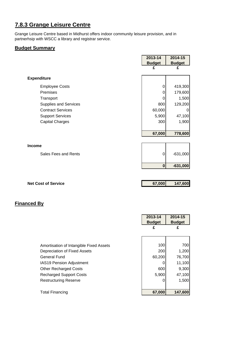# **7.8.3 Grange Leisure Centre**

Grange Leisure Centre based in Midhurst offers indoor community leisure provision, and in partnerhsip with WSCC a library and registrar service.

#### **Budget Summary**

|                          | 2013-14       | 2014-15       |
|--------------------------|---------------|---------------|
|                          | <b>Budget</b> | <b>Budget</b> |
|                          | £             | £             |
| <b>Expenditure</b>       |               |               |
| <b>Employee Costs</b>    | 0             | 419,300       |
| Premises                 | 0             | 179,600       |
| Transport                | 0             | 1,500         |
| Supplies and Services    | 800           | 129,200       |
| <b>Contract Services</b> | 60,000        | 0             |
| <b>Support Services</b>  | 5,900         | 47,100        |
| <b>Capital Charges</b>   | 300           | 1,900         |
|                          |               |               |
|                          | 67,000        | 778,600       |
|                          |               |               |
| <b>Income</b>            |               |               |
| Sales Fees and Rents     | 0             | $-631,000$    |
|                          | $\bf{0}$      | $-631,000$    |
|                          |               |               |

| <b>Net Cost of Service</b> | 67,000 | 147,600 |
|----------------------------|--------|---------|
|                            |        |         |

|                                         | 2013-14<br><b>Budget</b> | 2014-15<br><b>Budget</b> |
|-----------------------------------------|--------------------------|--------------------------|
|                                         | £                        | £                        |
|                                         |                          |                          |
| Amortisation of Intangible Fixed Assets | 100                      | 700                      |
| Depreciation of Fixed Assets            | 200                      | 1,200                    |
| <b>General Fund</b>                     | 60,200                   | 76,700                   |
| <b>IAS19 Pension Adjustment</b>         |                          | 11,100                   |
| <b>Other Recharged Costs</b>            | 600                      | 9,300                    |
| <b>Recharged Support Costs</b>          | 5,900                    | 47,100                   |
| <b>Restructuring Reserve</b>            |                          | 1,500                    |
|                                         |                          |                          |
| <b>Total Financing</b>                  | 67,000                   | 147,600                  |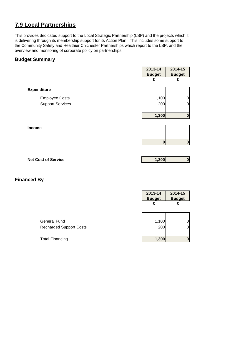# **7.9 Local Partnerships**

This provides dedicated support to the Local Strategic Partnership (LSP) and the projects which it is delivering through its membership support for its Action Plan. This includes some support to the Community Safety and Healthier Chichester Partnerships which report to the LSP, and the overview and monitoring of corporate policy on partnerships.

#### **Budget Summary**

|                         | 2013-14            | 2014-15            |
|-------------------------|--------------------|--------------------|
|                         | <b>Budget</b><br>£ | <b>Budget</b><br>£ |
|                         |                    |                    |
| <b>Expenditure</b>      |                    |                    |
| <b>Employee Costs</b>   | 1,100              | 0                  |
| <b>Support Services</b> | 200                | 0                  |
|                         |                    |                    |
|                         | 1,300              | $\bf{0}$           |
|                         |                    |                    |
| Income                  |                    |                    |
|                         |                    |                    |
|                         | $\mathbf 0$        | 0                  |
|                         |                    |                    |

| <b>Net Cost of Service</b> | 1.300 | 01 |
|----------------------------|-------|----|
|                            |       |    |

|                                                | 2013-14<br><b>Budget</b><br>£ | 2014-15<br><b>Budget</b> |
|------------------------------------------------|-------------------------------|--------------------------|
| General Fund<br><b>Recharged Support Costs</b> | 1,100<br>200                  | 0<br>0                   |
| <b>Total Financing</b>                         | 1,300                         |                          |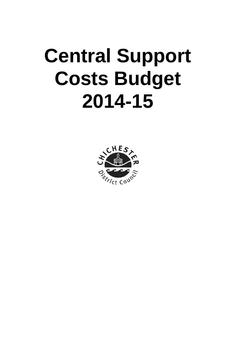# **Central Support Costs Budget 2014-15**

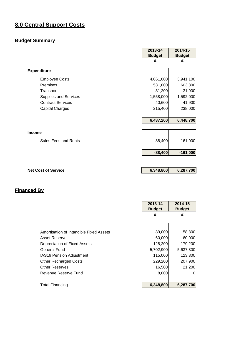# **8.0 Central Support Costs**

#### **Budget Summary**

|                              | 2013-14       | 2014-15       |
|------------------------------|---------------|---------------|
|                              | <b>Budget</b> | <b>Budget</b> |
|                              |               | £             |
| <b>Expenditure</b>           |               |               |
| <b>Employee Costs</b>        | 4,061,000     | 3,941,100     |
| Premises                     | 531,000       | 603,800       |
| Transport                    | 31,200        | 31,900        |
| <b>Supplies and Services</b> | 1,558,000     | 1,592,000     |
| <b>Contract Services</b>     | 40,600        | 41,900        |
| <b>Capital Charges</b>       | 215,400       | 238,000       |
|                              | 6,437,200     | 6,448,700     |
| <b>Income</b>                |               |               |
| Sales Fees and Rents         | $-88,400$     | $-161,000$    |
|                              | $-88,400$     | $-161,000$    |
|                              |               |               |
| <b>Net Cost of Service</b>   | 6,348,800     | 6,287,700     |

|                                         | 2013-14<br><b>Budget</b> | 2014-15<br><b>Budget</b> |
|-----------------------------------------|--------------------------|--------------------------|
|                                         | £                        | £                        |
|                                         |                          |                          |
| Amortisation of Intangible Fixed Assets | 89,000                   | 58,800                   |
| Asset Reserve                           | 60,000                   | 60,000                   |
| Depreciation of Fixed Assets            | 128,200                  | 179,200                  |
| General Fund                            | 5,702,900                | 5,637,300                |
| IAS19 Pension Adjustment                | 115,000                  | 123,300                  |
| <b>Other Recharged Costs</b>            | 229,200                  | 207,900                  |
| <b>Other Reserves</b>                   | 16,500                   | 21,200                   |
| Revenue Reserve Fund                    | 8,000                    | Ω                        |
|                                         |                          |                          |
| <b>Total Financing</b>                  | 6,348,800                | 6,287,700                |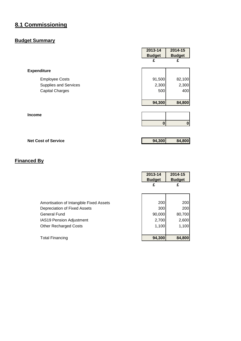# **8.1 Commissioning**

#### **Budget Summary**

| 2013-14       | 2014-15          |
|---------------|------------------|
| <b>Budget</b> | <b>Budget</b>    |
| £             | £                |
|               |                  |
| 91,500        | 82,100           |
| 2,300         | 2,300            |
| 500           | 400              |
| 94,300        | 84,800           |
|               |                  |
| 0             | $\boldsymbol{0}$ |
|               |                  |

**Net Cost of Service 194,300 84,800** 

|                                         | 2013-14<br><b>Budget</b> |        | 2014-15<br><b>Budget</b> |
|-----------------------------------------|--------------------------|--------|--------------------------|
|                                         | £                        |        | £                        |
|                                         |                          |        |                          |
| Amortisation of Intangible Fixed Assets |                          | 200    | 200                      |
| Depreciation of Fixed Assets            |                          | 300    | 200                      |
| <b>General Fund</b>                     |                          | 90,000 | 80,700                   |
| IAS19 Pension Adjustment                |                          | 2,700  | 2,600                    |
| <b>Other Recharged Costs</b>            |                          | 1,100  | 1,100                    |
|                                         |                          |        |                          |
| <b>Total Financing</b>                  |                          | 94,300 | 84,800                   |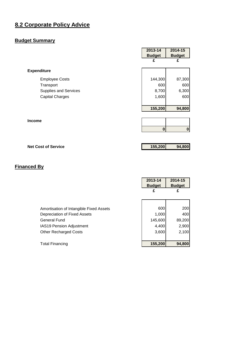# **8.2 Corporate Policy Advice**

#### **Budget Summary**

|                              | 2013-14       | 2014-15       |
|------------------------------|---------------|---------------|
|                              | <b>Budget</b> | <b>Budget</b> |
|                              | £             | £             |
| <b>Expenditure</b>           |               |               |
| <b>Employee Costs</b>        | 144,300       | 87,300        |
| Transport                    | 600           | 600           |
| <b>Supplies and Services</b> | 8,700         | 6,300         |
| <b>Capital Charges</b>       | 1,600         | 600           |
|                              |               |               |
|                              | 155,200       | 94,800        |
|                              |               |               |
| <b>Income</b>                |               |               |
|                              | $\bf{0}$      | $\bf{0}$      |
|                              |               |               |
| <b>Net Cost of Service</b>   | 155,200       | 94,800        |

|                                         | 2013-14<br><b>Budget</b> | 2014-15<br><b>Budget</b> |
|-----------------------------------------|--------------------------|--------------------------|
|                                         | £                        | £                        |
|                                         |                          |                          |
| Amortisation of Intangible Fixed Assets | 600                      | 200                      |
| Depreciation of Fixed Assets            | 1,000                    | 400                      |
| General Fund                            | 145,600                  | 89,200                   |
| <b>IAS19 Pension Adjustment</b>         | 4,400                    | 2,900                    |
| <b>Other Recharged Costs</b>            | 3,600                    | 2,100                    |
|                                         |                          |                          |
| <b>Total Financing</b>                  | 155,200                  | 94,800                   |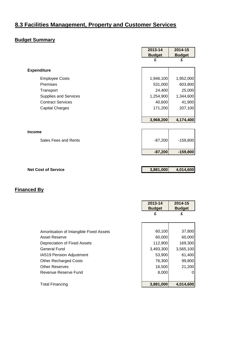# **8.3 Facilities Management, Property and Customer Services**

#### **Budget Summary**

| 2013-14   | 2014-15                                 |
|-----------|-----------------------------------------|
|           | <b>Budget</b>                           |
| £         | £                                       |
|           |                                         |
|           |                                         |
| 1,946,100 | 1,952,000                               |
| 531,000   | 603,800                                 |
| 24,400    | 25,000                                  |
| 1,254,900 | 1,344,600                               |
| 40,600    | 41,900                                  |
| 171,200   | 207,100                                 |
|           |                                         |
| 3,968,200 | 4,174,400                               |
|           |                                         |
|           |                                         |
|           | $-159,800$                              |
|           |                                         |
| $-87,200$ | $-159,800$                              |
|           |                                         |
|           |                                         |
|           | 4,014,600                               |
|           |                                         |
|           |                                         |
|           |                                         |
|           |                                         |
|           | <b>Budget</b><br>$-87,200$<br>3,881,000 |

|                                         | <b>Budget</b> | <b>Budget</b> |
|-----------------------------------------|---------------|---------------|
|                                         | £             | £             |
|                                         |               |               |
|                                         |               |               |
| Amortisation of Intangible Fixed Assets | 60,100        | 37,800        |
| Asset Reserve                           | 60,000        | 60,000        |
| Depreciation of Fixed Assets            | 112,900       | 169,300       |
| General Fund                            | 3,493,300     | 3,565,100     |
| <b>IAS19 Pension Adjustment</b>         | 53,900        | 61,400        |
| <b>Other Recharged Costs</b>            | 76,300        | 99,800        |
| <b>Other Reserves</b>                   | 16,500        | 21,200        |
| Revenue Reserve Fund                    | 8,000         | 0             |
|                                         |               |               |
| <b>Total Financing</b>                  | 3,881,000     | 4,014,600     |

**2013-14** 

r

**2014-15**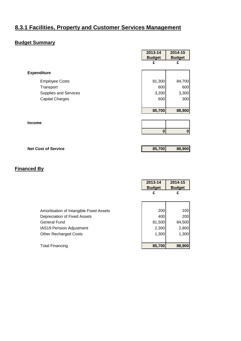# **8.3.1 Facilities, Property and Customer Services Management**

#### **Budget Summary**

|                              | 2013-14       | 2014-15       |
|------------------------------|---------------|---------------|
|                              | <b>Budget</b> | <b>Budget</b> |
|                              | £             | £             |
|                              |               |               |
| <b>Expenditure</b>           |               |               |
| <b>Employee Costs</b>        | 81,300        | 84,700        |
| Transport                    | 600           | 600           |
| <b>Supplies and Services</b> | 3,200         | 3,300         |
| <b>Capital Charges</b>       | 600           | 300           |
|                              |               |               |
|                              | 85,700        | 88,900        |
|                              |               |               |
| <b>Income</b>                |               |               |
|                              | $\bf{0}$      | 0             |
|                              |               |               |
|                              |               |               |

**Net Cost of Service 85,700 88,900** 

|                                         | 2013-14<br><b>Budget</b> | 2014-15<br><b>Budget</b> |
|-----------------------------------------|--------------------------|--------------------------|
|                                         | £                        | £                        |
|                                         |                          |                          |
| Amortisation of Intangible Fixed Assets | 200                      | 100l                     |
| Depreciation of Fixed Assets            | 400                      | <b>200</b>               |
| General Fund                            | 81,500                   | 84,500                   |
| IAS19 Pension Adjustment                | 2,300                    | 2,800                    |
| <b>Other Recharged Costs</b>            | 1,300                    | 1,300                    |
|                                         |                          |                          |
| <b>Total Financing</b>                  | 85,700                   | 88,900                   |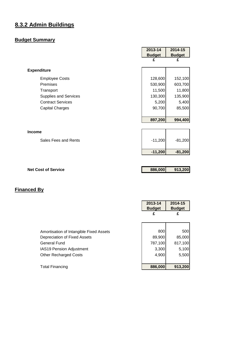# **8.3.2 Admin Buildings**

# **Budget Summary**

|                            | 2013-14       | 2014-15       |
|----------------------------|---------------|---------------|
|                            | <b>Budget</b> | <b>Budget</b> |
|                            | £             | £             |
| <b>Expenditure</b>         |               |               |
| <b>Employee Costs</b>      | 128,600       | 152,100       |
| Premises                   | 530,900       | 603,700       |
| Transport                  | 11,500        | 11,800        |
| Supplies and Services      | 130,300       | 135,900       |
| <b>Contract Services</b>   | 5,200         | 5,400         |
| <b>Capital Charges</b>     | 90,700        | 85,500        |
|                            |               |               |
|                            | 897,200       | 994,400       |
|                            |               |               |
| <b>Income</b>              |               |               |
| Sales Fees and Rents       | $-11,200$     | $-81,200$     |
|                            |               |               |
|                            | $-11,200$     | $-81,200$     |
|                            |               |               |
|                            |               |               |
| <b>Net Cost of Service</b> | 886,000       | 913,200       |

|                                         | 2013-14<br><b>Budget</b> | 2014-15<br><b>Budget</b> |
|-----------------------------------------|--------------------------|--------------------------|
|                                         | £                        | £                        |
|                                         |                          |                          |
| Amortisation of Intangible Fixed Assets | 800                      | 500                      |
| Depreciation of Fixed Assets            | 89,900                   | 85,000                   |
| <b>General Fund</b>                     | 787,100                  | 817,100                  |
| <b>IAS19 Pension Adjustment</b>         | 3,300                    | 5,100                    |
| <b>Other Recharged Costs</b>            | 4,900                    | 5,500                    |
|                                         |                          |                          |
| <b>Total Financing</b>                  | 886,000                  | 913,200                  |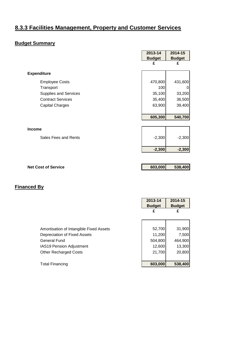# **8.3.3 Facilities Management, Property and Customer Services**

#### **Budget Summary**

|                              | 2013-14       | 2014-15       |
|------------------------------|---------------|---------------|
|                              | <b>Budget</b> | <b>Budget</b> |
|                              | £             | £             |
|                              |               |               |
| <b>Expenditure</b>           |               |               |
| <b>Employee Costs</b>        | 470,800       | 431,600       |
| Transport                    | 100           |               |
| <b>Supplies and Services</b> | 35,100        | 33,200        |
| <b>Contract Services</b>     | 35,400        | 36,500        |
| <b>Capital Charges</b>       | 63,900        | 39,400        |
|                              |               |               |
|                              | 605,300       | 540,700       |
|                              |               |               |
| <b>Income</b>                |               |               |
| Sales Fees and Rents         | $-2,300$      | $-2,300$      |
|                              |               |               |
|                              | $-2,300$      | $-2,300$      |
|                              |               |               |
|                              |               |               |
| <b>Net Cost of Service</b>   | 603,000       | 538,400       |

|                                         | 2013-14<br><b>Budget</b> | 2014-15<br><b>Budget</b> |
|-----------------------------------------|--------------------------|--------------------------|
|                                         | £                        | £                        |
|                                         |                          |                          |
| Amortisation of Intangible Fixed Assets | 52,700                   | 31,900                   |
| Depreciation of Fixed Assets            | 11,200                   | 7,500                    |
| General Fund                            | 504,800                  | 464,900                  |
| IAS19 Pension Adjustment                | 12,600                   | 13,300                   |
| <b>Other Recharged Costs</b>            | 21,700                   | 20,800                   |
|                                         |                          |                          |
| <b>Total Financing</b>                  | 603,000                  | 538,400                  |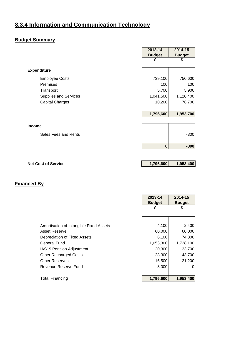# **8.3.4 Information and Communication Technology**

# **Budget Summary**

|                            | 2013-14       | 2014-15       |
|----------------------------|---------------|---------------|
|                            | <b>Budget</b> | <b>Budget</b> |
|                            | £             | £             |
| <b>Expenditure</b>         |               |               |
| <b>Employee Costs</b>      | 739,100       | 750,600       |
| Premises                   | 100           | 100           |
| Transport                  | 5,700         | 5,900         |
| Supplies and Services      | 1,041,500     | 1,120,400     |
| <b>Capital Charges</b>     | 10,200        | 76,700        |
|                            |               |               |
|                            | 1,796,600     | 1,953,700     |
|                            |               |               |
| <b>Income</b>              |               |               |
| Sales Fees and Rents       |               | $-300$        |
|                            |               |               |
|                            | $\bf{0}$      | $-300$        |
|                            |               |               |
|                            |               |               |
| <b>Net Cost of Service</b> | 1,796,600     | 1,953,400     |

|                                         | 2013-14<br><b>Budget</b> | 2014-15<br><b>Budget</b> |
|-----------------------------------------|--------------------------|--------------------------|
|                                         | £                        | £                        |
|                                         |                          |                          |
| Amortisation of Intangible Fixed Assets | 4,100                    | 2,400                    |
| Asset Reserve                           | 60,000                   | 60,000                   |
| Depreciation of Fixed Assets            | 6,100                    | 74,300                   |
| General Fund                            | 1,653,300                | 1,728,100                |
| <b>IAS19 Pension Adjustment</b>         | 20,300                   | 23,700                   |
| <b>Other Recharged Costs</b>            | 28,300                   | 43,700                   |
| <b>Other Reserves</b>                   | 16,500                   | 21,200                   |
| Revenue Reserve Fund                    | 8,000                    |                          |
| <b>Total Financing</b>                  | 1,796,600                | 1,953,400                |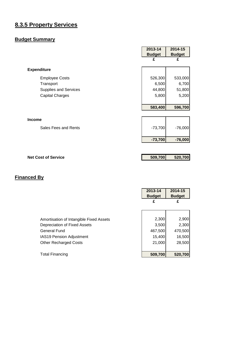# **8.3.5 Property Services**

# **Budget Summary**

|                              | 2013-14       | 2014-15       |
|------------------------------|---------------|---------------|
|                              | <b>Budget</b> | <b>Budget</b> |
|                              | £             | £             |
| <b>Expenditure</b>           |               |               |
| <b>Employee Costs</b>        | 526,300       | 533,000       |
| Transport                    | 6,500         | 6,700         |
| <b>Supplies and Services</b> | 44,800        | 51,800        |
| <b>Capital Charges</b>       | 5,800         | 5,200         |
|                              |               |               |
|                              | 583,400       | 596,700       |
|                              |               |               |
| <b>Income</b>                |               |               |
| Sales Fees and Rents         | $-73,700$     | $-76,000$     |
|                              |               |               |
|                              | $-73,700$     | $-76,000$     |
|                              |               |               |
| <b>Net Cost of Service</b>   | 509,700       | 520,700       |

|                                                                         | 2013-14<br><b>Budget</b><br>£ | 2014-15<br><b>Budget</b><br>£ |
|-------------------------------------------------------------------------|-------------------------------|-------------------------------|
| Amortisation of Intangible Fixed Assets<br>Depreciation of Fixed Assets | 2,300<br>3,500                | 2,900<br>2,300                |
| General Fund<br>IAS19 Pension Adjustment                                | 467,500<br>15,400             | 470,500<br>16,500             |
| <b>Other Recharged Costs</b>                                            | 21,000                        | 28,500                        |
| <b>Total Financing</b>                                                  | 509,700                       | 520,700                       |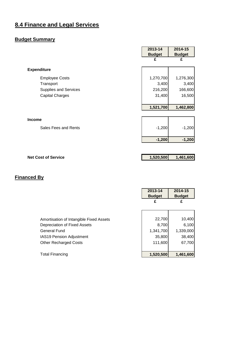# **8.4 Finance and Legal Services**

# **Budget Summary**

|                              | 2013-14       | 2014-15       |
|------------------------------|---------------|---------------|
|                              | <b>Budget</b> | <b>Budget</b> |
|                              | £             | £             |
| <b>Expenditure</b>           |               |               |
|                              |               |               |
| <b>Employee Costs</b>        | 1,270,700     | 1,276,300     |
| Transport                    | 3,400         | 3,400         |
| <b>Supplies and Services</b> | 216,200       | 166,600       |
| <b>Capital Charges</b>       | 31,400        | 16,500        |
|                              |               |               |
|                              | 1,521,700     | 1,462,800     |
|                              |               |               |
| Income                       |               |               |
| Sales Fees and Rents         | $-1,200$      | $-1,200$      |
|                              |               |               |
|                              | $-1,200$      | $-1,200$      |
|                              |               |               |
|                              |               |               |
| <b>Net Cost of Service</b>   | 1,520,500     | 1,461,600     |

|                                         | 2013-14<br><b>Budget</b> | 2014-15<br><b>Budget</b> |
|-----------------------------------------|--------------------------|--------------------------|
|                                         | £                        | £                        |
|                                         |                          |                          |
| Amortisation of Intangible Fixed Assets | 22,700                   | 10,400                   |
| Depreciation of Fixed Assets            | 8,700                    | 6,100                    |
| General Fund                            | 1,341,700                | 1,339,000                |
| IAS19 Pension Adjustment                | 35,800                   | 38,400                   |
| <b>Other Recharged Costs</b>            | 111,600                  | 67,700                   |
|                                         |                          |                          |
| Total Financing                         | 1,520,500                | 1,461,600                |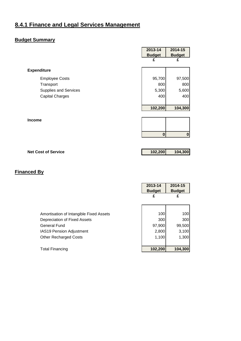# **8.4.1 Finance and Legal Services Management**

#### **Budget Summary**

|                              | 2013-14       | 2014-15       |
|------------------------------|---------------|---------------|
|                              | <b>Budget</b> | <b>Budget</b> |
|                              | £             | £             |
| <b>Expenditure</b>           |               |               |
| <b>Employee Costs</b>        | 95,700        | 97,500        |
| Transport                    | 800           | 800           |
| <b>Supplies and Services</b> | 5,300         | 5,600         |
| <b>Capital Charges</b>       | 400           | 400           |
|                              |               |               |
|                              | 102,200       | 104,300       |
|                              |               |               |
| <b>Income</b>                |               |               |
|                              |               |               |
|                              | $\bf{0}$      | $\bf{0}$      |
|                              |               |               |
|                              |               |               |

**Net Cost of Service 102,200 104,300**

|                                         | 2013-14<br><b>Budget</b> | 2014-15<br><b>Budget</b> |
|-----------------------------------------|--------------------------|--------------------------|
|                                         | £                        | £                        |
|                                         |                          |                          |
| Amortisation of Intangible Fixed Assets | 100                      | 100                      |
| Depreciation of Fixed Assets            | 300                      | 300                      |
| <b>General Fund</b>                     | 97,900                   | 99,500                   |
| IAS19 Pension Adjustment                | 2,800                    | 3,100                    |
| <b>Other Recharged Costs</b>            | 1,100                    | 1,300                    |
|                                         |                          |                          |
| <b>Total Financing</b>                  | 102,200                  | 104,300                  |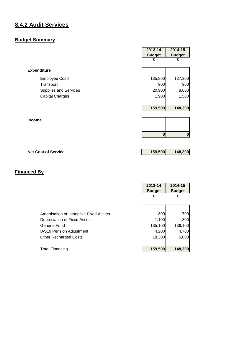# **8.4.2 Audit Services**

#### **Budget Summary**

|                              | 2013-14       | 2014-15       |
|------------------------------|---------------|---------------|
|                              | <b>Budget</b> | <b>Budget</b> |
|                              | £             | £             |
| <b>Expenditure</b>           |               |               |
| <b>Employee Costs</b>        | 135,800       | 137,300       |
| Transport                    | 900           | 900           |
| <b>Supplies and Services</b> | 20,900        | 8,600         |
| <b>Capital Charges</b>       | 1,900         | 1,500         |
|                              |               |               |
|                              | 159,500       | 148,300       |
|                              |               |               |
| <b>Income</b>                |               |               |
|                              | $\bf{0}$      | $\bf{0}$      |
|                              |               |               |

#### **Net Cost of Service 159,500 148,300**

|                                         | 2013-14<br><b>Budget</b> | 2014-15<br><b>Budget</b> |
|-----------------------------------------|--------------------------|--------------------------|
|                                         | £                        | £                        |
|                                         |                          |                          |
| Amortisation of Intangible Fixed Assets | 800                      | 700l                     |
| Depreciation of Fixed Assets            | 1,100                    | 800                      |
| General Fund                            | 135,100                  | 136,100                  |
| <b>IAS19 Pension Adjustment</b>         | 4,200                    | 4,700                    |
| <b>Other Recharged Costs</b>            | 18,300                   | 6,000                    |
|                                         |                          |                          |
| <b>Total Financing</b>                  | 159,500                  | 148,300                  |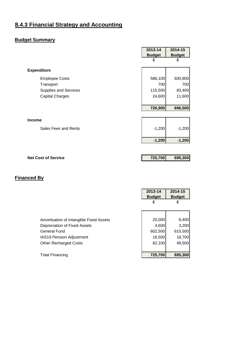# **8.4.3 Financial Strategy and Accounting**

# **Budget Summary**

|                              | 2013-14       | 2014-15       |
|------------------------------|---------------|---------------|
|                              | <b>Budget</b> | <b>Budget</b> |
|                              | £             | £             |
|                              |               |               |
| <b>Expenditure</b>           |               |               |
| <b>Employee Costs</b>        | 586,100       | 600,800       |
| Transport                    | 700           | 700           |
| <b>Supplies and Services</b> | 115,500       | 83,400        |
| <b>Capital Charges</b>       | 24,600        | 11,600        |
|                              |               |               |
|                              | 726,900       | 696,500       |
|                              |               |               |
| <b>Income</b>                |               |               |
| Sales Fees and Rents         | $-1,200$      | $-1,200$      |
|                              |               |               |
|                              | $-1,200$      | $-1,200$      |
|                              |               |               |
|                              |               |               |
| <b>Net Cost of Service</b>   | 725,700       | 695,300       |

|                                                                         | 2013-14<br><b>Budget</b><br>£ | 2014-15<br><b>Budget</b><br>£ |
|-------------------------------------------------------------------------|-------------------------------|-------------------------------|
| Amortisation of Intangible Fixed Assets<br>Depreciation of Fixed Assets | 20,000<br>4,600               | 8,400<br>3,200                |
| <b>General Fund</b><br><b>IAS19 Pension Adjustment</b>                  | 602,500<br>16,500             | 615,500<br>18,700             |
| <b>Other Recharged Costs</b>                                            | 82,100                        | 49,500                        |
| Total Financing                                                         | 725,700                       | 695,300                       |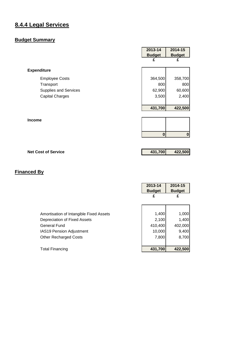# **8.4.4 Legal Services**

#### **Budget Summary**

|                              | 2013-14       | 2014-15       |
|------------------------------|---------------|---------------|
|                              | <b>Budget</b> | <b>Budget</b> |
|                              | £             | £             |
| <b>Expenditure</b>           |               |               |
| <b>Employee Costs</b>        | 364,500       | 358,700       |
| Transport                    | 800           | 800           |
| <b>Supplies and Services</b> | 62,900        | 60,600        |
| <b>Capital Charges</b>       | 3,500         | 2,400         |
|                              | 431,700       | 422,500       |
|                              |               |               |
| <b>Income</b>                |               |               |
|                              | $\mathbf{0}$  | $\bf{0}$      |
|                              |               |               |

#### **Net Cost of Service 131,700 422,500**

|                                         | 2013-14<br><b>Budget</b> | 2014-15<br><b>Budget</b> |
|-----------------------------------------|--------------------------|--------------------------|
|                                         | £                        | £                        |
|                                         |                          |                          |
| Amortisation of Intangible Fixed Assets | 1,400                    | 1,000                    |
| Depreciation of Fixed Assets            | 2,100                    | 1,400                    |
| General Fund                            | 410,400                  | 402,000                  |
| IAS19 Pension Adjustment                | 10,000                   | 9,400                    |
| <b>Other Recharged Costs</b>            | 7,800                    | 8,700                    |
|                                         |                          |                          |
| <b>Total Financing</b>                  | 431,700                  | 422,500                  |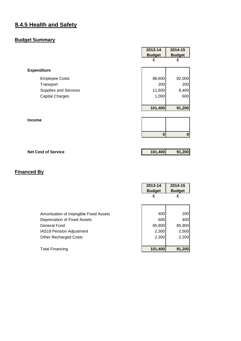### **8.4.5 Health and Safety**

#### **Budget Summary**

|                              | 2013-14       | 2014-15       |
|------------------------------|---------------|---------------|
|                              | <b>Budget</b> | <b>Budget</b> |
|                              | £             | £             |
| <b>Expenditure</b>           |               |               |
| <b>Employee Costs</b>        | 88,600        | 82,000        |
| Transport                    | 200           | 200           |
| <b>Supplies and Services</b> | 11,600        | 8,400         |
| <b>Capital Charges</b>       | 1,000         | 600           |
|                              | 101,400       | 91,200        |
| <b>Income</b>                |               |               |
|                              | $\bf{0}$      | 0             |
|                              |               |               |

# **Net Cost of Service 101,400 91,200**

|                                         | 2013-14<br><b>Budget</b> | 2014-15<br><b>Budget</b> |
|-----------------------------------------|--------------------------|--------------------------|
|                                         | £                        | £                        |
|                                         |                          |                          |
| Amortisation of Intangible Fixed Assets | 400                      | 200                      |
| Depreciation of Fixed Assets            | 600                      | 400                      |
| General Fund                            | 95,800                   | 85,900                   |
| <b>IAS19 Pension Adjustment</b>         | 2,300                    | 2,500                    |
| <b>Other Recharged Costs</b>            | 2,300                    | 2,200                    |
|                                         |                          |                          |
| <b>Total Financing</b>                  | 101,400                  | 91,200                   |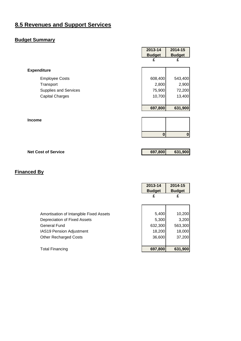# **8.5 Revenues and Support Services**

#### **Budget Summary**

|                              | 2013-14          | 2014-15       |
|------------------------------|------------------|---------------|
|                              | <b>Budget</b>    | <b>Budget</b> |
|                              | £                | £             |
| <b>Expenditure</b>           |                  |               |
| <b>Employee Costs</b>        | 608,400          | 543,400       |
| Transport                    | 2,800            | 2,900         |
| <b>Supplies and Services</b> | 75,900           | 72,200        |
| <b>Capital Charges</b>       | 10,700           | 13,400        |
|                              |                  |               |
|                              | 697,800          | 631,900       |
|                              |                  |               |
| <b>Income</b>                |                  |               |
|                              |                  |               |
|                              | $\boldsymbol{0}$ | 0             |
|                              |                  |               |
|                              |                  |               |

#### **Net Cost of Service 697,800 631,900**

|                                         | 2013-14<br><b>Budget</b> | 2014-15<br><b>Budget</b> |
|-----------------------------------------|--------------------------|--------------------------|
|                                         | £                        | £                        |
|                                         |                          |                          |
| Amortisation of Intangible Fixed Assets | 5,400                    | 10,200                   |
| Depreciation of Fixed Assets            | 5,300                    | 3,200                    |
| General Fund                            | 632,300                  | 563,300                  |
| IAS19 Pension Adjustment                | 18,200                   | 18,000                   |
| <b>Other Recharged Costs</b>            | 36,600                   | 37,200                   |
|                                         |                          |                          |
| <b>Total Financing</b>                  | 697,800                  | 631,900                  |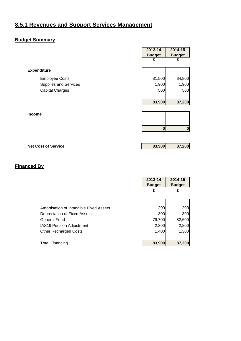# **8.5.1 Revenues and Support Services Management**

#### **Budget Summary**

|                              | 2013-14       | 2014-15       |
|------------------------------|---------------|---------------|
|                              | <b>Budget</b> | <b>Budget</b> |
|                              | £             | £             |
| <b>Expenditure</b>           |               |               |
| <b>Employee Costs</b>        | 81,500        | 84,800        |
| <b>Supplies and Services</b> | 1,900         | 1,900         |
| <b>Capital Charges</b>       | 500           | 500           |
|                              |               |               |
|                              | 83,900        | 87,200        |
|                              |               |               |
| <b>Income</b>                |               |               |
|                              |               |               |
|                              | 0             | $\bf{0}$      |
|                              |               |               |
| <b>Net Cost of Service</b>   | 83,900        | 87,200        |

|                                         | 2013-14       | 2014-15       |
|-----------------------------------------|---------------|---------------|
|                                         | <b>Budget</b> | <b>Budget</b> |
|                                         | £             | £             |
|                                         |               |               |
|                                         |               |               |
| Amortisation of Intangible Fixed Assets | 200           | 200           |
| Depreciation of Fixed Assets            | 300           | 300           |
| <b>General Fund</b>                     | 79,700        | 82,600        |
| IAS19 Pension Adjustment                | 2,300         | 2,800         |
| <b>Other Recharged Costs</b>            | 1,400         | 1,300         |
|                                         |               |               |
| <b>Total Financing</b>                  | 83,900        | 87,200        |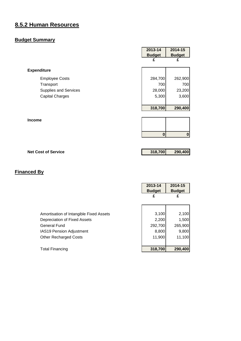# **8.5.2 Human Resources**

#### **Budget Summary**

|                              | 2013-14       | 2014-15       |
|------------------------------|---------------|---------------|
|                              | <b>Budget</b> | <b>Budget</b> |
|                              | £             | £             |
| <b>Expenditure</b>           |               |               |
| <b>Employee Costs</b>        | 284,700       | 262,900       |
| Transport                    | 700           | 700           |
| <b>Supplies and Services</b> | 28,000        | 23,200        |
| <b>Capital Charges</b>       | 5,300         | 3,600         |
|                              | 318,700       | 290,400       |
| <b>Income</b>                |               |               |
|                              |               |               |
|                              | $\bf{0}$      | 0             |

**Net Cost of Service 318,700 290,400**

|                                         | 2013-14<br><b>Budget</b> | 2014-15<br><b>Budget</b> |
|-----------------------------------------|--------------------------|--------------------------|
|                                         | £                        | £                        |
|                                         |                          |                          |
| Amortisation of Intangible Fixed Assets | 3,100                    | 2,100                    |
| Depreciation of Fixed Assets            | 2,200                    | 1,500                    |
| General Fund                            | 292,700                  | 265,900                  |
| IAS19 Pension Adjustment                | 8,800                    | 9,800                    |
| <b>Other Recharged Costs</b>            | 11,900                   | 11,100                   |
|                                         |                          |                          |
| <b>Total Financing</b>                  | 318,700                  | 290,400                  |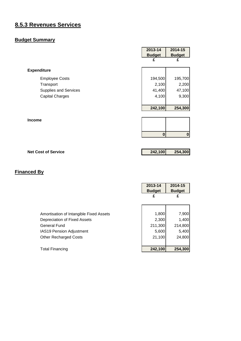# **8.5.3 Revenues Services**

#### **Budget Summary**

| <b>Budget</b> | <b>Budget</b> |
|---------------|---------------|
| £             | £             |
|               |               |
| 194,500       | 195,700       |
| 2,100         | 2,200         |
| 41,400        | 47,100        |
| 4,100         | 9,300         |
| 242,100       | 254,300       |
|               |               |
| $\bf{0}$      | 0             |
|               |               |

**Net Cost of Service 242,100 254,300**

|                                         | 2013-14<br><b>Budget</b> | 2014-15<br><b>Budget</b> |
|-----------------------------------------|--------------------------|--------------------------|
|                                         |                          | £                        |
|                                         |                          |                          |
| Amortisation of Intangible Fixed Assets | 1,800                    | 7,900                    |
| Depreciation of Fixed Assets            | 2,300                    | 1,400                    |
| General Fund                            | 211,300                  | 214,800                  |
| <b>IAS19 Pension Adjustment</b>         | 5,600                    | 5,400                    |
| <b>Other Recharged Costs</b>            | 21,100                   | 24,800                   |
|                                         |                          |                          |
| <b>Total Financing</b>                  | 242,100                  | 254,300                  |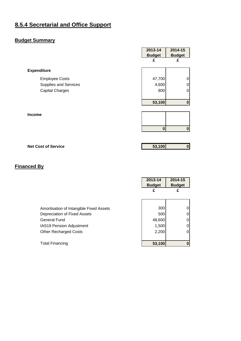# **8.5.4 Secretarial and Office Support**

#### **Budget Summary**

|                              | 2013-14       | 2014-15          |
|------------------------------|---------------|------------------|
|                              | <b>Budget</b> | <b>Budget</b>    |
|                              | £             | £                |
|                              |               |                  |
| <b>Expenditure</b>           |               |                  |
| <b>Employee Costs</b>        | 47,700        | 0                |
| <b>Supplies and Services</b> | 4,600         | 0                |
| <b>Capital Charges</b>       | 800           | 0                |
|                              |               |                  |
|                              | 53,100        | $\bf{0}$         |
|                              |               |                  |
| Income                       |               |                  |
|                              |               |                  |
|                              | $\bf{0}$      | $\boldsymbol{0}$ |
|                              |               |                  |
|                              |               |                  |
|                              |               |                  |

**Net Cost of Service 1988 1989 1989 1989 1989 1989 1989 1989 1989 1989 1989 1989 1989 1989 1989 1989 1989 1989 1989 1989 1989 1989 1989 1989 1989 1989 1989 1989 198** 

|                                         | 2013-14       | 2014-15       |
|-----------------------------------------|---------------|---------------|
|                                         | <b>Budget</b> | <b>Budget</b> |
|                                         | £             | £             |
|                                         |               |               |
|                                         |               |               |
| Amortisation of Intangible Fixed Assets | 300           |               |
| Depreciation of Fixed Assets            | 500           |               |
| <b>General Fund</b>                     | 48,600        |               |
| <b>IAS19 Pension Adjustment</b>         | 1,500         |               |
| <b>Other Recharged Costs</b>            | 2,200         |               |
|                                         |               |               |
| <b>Total Financing</b>                  | 53,100        |               |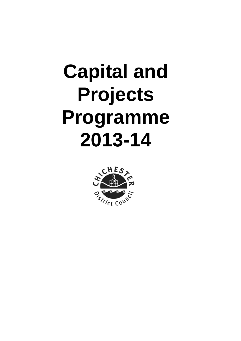# **Capital and Projects Programme 2013-14**

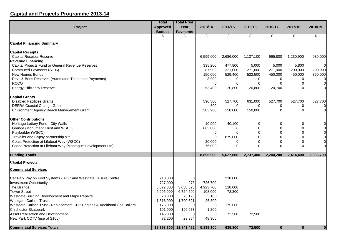# **Capital and Projects Programme 2013-14**

|                                                                                 | <b>Total</b>       | <b>Total Prior</b>    |            |           |           |                |                      |                            |
|---------------------------------------------------------------------------------|--------------------|-----------------------|------------|-----------|-----------|----------------|----------------------|----------------------------|
| Project                                                                         | <b>Approved</b>    | Year                  | 2013/14    | 2014/15   | 2015/16   | 2016/17        | 2017/18              | 2018/19                    |
|                                                                                 | <b>Budget</b>      | <b>Payments</b>       |            |           |           |                |                      |                            |
|                                                                                 | £                  | £                     | £          | £         | £         | £              | £                    | £                          |
| <b>Capital Financing Summary</b>                                                |                    |                       |            |           |           |                |                      |                            |
| <b>Capital Receipts</b>                                                         |                    |                       |            |           |           |                |                      |                            |
| <b>Capital Receipts Reserve</b>                                                 |                    |                       | 6,599,600  | 2,686,000 | 1,137,100 | 965,800        | 1,230,900            | 989,000                    |
| <b>Revenue Financing</b>                                                        |                    |                       |            |           |           |                |                      |                            |
| Capital Projects Fund or General Revenue Reserves                               |                    |                       | 335,200    | 477,800   | 5,000     | 5,000          | 5,800                | $\Omega$                   |
| Commuted Payments (S106)                                                        |                    |                       | 87,900     | 321,000   | 271,000   | 271,000        | 200,000              | 200,000                    |
| New Homes Bonus                                                                 |                    |                       | 150,000    | 529,400   | 522,500   | 450,000        | 450,000              | 350,000                    |
| Revs & Bens Reserves (Automated Telephone Payments)<br><b>RCCO</b>              |                    |                       | 3,900<br>O | 0<br>C    | 0<br>0    |                | 0<br>$\Omega$        | 0                          |
| <b>Energy Efficiency Reserve</b>                                                |                    |                       | 53,400     | 20,800    | 20,800    | 20,700         |                      | $\mathbf 0$<br>$\mathbf 0$ |
|                                                                                 |                    |                       |            |           |           |                |                      |                            |
| <b>Capital Grants</b><br><b>Disabled Facilities Grants</b>                      |                    |                       | 590,500    | 527,700   | 631,000   | 527,700        | 527,700              | 527,700                    |
| <b>DEFRA Coastal Change Grant</b>                                               |                    |                       | 800        |           |           |                | ∩                    | 0                          |
| Environment Agency Beach Management Grant                                       |                    |                       | 303,900    | 150,000   | 150,000   | O              | $\Omega$             | $\mathbf 0$                |
|                                                                                 |                    |                       |            |           |           |                |                      |                            |
| <b>Other Contributions</b>                                                      |                    |                       |            |           |           |                |                      |                            |
| Heritage Lottery Fund - City Walls                                              |                    |                       | 10,900     | 40,100    | 0         | 0              | 0                    | $\overline{0}$             |
| Grange (Monument Trust and WSCC)                                                |                    |                       | 663,800    |           | 0         | 0              | $\Omega$             | $\mathbf 0$                |
| Playbuilder (WSCC)                                                              |                    |                       | 0          |           | $\Omega$  | 0              | $\Omega$<br>$\Omega$ | $\overline{0}$             |
| Traveller and Gypsy partnership site<br>Coast Protection at Lifeboat Way (WSCC) |                    |                       | 20,000     | 875,000   | 0<br>∩    | 0<br>$\Omega$  | $\Omega$             | $\overline{0}$<br>$\Omega$ |
| Coast Protection at Lifeboat Way (Montague Development Ltd)                     |                    |                       | 76,000     |           |           | $\Omega$       | $\Omega$             | $\Omega$                   |
|                                                                                 |                    |                       |            |           |           |                |                      |                            |
| <b>Funding Totals</b>                                                           |                    |                       | 8,895,900  | 5,627,800 | 2,737,400 | 2,240,200      | 2,414,400            | 2,066,700                  |
| <b>Capital Projects</b>                                                         |                    |                       |            |           |           |                |                      |                            |
| <b>Commercial Services</b>                                                      |                    |                       |            |           |           |                |                      |                            |
| Car Park Pay on Foot Systems - ADC and Westgate Leisure Centre                  | 210,000            | 01                    |            | 210,000   |           |                |                      |                            |
| <b>Investment Opportunity</b>                                                   | 727,000            | 273                   | 726,700    |           |           |                |                      |                            |
| The Grange                                                                      | 8,072,000          | 3,038,323             | 4,923,700  | 110,000   |           |                |                      |                            |
| <b>Tower Street</b>                                                             | 6,905,000          | 6,724,590             | 108,000    | 72,300    |           |                |                      |                            |
| Westgate Building Development and Major Repairs                                 | 78,300             | 73,128                | 5,100      |           |           |                |                      |                            |
| <b>Westgate Carbon Trust</b>                                                    | 1,816,900          | 1,790,621             | 26,300     |           |           |                |                      |                            |
| Westgate Carbon Trust - Replacement CHP Engines & Additional Gas Boilers        | 175,000            | $\Omega$              |            | 175,000   |           |                |                      |                            |
| <b>Chichester Skatepark</b><br>Asset Realisation and Development                | 191,900<br>145,000 | 190,673               | 1,200      | 72,500    | 72,500    |                |                      |                            |
| New Park CCTV (use of S106)                                                     | 72,200             | 23,854                | 48,300     |           |           |                |                      |                            |
|                                                                                 |                    |                       |            |           |           |                |                      |                            |
| <b>Commercial Services Totals</b>                                               |                    | 18,393,300 11,841,462 | 5,839,300  | 639,800   | 72,500    | $\overline{0}$ | $\mathbf{0}$         | $\mathbf{0}$               |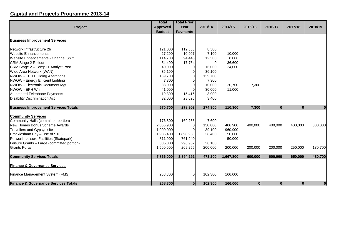### **Capital and Projects Programme 2013-14**

|                                                 | <b>Total</b>    | <b>Total Prior</b> |                |           |              |              |              |              |
|-------------------------------------------------|-----------------|--------------------|----------------|-----------|--------------|--------------|--------------|--------------|
| <b>Project</b>                                  | <b>Approved</b> | Year               | 2013/14        | 2014/15   | 2015/16      | 2016/17      | 2017/18      | 2018/19      |
|                                                 | <b>Budget</b>   | <b>Payments</b>    |                |           |              |              |              |              |
| <b>Business Improvement Services</b>            |                 |                    |                |           |              |              |              |              |
| Network Infrastructure 2b                       | 121,000         | 112,558            | 8,500          |           |              |              |              |              |
| <b>Website Enhancements</b>                     | 27,200          | 10,097             | 7,100          | 10,000    |              |              |              |              |
| Website Enhancements - Channel Shift            | 114,700         | 94,443             | 12,300         | 8,000     |              |              |              |              |
| <b>CRM Stage 2 Rollout</b>                      | 54,400          | 17,764             | $\overline{0}$ | 36,600    |              |              |              |              |
| CRM Stage 2 - Temp IT Analyst Post              | 40,000          | 0                  | 16,000         | 24,000    |              |              |              |              |
| Wide Area Network (WAN)                         | 36,100          |                    | 36,100         |           |              |              |              |              |
| <b>NWOW - EPH Building Alterations</b>          | 139,700         | 0                  | 139,700        |           |              |              |              |              |
| NWOW - Energy Efficient Lighting                | 7,300           | 0                  | 7,300          |           |              |              |              |              |
| NWOW - Electronic Document Mgt                  | 38,000          | $\Omega$           | 10,000         | 20,700    | 7,300        |              |              |              |
| NWOW - EPH Wifi                                 | 41,000          | 0                  | 30,000         | 11,000    |              |              |              |              |
| Automated Telephone Payments                    | 19,300          | 15,416             | 3,900          |           |              |              |              |              |
| <b>Disability Discrimination Act</b>            | 32,000          | 28,626             | 3,400          |           |              |              |              |              |
| <b>Business Improvement Services Totals</b>     | 670,700         | 278,903            | 274,300        | 110,300   | 7,300        | $\mathbf{0}$ | $\mathbf{0}$ | $\mathbf{0}$ |
| <b>Community Services</b>                       |                 |                    |                |           |              |              |              |              |
| Community Halls (committed portion)             | 176,800         | 169,238            | 7,600          |           |              |              |              |              |
| New Homes Bonus Scheme Awards                   | 2,056,900       | $\overline{0}$     | 150,000        | 406,900   | 400,000      | 400,000      | 400,000      | 300,000      |
| <b>Travellers and Gypsys site</b>               | 1,000,000       |                    | 39,100         | 960,900   |              |              |              |              |
| Bracklesham Bay - Use of S106                   | 1,985,400       | 1,896,956          | 38,400         | 50,000    |              |              |              |              |
| Petworth Leisure Facilities (Skatepark)         | 811,900         | 761,940            |                | 50,000    |              |              |              |              |
| Leisure Grants - Large (committed portion)      | 335,000         | 296,902            | 38,100         |           |              |              |              |              |
| <b>Grants Portal</b>                            | 1,500,000       | 269,255            | 200,000        | 200,000   | 200,000      | 200,000      | 250,000      | 180,700      |
|                                                 |                 |                    |                |           |              |              |              |              |
| <b>Community Services Totals</b>                | 7,866,000       | 3,394,292          | 473,200        | 1,667,800 | 600,000      | 600,000      | 650,000      | 480,700      |
| <b>Finance &amp; Governance Services</b>        |                 |                    |                |           |              |              |              |              |
| Finance Management System (FMS)                 | 268,300         | $\overline{0}$     | 102,300        | 166,000   |              |              |              |              |
| <b>Finance &amp; Governance Services Totals</b> | 268,300         | $\mathbf{0}$       | 102,300        | 166,000   | $\mathbf{0}$ | $\mathbf{0}$ | $\mathbf{0}$ | $\mathbf{0}$ |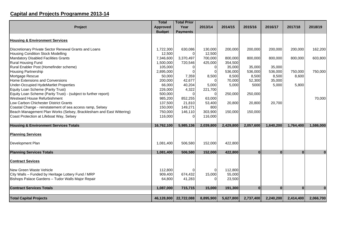### **Capital and Projects Programme 2013-14**

|                                                                      | <b>Total</b>    | <b>Total Prior</b> |                |           |              |              |           |              |
|----------------------------------------------------------------------|-----------------|--------------------|----------------|-----------|--------------|--------------|-----------|--------------|
| Project                                                              | <b>Approved</b> | Year               | 2013/14        | 2014/15   | 2015/16      | 2016/17      | 2017/18   | 2018/19      |
|                                                                      | <b>Budget</b>   | <b>Payments</b>    |                |           |              |              |           |              |
| <b>Housing &amp; Environment Services</b>                            |                 |                    |                |           |              |              |           |              |
| Discretionary Private Sector Renewal Grants and Loans                | 1,722,300       | 630,086            | 130,000        | 200,000   | 200,000      | 200,000      | 200,000   | 162,200      |
| <b>Housing Condition Stock Modelling</b>                             | 12,500          | 0                  | 12,500         |           |              |              |           |              |
| <b>Mandatory Disabled Facilities Grants</b>                          | 7,346,600       | 3,370,497          | 700,000        | 800,000   | 800,000      | 800,000      | 800,000   | 603,800      |
| Rural Housing Fund                                                   | 1,500,000       | 720,546            | 425,000        | 354,500   |              |              |           |              |
| Rural Enabler Post (Homefinder scheme)                               | 105,000         | 01                 | 0              | 35,000    | 35,000       | 35,000       |           |              |
| <b>Housing Partnership</b>                                           | 2,895,000       | 0                  | $\overline{0}$ | 536,000   | 536,000      | 536,000      | 750,000   | 750,000      |
| Mortgage Rescue                                                      | 50,000          | 7,359              | 8,500          | 8,500     | 8,500        | 8,500        | 8,600     |              |
| Home Extensions and Conversions                                      | 200,000         | 42,677             | $\Omega$       | 70,000    | 52,300       | 35,000       |           |              |
| Under-Occupied HydeMartlet Properties                                | 66,000          | 40,204             | 5,000          | 5,000     | 5000         | 5,000        | 5,800     |              |
| Equity Loan Scheme (Parity Trust)                                    | 226,000         | 4,322              | 221,700        |           |              |              |           |              |
| Equity Loan Scheme (Parity Trust) - (subject to further report)      | 500,000         | $\Omega$           | 0              | 250,000   | 250,000      |              |           |              |
| <b>Westward House Refurbishment</b>                                  | 985,200         | 852,255            | 63,000         |           |              |              |           | 70,000       |
| Low Carbon Chichester District Grants                                | 137,500         | 21,810             | 53,400         | 20,800    | 20,800       | 20,700       |           |              |
| Coastal Change - reinstatement of sea access ramp, Selsey            | 150,000         | 149,271            | 800            |           |              |              |           |              |
| Beach Management Plan Works (Selsey, Bracklesham and East Wittering) | 750,000         | 146,110            | 303,900        | 150,000   | 150,000      |              |           |              |
| Coast Protection at Lifeboat Way, Selsey                             | 116,000         | 01                 | 116,000        |           |              |              |           |              |
|                                                                      |                 |                    |                |           |              |              |           |              |
| <b>Housing &amp; Environment Services Totals</b>                     | 16,762,100      | 5,985,136          | 2,039,800      | 2,429,800 | 2,057,600    | 1,640,200    | 1,764,400 | 1,586,000    |
| <b>Planning Services</b>                                             |                 |                    |                |           |              |              |           |              |
| Development Plan                                                     | 1,081,400       | 506,580            | 152,000        | 422,800   |              |              |           |              |
| <b>Planning Services Totals</b>                                      | 1,081,400       | 506,580            | 152,000        | 422,800   | $\mathbf{0}$ | $\mathbf{0}$ | $\bf{0}$  | $\mathbf{0}$ |
| <b>Contract Sevices</b>                                              |                 |                    |                |           |              |              |           |              |
| New Green Waste Vehicle                                              | 112,800         |                    | $\mathbf 0$    | 112,800   |              |              |           |              |
| City Walls - Funded by Heritage Lottery Fund / MRP                   | 909,400         | 674,432            | 15,000         | 55,000    |              |              |           |              |
| Bishops Palace Gardens - Tudor Walls Major Repair                    | 64,800          | 41,283             |                | 23,500    |              |              |           |              |
| <b>Contract Services Totals</b>                                      | 1,087,000       | 715,715            | 15,000         | 191,300   | $\bf{0}$     | 0            | $\bf{0}$  | 0            |
|                                                                      |                 |                    |                |           |              |              |           |              |
| <b>Total Capital Projects</b>                                        | 46,128,800      | 22,722,088         | 8,895,900      | 5,627,800 | 2,737,400    | 2,240,200    | 2,414,400 | 2,066,700    |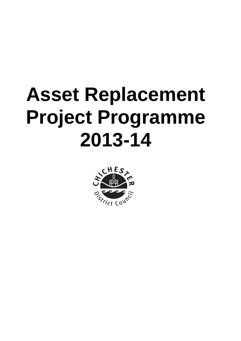# **Asset Replacement Project Programme 2013-14**

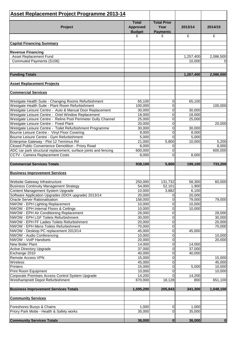| <b>Asset Replacement Project Programme 2013-14</b>                                                       |                                                  |                                               |                 |           |
|----------------------------------------------------------------------------------------------------------|--------------------------------------------------|-----------------------------------------------|-----------------|-----------|
| Project                                                                                                  | <b>Total</b><br><b>Approved</b><br><b>Budget</b> | <b>Total Prior</b><br>Year<br><b>Payments</b> | 2013/14         | 2014/15   |
|                                                                                                          | £                                                | £                                             | £               | £         |
| <b>Capital Financing Summary</b>                                                                         |                                                  |                                               |                 |           |
|                                                                                                          |                                                  |                                               |                 |           |
| <b>Revenue Financing</b><br><b>Asset Replacement Fund</b>                                                |                                                  |                                               | 1,257,400       | 2,086,500 |
| Commuted Payments (S106)                                                                                 |                                                  |                                               | 10,000          | $\Omega$  |
|                                                                                                          |                                                  |                                               |                 |           |
|                                                                                                          |                                                  |                                               | 1,267,400       |           |
| <b>Funding Totals</b>                                                                                    |                                                  |                                               |                 | 2,086,500 |
| <b>Asset Replacement Projects</b>                                                                        |                                                  |                                               |                 |           |
| <b>Commercial Services</b>                                                                               |                                                  |                                               |                 |           |
| Westgate Health Suite - Changing Rooms Refurbishment                                                     | 65,100                                           | 0                                             | 65,100          |           |
| Westgate Health Suite - Plant Room Refurbishment                                                         | 100,000                                          | 0                                             |                 | 100,000   |
| Westgate Leisure Centre - Auto & Manual Door Replacement                                                 | 30,000                                           | $\mathsf 0$                                   | 30,000          |           |
| Westgate Leisure Centre - Oriel Window Replacement                                                       | 18,000                                           | $\mathsf 0$                                   | 18,000          |           |
| Westgate Leisure Centre - Reline Pool Perimeter Gully Channel                                            | 25,000                                           | $\mathsf 0$                                   | 25,000          |           |
| Westgate Leisure Centre - Fixed Plant                                                                    | 20,000                                           | $\mathbf 0$                                   |                 | 20,000    |
| Westgate Leisure Centre - Toilet Refurbishment Programme<br>Bourne Leisure Centre - Vinyl Floor Covering | 30,000<br>8,000                                  | $\mathbf 0$<br>$\mathbf 0$                    | 30,000<br>8,000 |           |
| Bourne Leisure Centre - Gym Refurbishment                                                                | 5,000                                            | $\Omega$                                      | 5,000           |           |
| Enterprise Gateway - Plot 12 Terminus Rd                                                                 | 21,000                                           | 5,800                                         | 10,000          | 5,200     |
| Closed Public Convenience Demolition - Priory Road                                                       | 8,000                                            | 0                                             |                 | 8,000     |
| ADC car park structural replacement, surface joints and fencing                                          | 600,000                                          | $\overline{0}$                                |                 | 600,000   |
| CCTV - Camera Replacement Costs                                                                          | 8,000                                            | $\Omega$                                      | 8,000           |           |
| <b>Commercial Services Totals</b>                                                                        | 938,100                                          | 5,800                                         | 199,100         | 733,200   |
| <b>Business Improvement Services</b>                                                                     |                                                  |                                               |                 |           |
|                                                                                                          |                                                  |                                               |                 |           |
| Website Gateway Infrastructure                                                                           | 250,000                                          | 131,732                                       | 58,300          | 60,000    |
| <b>Business Continuity Management Strategy</b><br>Content Management System Upgrade                      | 54,000<br>10,000                                 | 52,101<br>3,882                               | 1,900<br>6,100  |           |
| Software Application Upgrades (IDOX upgrade) 2013/14                                                     | 20,000                                           | 0                                             | 20,000          |           |
| Oracle Server Rationalisation                                                                            | 158,000                                          | 0                                             | 79,000          | 79,000    |
| NWOW - EPH Lighting Replacement                                                                          | 10,000                                           | $\mathsf 0$                                   | 10,000          |           |
| NWOW - EPH Internal Floors & Ceilings                                                                    | 10,000                                           | $\mathbf 0$                                   | 10,000          |           |
| NWOW - EPH Air Conditioning Replacement                                                                  | 28,000                                           | 0                                             |                 | 28,000    |
| NWOW - EPH LGF Toilets Refurbishment                                                                     | 30,000                                           | $\mathsf 0$                                   |                 | 30,000    |
| NWOW - EPH FF Ladies Toilets Refurbishment                                                               | 20,000                                           | $\mathsf 0$                                   |                 | 20,000    |
| NWOW - EPH Mens Toilets Refurbishment                                                                    | 70,000                                           | $\overline{\mathsf{o}}$                       |                 | 70,000    |
| NWOW - Desktop PC replacement 2013/14<br>NWOW - Audio Conferencing                                       | 45,000<br>10,000                                 | $\mathbf 0$<br>$\mathbf 0$                    | 45,000          | 10,000    |
| NWOW - VoIP Handsets                                                                                     | 20,000                                           | 0                                             |                 | 20,000    |
| New Boiler Plant                                                                                         | 14,000                                           | 0                                             | 14,000          |           |
| Active Directory Upgrade                                                                                 | 37,000                                           | $\mathsf 0$                                   | 37,000          |           |
| Exchange 2010                                                                                            | 40,000                                           | $\mathsf 0$                                   | 40,000          |           |
| Remote Access VPN                                                                                        | 15,000                                           | $\mathbf 0$                                   |                 | 15,000    |
| Wireless                                                                                                 | 45,000                                           | $\mathsf 0$                                   |                 | 45,000    |
| Printers                                                                                                 | 15,000                                           | $\mathbf 0$                                   | 5,000           | 10,000    |
| Print Room Equipment<br>Corporate Premises Access Control System Upgrade                                 | 10,000<br>14,200                                 | $\Omega$<br>$\Omega$                          | 14,200          | 10,000    |
| Westhampnett Depot Refurbishment                                                                         | 670,000                                          | 18,128                                        | 800             | 651,100   |
| <b>Business Improvement Services Totals</b>                                                              | 1,595,200                                        | 205,843                                       | 341,300         | 1,048,100 |
| <b>Community Services</b>                                                                                |                                                  |                                               |                 |           |
|                                                                                                          | 1,000                                            | 0                                             | 1,000           |           |
| Foreshores Buoys & Chains<br>Priory Park Motte - Health & Safety works                                   | 35,000                                           | 0                                             | 35,000          |           |
|                                                                                                          |                                                  |                                               |                 |           |
| <b>Community Services Totals</b>                                                                         | 36,000                                           | $\mathbf 0$                                   | 36,000          | $\bf{0}$  |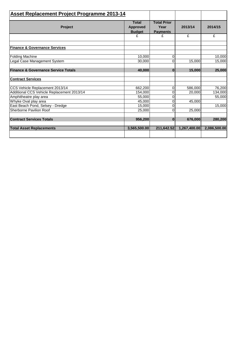| <b>Asset Replacement Project Programme 2013-14</b> |                                                  |                                               |              |              |
|----------------------------------------------------|--------------------------------------------------|-----------------------------------------------|--------------|--------------|
| <b>Project</b>                                     | <b>Total</b><br><b>Approved</b><br><b>Budget</b> | <b>Total Prior</b><br>Year<br><b>Payments</b> | 2013/14      | 2014/15      |
|                                                    | £                                                | £                                             | £            | £            |
| <b>Finance &amp; Governance Services</b>           |                                                  |                                               |              |              |
| <b>Folding Machine</b>                             | 10,000                                           | 0                                             |              | 10,000       |
| Legal Case Management System                       | 30,000                                           | $\Omega$                                      | 15,000       | 15,000       |
| <b>Finance &amp; Governance Service Totals</b>     | 40,000                                           | $\mathbf{0}$                                  | 15,000       | 25,000       |
| <b>Contract Services</b>                           |                                                  |                                               |              |              |
| CCS Vehicle Replacement 2013/14                    | 662,200                                          | $\mathbf 0$                                   | 586,000      | 76,200       |
| Additional CCS Vehicle Replacement 2013/14         | 154,000                                          | 0                                             | 20,000       | 134,000      |
| Amphitheatre play area                             | 55.000                                           | 0                                             |              | 55,000       |
| Whyke Oval play area                               | 45,000                                           | 0                                             | 45,000       |              |
| East Beach Pond, Selsey - Dredge                   | 15,000                                           | 0                                             |              | 15,000       |
| Sherborne Pavilion Roof                            | 25,000                                           | 0                                             | 25,000       |              |
| <b>Contract Services Totals</b>                    | 956,200                                          | $\bf{0}$                                      | 676,000      | 280,200      |
| <b>Total Asset Replacements</b>                    | 3,565,500.00                                     | 211,642.52                                    | 1,267,400.00 | 2,086,500.00 |
|                                                    |                                                  |                                               |              |              |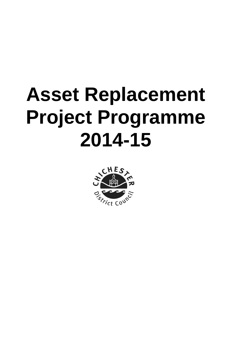# **Asset Replacement Project Programme 2014-15**